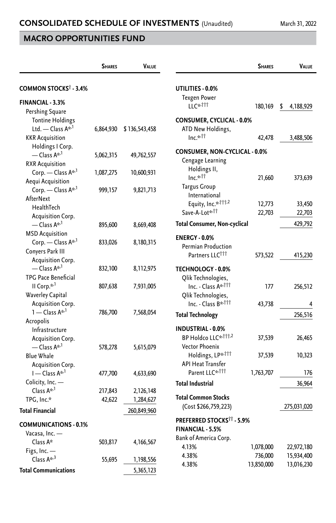|                                     | <b>SHARES</b> | <b>VALUE</b>  |                                             | <b>SHARES</b> | VALUE           |
|-------------------------------------|---------------|---------------|---------------------------------------------|---------------|-----------------|
| COMMON STOCKS <sup>†</sup> - 3.4%   |               |               | UTILITIES 0.0%                              |               |                 |
| <b>FINANCIAL - 3.3%</b>             |               |               | <b>Texgen Power</b>                         |               |                 |
| Pershing Square                     |               |               | LLC <sup>*</sup> <sup>†††</sup>             | 180,169       | 4,188,929<br>\$ |
| <b>Tontine Holdings</b>             |               |               | <b>CONSUMER, CYCLICAL - 0.0%</b>            |               |                 |
| Ltd. — Class $A^{\star,1}$          | 6,864,930     | \$136,543,458 | ATD New Holdings,                           |               |                 |
| <b>KKR Acquisition</b>              |               |               | $Inc*$                                      | 42,478        | 3,488,506       |
| Holdings I Corp.                    |               |               |                                             |               |                 |
| — Class $A^{\star,1}$               | 5,062,315     | 49,762,557    | <b>CONSUMER, NON-CYCLICAL - 0.0%</b>        |               |                 |
| <b>RXR Acquisition</b>              |               |               | Cengage Learning                            |               |                 |
| Corp. — Class $A^{\star,1}$         | 1,087,275     | 10,600,931    | Holdings II,                                |               |                 |
| Aequi Acquisition                   |               |               | $Inc*$ <sup>††</sup>                        | 21,660        | 373,639         |
| Corp. - Class A* <sup>,1</sup>      | 999,157       | 9,821,713     | Targus Group                                |               |                 |
| AfterNext                           |               |               | International                               |               |                 |
| HealthTech                          |               |               | Equity, Inc.* <sup>111,2</sup>              | 12,773        | 33,450          |
| <b>Acquisition Corp.</b>            |               |               | Save-A-Lot* <sup>11</sup>                   | 22,703        | 22,703          |
| — Class A <sup>*,1</sup>            | 895,600       | 8,669,408     | <b>Total Consumer, Non-cyclical</b>         |               | 429,792         |
| <b>MSD Acquisition</b>              |               |               |                                             |               |                 |
| Corp. — Class A <sup>*,1</sup>      | 833,026       | 8,180,315     | <b>ENERGY - 0.0%</b>                        |               |                 |
| Conyers Park III                    |               |               | Permian Production                          |               |                 |
| Acquisition Corp.                   |               |               | Partners LLC <sup>†††</sup>                 | 573,522       | 415,230         |
| — Class A <sup>*</sup> <sup>1</sup> | 832,100       | 8,112,975     | <b>TECHNOLOGY - 0.0%</b>                    |               |                 |
| TPG Pace Beneficial                 |               |               | Olik Technologies,                          |               |                 |
| II Corp. $\mathbb{R}^3$             | 807,638       | 7,931,005     | Inc. - Class A* <sup>111</sup>              | 177           | 256,512         |
| <b>Waverley Capital</b>             |               |               | Qlik Technologies,                          |               |                 |
| Acquisition Corp.                   |               |               | Inc. - Class B* <sup>111</sup>              | 43,738        | 4               |
| $1 -$ Class A <sup>*,1</sup>        | 786,700       | 7,568,054     |                                             |               |                 |
| Acropolis                           |               |               | <b>Total Technology</b>                     |               | 256,516         |
| Infrastructure                      |               |               | <b>INDUSTRIAL - 0.0%</b>                    |               |                 |
| Acquisition Corp.                   |               |               | BP Holdco LLC* <sup>111,2</sup>             | 37,539        | 26,465          |
| $-\mathsf{Class}\,A^{\star,1}$      | 578,278       | 5,615,079     | Vector Phoenix                              |               |                 |
| <b>Blue Whale</b>                   |               |               | Holdings, LP*111                            | 37,539        | 10,323          |
| <b>Acquisition Corp.</b>            |               |               | <b>API Heat Transfer</b>                    |               |                 |
| $I - Class A^{*}$                   | 477,700       | 4,633,690     | Parent LLC* <sup>,†††</sup>                 | 1,763,707     | 176             |
| Colicity, Inc. -                    |               |               | <b>Total Industrial</b>                     |               | 36,964          |
| Class $A^{\star}$ <sup>1</sup>      | 217,843       | 2,126,148     |                                             |               |                 |
| TPG, Inc.*                          | 42,622        | 1,284,627     | <b>Total Common Stocks</b>                  |               |                 |
| <b>Total Financial</b>              |               | 260,849,960   | (Cost \$266,759,223)                        |               | 275,031,020     |
|                                     |               |               | <b>PREFERRED STOCKS<sup>††</sup> - 5.9%</b> |               |                 |
| <b>COMMUNICATIONS - 0.1%</b>        |               |               | <b>FINANCIAL - 5.5%</b>                     |               |                 |
| Vacasa, Inc. -                      |               |               | Bank of America Corp.                       |               |                 |
| Class A*                            | 503,817       | 4,166,567     | 4.13%                                       | 1,078,000     | 22,972,180      |
| Figs, $Inc.$ —                      |               |               | 4.38%                                       | 736,000       | 15,934,400      |
| Class $A^{*,3}$                     | 55,695        | 1,198,556     | 4.38%                                       | 13,850,000    | 13,016,230      |
| <b>Total Communications</b>         |               | 5,365,123     |                                             |               |                 |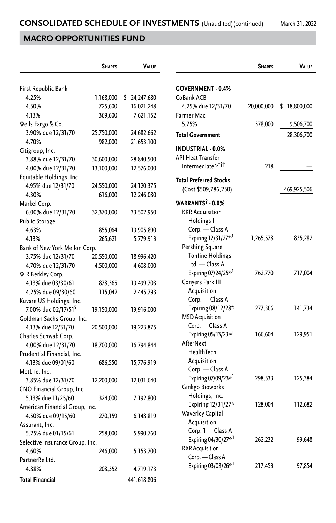|                                 | <b>SHARES</b> | <b>VALUE</b> |                                             | <b>SHARES</b> | VALUE        |
|---------------------------------|---------------|--------------|---------------------------------------------|---------------|--------------|
| First Republic Bank             |               |              | <b>GOVERNMENT - 0.4%</b>                    |               |              |
| 4.25%                           | 1,168,000     | \$24,247,680 | CoBank ACB                                  |               |              |
| 4.50%                           | 725,600       | 16,021,248   | 4.25% due 12/31/70                          | 20,000,000    | \$18,800,000 |
| 4.13%                           | 369,600       | 7,621,152    | Farmer Mac                                  |               |              |
| Wells Fargo & Co.               |               |              | 5.75%                                       | 378,000       | 9,506,700    |
| 3.90% due 12/31/70              | 25,750,000    | 24,682,662   |                                             |               |              |
| 4.70%                           | 982,000       | 21,653,100   | <b>Total Government</b>                     |               | 28,306,700   |
| Citigroup, Inc.                 |               |              | <b>INDUSTRIAL - 0.0%</b>                    |               |              |
| 3.88% due 12/31/70              | 30,600,000    | 28,840,500   | API Heat Transfer                           |               |              |
| 4.00% due 12/31/70              | 13,100,000    | 12,576,000   | Intermediate* <sup>†††</sup>                | 218           |              |
|                                 |               |              |                                             |               |              |
| Equitable Holdings, Inc.        |               |              | <b>Total Preferred Stocks</b>               |               |              |
| 4.95% due 12/31/70<br>4.30%     | 24,550,000    | 24,120,375   | (Cost \$509,786,250)                        |               | 469,925,506  |
|                                 | 616,000       | 12,246,080   | <b>WARRANTS<sup>†</sup> - 0.0%</b>          |               |              |
| Markel Corp.                    |               |              | <b>KKR Acquisition</b>                      |               |              |
| 6.00% due 12/31/70              | 32,370,000    | 33,502,950   | Holdings I                                  |               |              |
| <b>Public Storage</b>           |               |              | Corp. - Class A                             |               |              |
| 4.63%                           | 855,064       | 19,905,890   | Expiring 12/31/27 <sup>**</sup>             | 1,265,578     | 835,282      |
| 4.13%                           | 265,621       | 5,779,913    | Pershing Square                             |               |              |
| Bank of New York Mellon Corp.   |               |              | <b>Tontine Holdings</b>                     |               |              |
| 3.75% due 12/31/70              | 20,550,000    | 18,996,420   | Ltd. - Class A                              |               |              |
| 4.70% due 12/31/70              | 4,500,000     | 4,608,000    | Expiring 07/24/25 <sup>*</sup> <sup>1</sup> | 762,770       | 717,004      |
| W R Berkley Corp.               |               |              | Conyers Park III                            |               |              |
| 4.13% due 03/30/61              | 878,365       | 19,499,703   | Acquisition                                 |               |              |
| 4.25% due 09/30/60              | 115,042       | 2,445,793    | Corp. - Class A                             |               |              |
| Kuvare US Holdings, Inc.        |               |              | Expiring 08/12/28*                          | 277,366       | 141,734      |
| 7.00% due 02/17/51 <sup>5</sup> | 19,150,000    | 19,916,000   | <b>MSD Acquisition</b>                      |               |              |
| Goldman Sachs Group, Inc.       |               |              | Corp. - Class A                             |               |              |
| 4.13% due 12/31/70              | 20,500,000    | 19,223,875   | Expiring 05/13/23 <sup>**</sup>             | 166,604       | 129,951      |
| Charles Schwab Corp.            |               |              | AfterNext                                   |               |              |
| 4.00% due 12/31/70              | 18,700,000    | 16,794,844   | HealthTech                                  |               |              |
| Prudential Financial, Inc.      |               |              | Acquisition                                 |               |              |
| 4.13% due 09/01/60              | 686,550       | 15,776,919   | Corp. - Class A                             |               |              |
| MetLife, Inc.                   |               |              | Expiring 07/09/23 <sup>**</sup>             | 298,533       | 125,384      |
| 3.85% due 12/31/70              | 12,200,000    | 12,031,640   | Ginkgo Bioworks                             |               |              |
| CNO Financial Group, Inc.       |               |              | Holdings, Inc.                              |               |              |
| 5.13% due 11/25/60              | 324,000       | 7,192,800    | Expiring 12/31/27*                          | 128,004       | 112,682      |
| American Financial Group, Inc.  |               |              | <b>Waverley Capital</b>                     |               |              |
| 4.50% due 09/15/60              | 270,159       | 6,148,819    | Acquisition                                 |               |              |
| Assurant, Inc.                  |               |              | Corp. 1 — Class A                           |               |              |
| 5.25% due 01/15/61              | 258,000       | 5,990,760    | Expiring $04/30/27$ <sup>**</sup>           | 262,232       | 99,648       |
| Selective Insurance Group, Inc. |               |              | <b>RXR Acquisition</b>                      |               |              |
| 4.60%                           | 246,000       | 5, 153, 700  | Corp. - Class A                             |               |              |
| PartnerRe Ltd.                  |               |              | Expiring 03/08/26* <sup>1</sup>             | 217,453       | 97,854       |
| 4.88%                           | 208,352       | 4,719,173    |                                             |               |              |
| <b>Total Financial</b>          |               | 441,618,806  |                                             |               |              |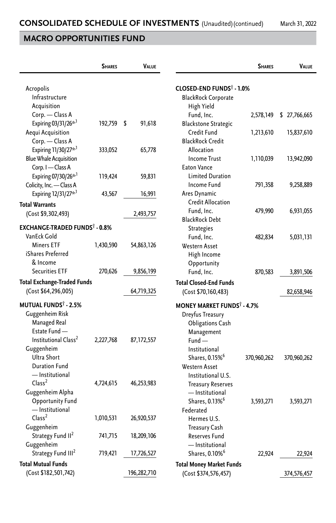|                                           | <b>SHARES</b> | VALUE        |                                              | <b>SHARES</b> | VALUE        |
|-------------------------------------------|---------------|--------------|----------------------------------------------|---------------|--------------|
| Acropolis                                 |               |              | CLOSED-END FUNDS <sup>†</sup> - 1.0%         |               |              |
| Infrastructure                            |               |              | <b>BlackRock Corporate</b>                   |               |              |
| Acquisition                               |               |              | High Yield                                   |               |              |
| Corp. - Class A                           |               |              | Fund, Inc.                                   | 2,578,149     | \$27,766,665 |
| Expiring 03/31/26 <sup>**</sup>           | 192,759       | \$<br>91,618 | <b>Blackstone Strategic</b>                  |               |              |
| Aequi Acquisition                         |               |              | Credit Fund                                  | 1,213,610     | 15,837,610   |
| Corp. - Class A                           |               |              | <b>BlackRock Credit</b>                      |               |              |
| Expiring 11/30/27 <sup>*</sup>            | 333,052       | 65,778       | Allocation                                   |               |              |
| <b>Blue Whale Acquisition</b>             |               |              | <b>Income Trust</b>                          | 1,110,039     | 13,942,090   |
| Corp. I - Class A                         |               |              | <b>Eaton Vance</b>                           |               |              |
| Expiring 07/30/26 <sup>**</sup>           | 119,424       | 59,831       | <b>Limited Duration</b>                      |               |              |
| Colicity, Inc. - Class A                  |               |              | Income Fund                                  | 791,358       | 9,258,889    |
| Expiring 12/31/27* <sup>1</sup>           | 43,567        | 16,991       | Ares Dynamic                                 |               |              |
|                                           |               |              | Credit Allocation                            |               |              |
| <b>Total Warrants</b>                     |               |              | Fund, Inc.                                   | 479,990       | 6,931,055    |
| (Cost \$9,302,493)                        |               | 2,493,757    | <b>BlackRock Debt</b>                        |               |              |
| EXCHANGE-TRADED FUNDS <sup>†</sup> - 0.8% |               |              | Strategies                                   |               |              |
| VanEck Gold                               |               |              | Fund, Inc.                                   | 482,834       | 5,031,131    |
| <b>Miners ETF</b>                         | 1,430,590     | 54,863,126   | Western Asset                                |               |              |
| iShares Preferred                         |               |              | High Income                                  |               |              |
| & Income                                  |               |              | Opportunity                                  |               |              |
| <b>Securities ETF</b>                     | 270,626       | 9,856,199    | Fund. Inc.                                   | 870,583       | 3,891,506    |
|                                           |               |              |                                              |               |              |
| <b>Total Exchange-Traded Funds</b>        |               |              | <b>Total Closed-End Funds</b>                |               |              |
| (Cost \$64,296,005)                       |               | 64,719,325   | (Cost \$70,160,483)                          |               | 82,658,946   |
| <b>MUTUAL FUNDS<sup>†</sup> - 2.5%</b>    |               |              | <b>MONEY MARKET FUNDS<sup>†</sup> - 4.7%</b> |               |              |
| Guggenheim Risk                           |               |              | Dreyfus Treasury                             |               |              |
| Managed Real                              |               |              | <b>Obligations Cash</b>                      |               |              |
| Estate Fund-                              |               |              | Management                                   |               |              |
| Institutional Class <sup>2</sup>          | 2,227,768     | 87,172,557   | $Fund -$                                     |               |              |
| Guggenheim                                |               |              | Institutional                                |               |              |
| Ultra Short                               |               |              | Shares, 0.15% <sup>6</sup>                   | 370,960,262   | 370,960,262  |
| <b>Duration Fund</b>                      |               |              | <b>Western Asset</b>                         |               |              |
| - Institutional                           |               |              | Institutional U.S.                           |               |              |
| Class <sup>2</sup>                        | 4,724,615     | 46,253,983   | <b>Treasury Reserves</b>                     |               |              |
| Guggenheim Alpha                          |               |              | - Institutional                              |               |              |
| <b>Opportunity Fund</b>                   |               |              | Shares, 0.13% <sup>6</sup>                   | 3,593,271     | 3,593,271    |
| — Institutional                           |               |              | Federated                                    |               |              |
| Class <sup>2</sup>                        | 1,010,531     | 26,920,537   | Hermes U.S.                                  |               |              |
| Guggenheim                                |               |              | <b>Treasury Cash</b>                         |               |              |
| Strategy Fund II <sup>2</sup>             | 741,715       | 18,209,106   | Reserves Fund                                |               |              |
| Guggenheim                                |               |              | $-$ Institutional                            |               |              |
| Strategy Fund III <sup>2</sup>            | 719,421       | 17,726,527   | Shares, 0.10% <sup>6</sup>                   | 22,924        | 22,924       |
| <b>Total Mutual Funds</b>                 |               |              | <b>Total Money Market Funds</b>              |               |              |
| (Cost \$182,501,742)                      |               | 196,282,710  | (Cost \$374,576,457)                         |               | 374,576,457  |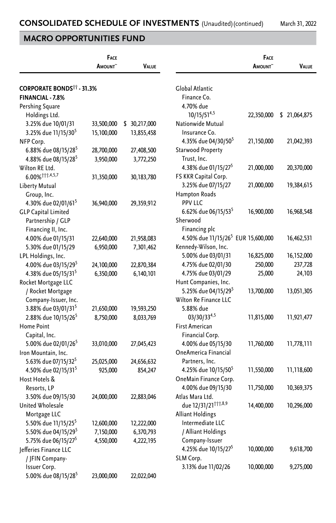|                                                 | <b>FACE</b><br><b>A</b> mount~ | <b>VALUE</b>  |                                                   | FACE<br>AMOUNT <sup>~</sup> | <b>VALUE</b>  |
|-------------------------------------------------|--------------------------------|---------------|---------------------------------------------------|-----------------------------|---------------|
|                                                 |                                |               |                                                   |                             |               |
| <b>CORPORATE BONDS<sup>11</sup> - 31.3%</b>     |                                |               | Global Atlantic                                   |                             |               |
| <b>FINANCIAL - 7.8%</b>                         |                                |               | Finance Co.                                       |                             |               |
| Pershing Square                                 |                                |               | 4.70% due                                         |                             |               |
| Holdings Ltd.                                   |                                |               | 10/15/51 <sup>4,5</sup>                           | 22,350,000                  | \$ 21,064,875 |
| 3.25% due 10/01/31                              | 33,500,000                     | \$ 30,217,000 | Nationwide Mutual                                 |                             |               |
| 3.25% due 11/15/30 <sup>5</sup>                 | 15,100,000                     | 13,855,458    | Insurance Co.                                     |                             |               |
| NFP Corp.                                       |                                |               | 4.35% due 04/30/50 <sup>5</sup>                   | 21,150,000                  | 21,042,393    |
| 6.88% due 08/15/28 <sup>5</sup>                 | 28,700,000                     | 27,408,500    | Starwood Property                                 |                             |               |
| 4.88% due 08/15/28 <sup>5</sup>                 | 3,950,000                      | 3,772,250     | Trust, Inc.                                       |                             |               |
| Wilton RE Ltd.                                  |                                |               | 4.38% due 01/15/27 <sup>5</sup>                   | 21,000,000                  | 20,370,000    |
| $6.00\%$ <sup>†††,4,5,7</sup>                   | 31,350,000                     | 30,183,780    | FS KKR Capital Corp.                              |                             |               |
| Liberty Mutual                                  |                                |               | 3.25% due 07/15/27                                | 21,000,000                  | 19,384,615    |
| Group, Inc.                                     |                                |               | Hampton Roads                                     |                             |               |
| 4.30% due 02/01/61 <sup>5</sup>                 | 36,940,000                     | 29,359,912    | PPV LLC                                           |                             |               |
| <b>GLP Capital Limited</b>                      |                                |               | 6.62% due 06/15/53 <sup>5</sup>                   | 16,900,000                  | 16,968,548    |
| Partnership / GLP                               |                                |               | Sherwood                                          |                             |               |
| Financing II, Inc.                              |                                |               | Financing plc                                     |                             |               |
| 4.00% due 01/15/31                              | 22,640,000                     | 21,958,083    | 4.50% due 11/15/26 <sup>5</sup> EUR 15,600,000    |                             | 16,462,531    |
| 5.30% due 01/15/29                              | 6,950,000                      | 7,301,462     | Kennedy-Wilson, Inc.                              |                             |               |
| LPL Holdings, Inc.                              |                                |               | 5.00% due 03/01/31                                | 16,825,000                  | 16,152,000    |
| 4.00% due 03/15/29 <sup>5</sup>                 | 24,100,000                     | 22,870,384    | 4.75% due 02/01/30                                | 250,000                     | 237,728       |
| 4.38% due 05/15/31 <sup>5</sup>                 | 6,350,000                      | 6,140,101     | 4.75% due 03/01/29                                | 25,000                      | 24,103        |
| Rocket Mortgage LLC                             |                                |               | Hunt Companies, Inc.                              |                             |               |
| / Rocket Mortgage                               |                                |               | 5.25% due 04/15/29 <sup>5</sup>                   | 13,700,000                  | 13,051,305    |
| Company-Issuer, Inc.                            |                                |               | Wilton Re Finance LLC                             |                             |               |
| 3.88% due 03/01/31 <sup>5</sup>                 | 21,650,000                     | 19,593,250    | 5.88% due                                         |                             |               |
| 2.88% due 10/15/26 <sup>5</sup>                 | 8,750,000                      | 8,033,769     | $03/30/33^{4,5}$                                  | 11,815,000                  | 11,921,477    |
| Home Point                                      |                                |               | <b>First American</b>                             |                             |               |
| Capital, Inc.                                   |                                |               | Financial Corp.                                   |                             |               |
| 5.00% due 02/01/26 <sup>5</sup>                 | 33,010,000                     | 27,045,423    | 4.00% due 05/15/30                                | 11,760,000                  | 11,778,111    |
| Iron Mountain, Inc.                             |                                |               | OneAmerica Financial                              |                             |               |
| 5.63% due 07/15/32 <sup>5</sup>                 | 25,025,000                     | 24,656,632    | Partners, Inc.                                    |                             |               |
| 4.50% due 02/15/31 <sup>5</sup>                 | 925,000                        | 854,247       | 4.25% due 10/15/50 <sup>5</sup>                   | 11,550,000                  | 11,118,600    |
| Host Hotels &                                   |                                |               | OneMain Finance Corp.                             |                             |               |
| Resorts, LP                                     |                                |               | 4.00% due 09/15/30                                | 11,750,000                  | 10,369,375    |
| 3.50% due 09/15/30                              | 24,000,000                     | 22,883,046    | Atlas Mara Ltd.                                   |                             |               |
| United Wholesale                                |                                |               | due 12/31/21 <sup>†††,8,9</sup>                   | 14,400,000                  | 10,296,000    |
| Mortgage LLC                                    |                                |               | <b>Alliant Holdings</b><br>Intermediate LLC       |                             |               |
| 5.50% due 11/15/25 <sup>5</sup>                 | 12,600,000                     | 12,222,000    |                                                   |                             |               |
| 5.50% due 04/15/29 <sup>5</sup>                 | 7,150,000                      | 6,370,793     | / Alliant Holdings                                |                             |               |
| 5.75% due 06/15/27 <sup>5</sup>                 | 4,550,000                      | 4,222,195     | Company-Issuer<br>4.25% due 10/15/27 <sup>5</sup> |                             |               |
| lefferies Finance LLC                           |                                |               |                                                   | 10,000,000                  | 9,618,700     |
| / JFIN Company-                                 |                                |               | SLM Corp.<br>3.13% due 11/02/26                   | 10,000,000                  | 9,275,000     |
| Issuer Corp.<br>5.00% due 08/15/28 <sup>5</sup> | 23,000,000                     |               |                                                   |                             |               |
|                                                 |                                | 22,022,040    |                                                   |                             |               |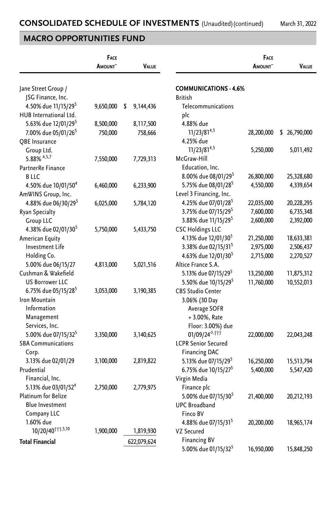|                                 | <b>FACE</b>         |                 |                                                | <b>FACE</b>         |               |
|---------------------------------|---------------------|-----------------|------------------------------------------------|---------------------|---------------|
|                                 | AMOUNT <sup>~</sup> | <b>VALUE</b>    |                                                | AMOUNT <sup>~</sup> | <b>VALUE</b>  |
| Jane Street Group /             |                     |                 | <b>COMMUNICATIONS - 4.6%</b>                   |                     |               |
| JSG Finance, Inc.               |                     |                 | <b>British</b>                                 |                     |               |
| 4.50% due 11/15/29 <sup>5</sup> | 9,650,000           | \$<br>9,144,436 | Telecommunications                             |                     |               |
| HUB International Ltd.          |                     |                 | plc                                            |                     |               |
| 5.63% due 12/01/29 <sup>5</sup> | 8,500,000           | 8,117,500       | 4.88% due                                      |                     |               |
| 7.00% due 05/01/26 <sup>5</sup> | 750,000             | 758,666         | 11/23/814,5                                    | 28,200,000          | \$ 26,790,000 |
| QBE Insurance                   |                     |                 | 4.25% due                                      |                     |               |
| Group Ltd.                      |                     |                 | 11/23/81 <sup>4,5</sup>                        | 5,250,000           | 5,011,492     |
| 5.88% 4,5,7                     | 7,550,000           | 7,729,313       | McGraw-Hill                                    |                     |               |
| PartnerRe Finance               |                     |                 | Education, Inc.                                |                     |               |
| <b>BLLC</b>                     |                     |                 | 8.00% due 08/01/29 <sup>5</sup>                | 26,800,000          | 25,328,680    |
| 4.50% due 10/01/50 <sup>4</sup> | 6,460,000           | 6,233,900       | 5.75% due 08/01/28 <sup>5</sup>                | 4,550,000           | 4,339,654     |
| AmWINS Group, Inc.              |                     |                 | Level 3 Financing, Inc.                        |                     |               |
| 4.88% due 06/30/29 <sup>5</sup> |                     |                 | 4.25% due 07/01/28 <sup>5</sup>                | 22,035,000          | 20,228,295    |
| <b>Ryan Specialty</b>           | 6,025,000           | 5,784,120       | 3.75% due 07/15/29 <sup>5</sup>                | 7,600,000           | 6,735,348     |
| <b>Group LLC</b>                |                     |                 | 3.88% due 11/15/29 <sup>5</sup>                | 2,600,000           | 2,392,000     |
| 4.38% due 02/01/30 <sup>5</sup> |                     |                 | <b>CSC Holdings LLC</b>                        |                     |               |
| American Equity                 | 5,750,000           | 5,433,750       | 4.13% due 12/01/30 <sup>5</sup>                | 21,250,000          | 18,633,381    |
| <b>Investment Life</b>          |                     |                 | 3.38% due 02/15/31 <sup>5</sup>                | 2,975,000           | 2,506,437     |
| Holding Co.                     |                     |                 | 4.63% due 12/01/30 <sup>5</sup>                | 2,715,000           |               |
| 5.00% due 06/15/27              | 4,813,000           | 5,021,516       | Altice France S.A.                             |                     | 2,270,527     |
| Cushman & Wakefield             |                     |                 | 5.13% due 07/15/29 <sup>5</sup>                | 13,250,000          | 11,875,312    |
| <b>US Borrower LLC</b>          |                     |                 | 5.50% due 10/15/29 <sup>5</sup>                |                     |               |
| 6.75% due 05/15/28 <sup>5</sup> | 3,053,000           | 3,190,385       | <b>CBS Studio Center</b>                       | 11,760,000          | 10,552,013    |
| Iron Mountain                   |                     |                 |                                                |                     |               |
| Information                     |                     |                 | 3.06% (30 Day                                  |                     |               |
| Management                      |                     |                 | Average SOFR                                   |                     |               |
| Services, Inc.                  |                     |                 | $+3.00\%$ , Rate<br>Floor: 3.00%) due          |                     |               |
| 5.00% due 07/15/32 <sup>5</sup> | 3,350,000           | 3,140,625       | 01/09/24 \$111                                 | 22,000,000          | 22,043,248    |
| <b>SBA Communications</b>       |                     |                 | <b>LCPR Senior Secured</b>                     |                     |               |
| Corp.                           |                     |                 | <b>Financing DAC</b>                           |                     |               |
| 3.13% due 02/01/29              | 3,100,000           | 2,819,822       | 5.13% due 07/15/29 <sup>5</sup>                | 16,250,000          | 15,513,794    |
| Prudential                      |                     |                 | 6.75% due 10/15/27 <sup>5</sup>                | 5,400,000           | 5,547,420     |
| Financial, Inc.                 |                     |                 |                                                |                     |               |
| 5.13% due 03/01/52 <sup>4</sup> |                     |                 | Virgin Media                                   |                     |               |
| Platinum for Belize             | 2,750,000           | 2,779,975       | Finance plc<br>5.00% due 07/15/30 <sup>5</sup> |                     |               |
| <b>Blue Investment</b>          |                     |                 | <b>UPC Broadband</b>                           | 21,400,000          | 20,212,193    |
| Company LLC                     |                     |                 | <b>Finco BV</b>                                |                     |               |
| 1.60% due                       |                     |                 |                                                |                     |               |
| 10/20/40 111,5,10               | 1,900,000           | 1,819,930       | 4.88% due 07/15/31 <sup>5</sup>                | 20,200,000          | 18,965,174    |
|                                 |                     |                 | VZ Secured                                     |                     |               |
| <b>Total Financial</b>          |                     | 622,079,624     | <b>Financing BV</b>                            |                     |               |
|                                 |                     |                 | 5.00% due 01/15/32 <sup>5</sup>                | 16,950,000          | 15,848,250    |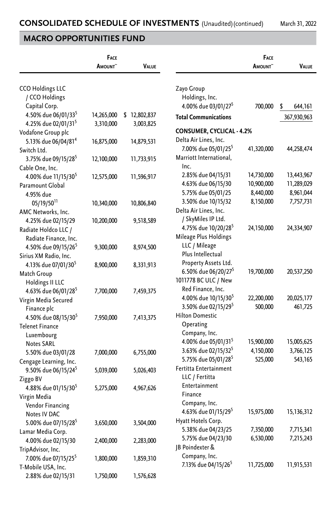|                                 | FACE       |              |                                                  | FACE       |               |
|---------------------------------|------------|--------------|--------------------------------------------------|------------|---------------|
|                                 | AMOUNT~    | <b>VALUE</b> |                                                  | AMOUNT~    | <b>VALUE</b>  |
|                                 |            |              |                                                  |            |               |
| <b>CCO Holdings LLC</b>         |            |              | Zayo Group                                       |            |               |
| / CCO Holdings                  |            |              | Holdings, Inc.                                   |            |               |
| Capital Corp.                   |            |              | 4.00% due 03/01/27 <sup>5</sup>                  | 700,000    | \$<br>644,161 |
| 4.50% due 06/01/33 <sup>5</sup> | 14,265,000 | \$12,802,837 | <b>Total Communications</b>                      |            | 367,930,963   |
| 4.25% due 02/01/31 <sup>5</sup> | 3,310,000  | 3,003,825    |                                                  |            |               |
| Vodafone Group plc              |            |              | <b>CONSUMER, CYCLICAL - 4.2%</b>                 |            |               |
| 5.13% due 06/04/81 <sup>4</sup> | 16,875,000 | 14,879,531   | Delta Air Lines, Inc.                            |            |               |
| Switch Ltd.                     |            |              | 7.00% due 05/01/25 <sup>5</sup>                  | 41,320,000 | 44,258,474    |
| 3.75% due 09/15/28 <sup>5</sup> | 12,100,000 | 11,733,915   | Marriott International,                          |            |               |
| Cable One, Inc.                 |            |              | Inc.                                             |            |               |
| 4.00% due 11/15/30 <sup>5</sup> | 12,575,000 | 11,596,917   | 2.85% due 04/15/31                               | 14,730,000 | 13,443,967    |
| Paramount Global                |            |              | 4.63% due 06/15/30                               | 10,900,000 | 11,289,029    |
| 4.95% due                       |            |              | 5.75% due 05/01/25                               | 8,440,000  | 8,961,044     |
| $05/19/50^{11}$                 | 10,340,000 | 10,806,840   | 3.50% due 10/15/32                               | 8,150,000  | 7,757,731     |
| AMC Networks, Inc.              |            |              | Delta Air Lines, Inc.                            |            |               |
| 4.25% due 02/15/29              | 10,200,000 | 9,518,589    | / SkyMiles IP Ltd.                               |            |               |
| Radiate Holdco LLC /            |            |              | 4.75% due 10/20/28 <sup>5</sup>                  | 24,150,000 | 24,334,907    |
| Radiate Finance, Inc.           |            |              | Mileage Plus Holdings                            |            |               |
| 4.50% due 09/15/26 <sup>5</sup> | 9,300,000  | 8,974,500    | LLC / Mileage                                    |            |               |
| Sirius XM Radio, Inc.           |            |              | Plus Intellectual                                |            |               |
| 4.13% due 07/01/30 <sup>5</sup> | 8,900,000  | 8,331,913    | Property Assets Ltd.                             |            |               |
| Match Group                     |            |              | 6.50% due 06/20/27 <sup>5</sup>                  | 19,700,000 | 20,537,250    |
| Holdings II LLC                 |            |              | 1011778 BC ULC / New                             |            |               |
| 4.63% due 06/01/28 <sup>5</sup> | 7,700,000  | 7,459,375    | Red Finance, Inc.                                |            |               |
| Virgin Media Secured            |            |              | 4.00% due 10/15/30 <sup>5</sup>                  | 22,200,000 | 20,025,177    |
| Finance plc                     |            |              | 3.50% due 02/15/29 <sup>5</sup>                  | 500,000    | 461,725       |
| 4.50% due 08/15/30 <sup>5</sup> | 7,950,000  | 7,413,375    | <b>Hilton Domestic</b>                           |            |               |
| <b>Telenet Finance</b>          |            |              | Operating                                        |            |               |
| Luxembourg                      |            |              | Company, Inc.                                    |            |               |
| <b>Notes SARL</b>               |            |              | 4.00% due 05/01/31 <sup>5</sup>                  | 15,900,000 | 15,005,625    |
| 5.50% due 03/01/28              | 7,000,000  | 6,755,000    | 3.63% due 02/15/32 <sup>5</sup>                  | 4,150,000  | 3,766,125     |
| Cengage Learning, Inc.          |            |              | 5.75% due 05/01/28 <sup>5</sup>                  | 525,000    | 543,165       |
| 9.50% due 06/15/24 <sup>5</sup> | 5,039,000  | 5,026,403    | Fertitta Entertainment                           |            |               |
| Ziggo BV                        |            |              | LLC / Fertitta                                   |            |               |
| 4.88% due 01/15/30 <sup>5</sup> | 5,275,000  | 4,967,626    | Entertainment                                    |            |               |
| Virgin Media                    |            |              | Finance                                          |            |               |
| Vendor Financing                |            |              | Company, Inc.                                    |            |               |
| Notes IV DAC                    |            |              | 4.63% due 01/15/29 <sup>5</sup>                  | 15,975,000 | 15,136,312    |
| 5.00% due 07/15/28 <sup>5</sup> | 3,650,000  | 3,504,000    | Hyatt Hotels Corp.                               |            |               |
| Lamar Media Corp.               |            |              | 5.38% due 04/23/25                               | 7,350,000  | 7,715,341     |
| 4.00% due 02/15/30              | 2,400,000  | 2,283,000    | 5.75% due 04/23/30                               | 6,530,000  | 7,215,243     |
| TripAdvisor, Inc.               |            |              | JB Poindexter &                                  |            |               |
| 7.00% due 07/15/25 <sup>5</sup> | 1,800,000  | 1,859,310    | Company, Inc.<br>7.13% due 04/15/26 <sup>5</sup> |            |               |
| T-Mobile USA, Inc.              |            |              |                                                  | 11,725,000 | 11,915,531    |
| 2.88% due 02/15/31              | 1,750,000  | 1,576,628    |                                                  |            |               |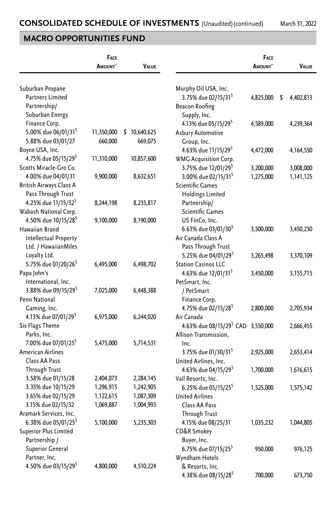|                                                  | <b>FACE</b><br>AMOUNT <sup>~</sup> | <b>VALUE</b> |                                               | <b>FACE</b><br>AMOUNT~ | <b>VALUE</b>    |
|--------------------------------------------------|------------------------------------|--------------|-----------------------------------------------|------------------------|-----------------|
|                                                  |                                    |              |                                               |                        |                 |
| Suburban Propane                                 |                                    |              | Murphy Oil USA, Inc.                          |                        |                 |
| Partners Limited                                 |                                    |              | 3.75% due 02/15/31 <sup>5</sup>               | 4,825,000              | \$<br>4,402,813 |
| Partnership/                                     |                                    |              | <b>Beacon Roofing</b>                         |                        |                 |
| Suburban Energy                                  |                                    |              | Supply, Inc.                                  |                        |                 |
| Finance Corp.                                    |                                    |              | 4.13% due 05/15/29 <sup>5</sup>               | 4,589,000              | 4,239,364       |
| 5.00% due 06/01/31 <sup>5</sup>                  | 11,350,000                         | \$10,640,625 | <b>Asbury Automotive</b>                      |                        |                 |
| 5.88% due 03/01/27                               | 660,000                            | 669,075      | Group, Inc.                                   |                        |                 |
| Boyne USA, Inc.                                  |                                    |              | 4.63% due 11/15/29 <sup>5</sup>               | 4,472,000              | 4,164,550       |
| 4.75% due 05/15/29 <sup>5</sup>                  | 11,310,000                         | 10,857,600   | <b>WMG Acquisition Corp.</b>                  |                        |                 |
| Scotts Miracle-Gro Co.                           |                                    |              | 3.75% due 12/01/29 <sup>5</sup>               | 3,200,000              | 3,008,000       |
| 4.00% due 04/01/31                               | 9,900,000                          | 8,632,651    | 3.00% due 02/15/31 <sup>5</sup>               | 1,275,000              | 1,141,125       |
| British Airways Class A                          |                                    |              | Scientific Games                              |                        |                 |
| Pass Through Trust                               |                                    |              | <b>Holdings Limited</b>                       |                        |                 |
| 4.25% due 11/15/32 <sup>5</sup>                  | 8,244,198                          | 8,235,817    | Partnership/                                  |                        |                 |
| Wabash National Corp.                            |                                    |              | Scientific Games                              |                        |                 |
| 4.50% due 10/15/28 <sup>5</sup>                  | 9,100,000                          | 8,190,000    | US FinCo, Inc.                                |                        |                 |
| Hawaiian Brand                                   |                                    |              | 6.63% due 03/01/30 <sup>5</sup>               | 3,500,000              | 3,450,230       |
| <b>Intellectual Property</b>                     |                                    |              | Air Canada Class A                            |                        |                 |
| Ltd. / HawaiianMiles                             |                                    |              | Pass Through Trust                            |                        |                 |
| Loyalty Ltd.                                     |                                    |              | 5.25% due 04/01/29 <sup>5</sup>               | 3,265,498              | 3,370,109       |
| 5.75% due 01/20/26 <sup>5</sup>                  | 6,495,000                          | 6,498,702    | <b>Station Casinos LLC</b>                    |                        |                 |
| Papa John's                                      |                                    |              | 4.63% due 12/01/31 <sup>3</sup>               | 3,450,000              | 3,155,715       |
| International, Inc.                              |                                    |              | PetSmart, Inc.                                |                        |                 |
| 3.88% due 09/15/29 <sup>5</sup>                  | 7,025,000                          | 6,448,388    | / PetSmart                                    |                        |                 |
| Penn National                                    |                                    |              | Finance Corp.                                 |                        |                 |
| Gaming, Inc.                                     |                                    |              | 4.75% due 02/15/28 <sup>5</sup>               | 2,800,000              | 2,705,934       |
| 4.13% due 07/01/29 <sup>5</sup>                  | 6,975,000                          | 6,244,020    | Air Canada                                    |                        |                 |
| Six Flags Theme                                  |                                    |              | 4.63% due 08/15/29 <sup>5</sup> CAD 3,550,000 |                        | 2,666,455       |
| Parks, Inc.                                      |                                    |              | Allison Transmission,                         |                        |                 |
| 7.00% due 07/01/25 <sup>5</sup>                  | 5,475,000                          | 5,714,531    | Inc.                                          |                        |                 |
| <b>American Airlines</b>                         |                                    |              | 3.75% due 01/30/31 <sup>5</sup>               | 2,925,000              | 2,653,414       |
| Class AA Pass                                    |                                    |              | United Airlines, Inc.                         |                        |                 |
| <b>Through Trust</b>                             |                                    |              | 4.63% due 04/15/29 <sup>5</sup>               | 1,700,000              | 1,616,615       |
| 3.58% due 01/15/28                               | 2,404,073                          | 2,284,145    | Vail Resorts, Inc.                            |                        |                 |
| 3.35% due 10/15/29                               | 1,296,915                          | 1,242,905    | 6.25% due 05/15/25 <sup>5</sup>               | 1,525,000              | 1,575,142       |
| 3.65% due 02/15/29                               | 1,122,615                          | 1,087,309    | <b>United Airlines</b>                        |                        |                 |
| 3.15% due 02/15/32                               | 1,069,887                          | 1,004,993    | Class AA Pass                                 |                        |                 |
| Aramark Services, Inc.                           |                                    |              | <b>Through Trust</b>                          |                        |                 |
| 6.38% due 05/01/25 <sup>5</sup>                  | 5,100,000                          | 5,235,303    | 4.15% due 08/25/31                            | 1,035,232              | 1,044,805       |
| Superior Plus Limited                            |                                    |              | CD&R Smokey                                   |                        |                 |
| Partnership /                                    |                                    |              | Buyer, Inc.                                   |                        |                 |
| Superior General                                 |                                    |              | 6.75% due 07/15/25 <sup>5</sup>               | 950,000                | 976,125         |
| Partner, Inc.<br>4.50% due 03/15/29 <sup>5</sup> |                                    |              | Wyndham Hotels                                |                        |                 |
|                                                  | 4,800,000                          | 4,510,224    | & Resorts, Inc.                               |                        |                 |
|                                                  |                                    |              | 4.38% due 08/15/28 <sup>5</sup>               | 700,000                | 673,750         |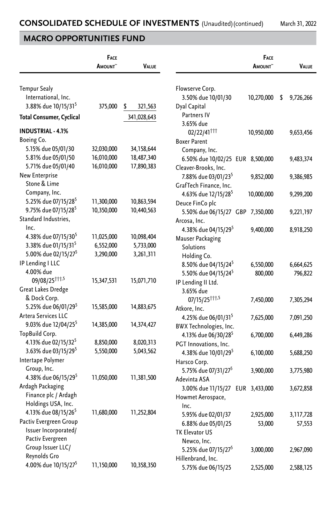|                                 | FACE<br>AMOUNT <sup>~</sup> | <b>VALUE</b>  |                                  | FACE<br>AMOUNT <sup>~</sup> | VALUE           |
|---------------------------------|-----------------------------|---------------|----------------------------------|-----------------------------|-----------------|
|                                 |                             |               |                                  |                             |                 |
| <b>Tempur Sealy</b>             |                             |               | Flowserve Corp.                  |                             |                 |
| International, Inc.             |                             |               | 3.50% due 10/01/30               | 10,270,000                  | \$<br>9,726,266 |
| 3.88% due 10/15/31 <sup>3</sup> | 375,000                     | 321,563<br>\$ | Dyal Capital                     |                             |                 |
| <b>Total Consumer, Cyclical</b> |                             | 341,028,643   | <b>Partners IV</b>               |                             |                 |
|                                 |                             |               | 3.65% due                        |                             |                 |
| <b>INDUSTRIAL - 4.1%</b>        |                             |               | 02/22/41111                      | 10,950,000                  | 9,653,456       |
| Boeing Co.                      |                             |               | <b>Boxer Parent</b>              |                             |                 |
| 5.15% due 05/01/30              | 32,030,000                  | 34, 158, 644  | Company, Inc.                    |                             |                 |
| 5.81% due 05/01/50              | 16,010,000                  | 18,487,340    | 6.50% due 10/02/25 EUR 8,500,000 |                             | 9,483,374       |
| 5.71% due 05/01/40              | 16,010,000                  | 17,890,383    | Cleaver-Brooks, Inc.             |                             |                 |
| New Enterprise                  |                             |               | 7.88% due 03/01/23 <sup>5</sup>  | 9,852,000                   | 9,386,985       |
| Stone & Lime                    |                             |               | GrafTech Finance, Inc.           |                             |                 |
| Company, Inc.                   |                             |               | 4.63% due 12/15/28 <sup>5</sup>  | 10,000,000                  | 9,299,200       |
| 5.25% due 07/15/28 <sup>5</sup> | 11,300,000                  | 10,863,594    | Deuce FinCo plc                  |                             |                 |
| 9.75% due 07/15/28 <sup>5</sup> | 10,350,000                  | 10,440,563    | 5.50% due 06/15/27 GBP           | 7,350,000                   | 9,221,197       |
| Standard Industries.            |                             |               | Arcosa, Inc.                     |                             |                 |
| Inc.                            |                             |               | 4.38% due 04/15/29 <sup>5</sup>  | 9,400,000                   | 8,918,250       |
| 4.38% due 07/15/30 <sup>5</sup> | 11,025,000                  | 10,098,404    | Mauser Packaging                 |                             |                 |
| 3.38% due 01/15/31 <sup>5</sup> | 6,552,000                   | 5,733,000     | Solutions                        |                             |                 |
| 5.00% due 02/15/27 <sup>5</sup> | 3,290,000                   | 3,261,311     | Holding Co.                      |                             |                 |
| IP Lending I LLC                |                             |               | 8.50% due 04/15/24 <sup>5</sup>  | 6,550,000                   | 6,664,625       |
| 4.00% due                       |                             |               | 5.50% due 04/15/24 <sup>5</sup>  | 800,000                     | 796,822         |
| 09/08/25 11,5                   | 15,347,531                  | 15,071,710    | IP Lending II Ltd.               |                             |                 |
| <b>Great Lakes Dredge</b>       |                             |               | 3.65% due                        |                             |                 |
| & Dock Corp.                    |                             |               | 07/15/25 111,5                   | 7,450,000                   | 7,305,294       |
| 5.25% due 06/01/29 <sup>5</sup> | 15,585,000                  | 14,883,675    | Atkore, Inc.                     |                             |                 |
| Artera Services LLC             |                             |               | 4.25% due 06/01/31 <sup>5</sup>  | 7,625,000                   | 7,091,250       |
| 9.03% due 12/04/25 <sup>5</sup> | 14,385,000                  | 14,374,427    | BWX Technologies, Inc.           |                             |                 |
| TopBuild Corp.                  |                             |               | 4.13% due 06/30/28 <sup>5</sup>  | 6,700,000                   | 6,449,286       |
| 4.13% due 02/15/32 <sup>5</sup> | 8,850,000                   | 8,020,313     | PGT Innovations, Inc.            |                             |                 |
| 3.63% due 03/15/29 <sup>5</sup> | 5,550,000                   | 5,043,562     | 4.38% due 10/01/29 <sup>5</sup>  | 6,100,000                   | 5,688,250       |
| Intertape Polymer               |                             |               | Harsco Corp.                     |                             |                 |
| Group, Inc.                     |                             |               | 5.75% due 07/31/27 <sup>5</sup>  | 3,900,000                   | 3,775,980       |
| 4.38% due 06/15/29 <sup>5</sup> | 11,050,000                  | 11,381,500    | Adevinta ASA                     |                             |                 |
| Ardagh Packaging                |                             |               | 3.00% due 11/15/27 EUR 3,433,000 |                             | 3,672,858       |
| Finance plc / Ardagh            |                             |               | Howmet Aerospace,                |                             |                 |
| Holdings USA, Inc.              |                             |               | Inc.                             |                             |                 |
| 4.13% due 08/15/26 <sup>5</sup> | 11,680,000                  | 11,252,804    | 5.95% due 02/01/37               | 2,925,000                   | 3,117,728       |
| Pactiv Evergreen Group          |                             |               | 6.88% due 05/01/25               | 53,000                      | 57,553          |
| Issuer Incorporated/            |                             |               | <b>TK Elevator US</b>            |                             |                 |
| Pactiv Evergreen                |                             |               | Newco, Inc.                      |                             |                 |
| Group Issuer LLC/               |                             |               | 5.25% due 07/15/27 <sup>5</sup>  | 3,000,000                   | 2,967,090       |
| Reynolds Gro                    |                             |               | Hillenbrand, Inc.                |                             |                 |
| 4.00% due 10/15/27 <sup>5</sup> | 11,150,000                  | 10,358,350    | 5.75% due 06/15/25               | 2,525,000                   | 2,588,125       |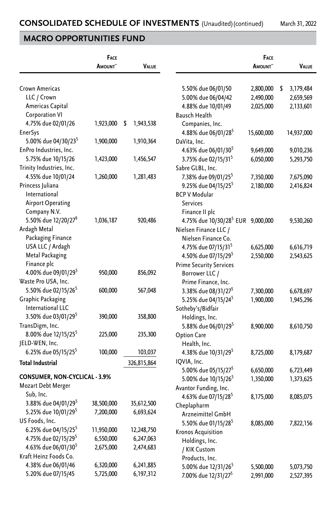|                                                             | FACE<br>Amount~ | <b>VALUE</b>    |                                               | FACE<br>Amount~ | <b>VALUE</b>    |
|-------------------------------------------------------------|-----------------|-----------------|-----------------------------------------------|-----------------|-----------------|
| Crown Americas                                              |                 |                 | 5.50% due 06/01/50                            | 2,800,000       | \$<br>3,179,484 |
| LLC / Crown                                                 |                 |                 | 5.00% due 06/04/42                            | 2,490,000       | 2,659,569       |
| Americas Capital                                            |                 |                 | 4.88% due 10/01/49                            | 2,025,000       | 2,133,601       |
| <b>Corporation VI</b>                                       |                 |                 | <b>Bausch Health</b>                          |                 |                 |
| 4.75% due 02/01/26                                          | 1,923,000       | 1,943,538<br>\$ | Companies, Inc.                               |                 |                 |
| <b>EnerSys</b>                                              |                 |                 | 4.88% due 06/01/28 <sup>5</sup>               | 15,600,000      | 14,937,000      |
| 5.00% due 04/30/23 <sup>5</sup>                             | 1,900,000       | 1,910,364       | DaVita, Inc.                                  |                 |                 |
| EnPro Industries, Inc.                                      |                 |                 | 4.63% due 06/01/30 <sup>5</sup>               | 9,649,000       | 9,010,236       |
| 5.75% due 10/15/26                                          | 1,423,000       | 1,456,547       | 3.75% due 02/15/31 <sup>5</sup>               | 6,050,000       | 5,293,750       |
| Trinity Industries, Inc.                                    |                 |                 | Sabre GLBL, Inc.                              |                 |                 |
| 4.55% due 10/01/24                                          | 1,260,000       | 1,281,483       | 7.38% due 09/01/25 <sup>5</sup>               | 7,350,000       | 7,675,090       |
| Princess Juliana                                            |                 |                 | 9.25% due 04/15/25 <sup>5</sup>               | 2,180,000       | 2,416,824       |
| International                                               |                 |                 | <b>BCPV Modular</b>                           |                 |                 |
| <b>Airport Operating</b>                                    |                 |                 | <b>Services</b>                               |                 |                 |
| Company N.V.                                                |                 |                 | Finance II plc                                |                 |                 |
| 5.50% due 12/20/27 <sup>9</sup>                             | 1,036,187       | 920,486         | 4.75% due 10/30/28 <sup>5</sup> EUR 9,000,000 |                 | 9,530,260       |
| Ardagh Metal                                                |                 |                 | Nielsen Finance LLC /                         |                 |                 |
| Packaging Finance                                           |                 |                 | Nielsen Finance Co.                           |                 |                 |
| USA LLC / Ardagh                                            |                 |                 | 4.75% due 07/15/31 <sup>5</sup>               | 6,625,000       | 6,616,719       |
| <b>Metal Packaging</b>                                      |                 |                 | 4.50% due 07/15/29 <sup>5</sup>               | 2,550,000       | 2,543,625       |
| Finance plc                                                 |                 |                 | <b>Prime Security Services</b>                |                 |                 |
| 4.00% due 09/01/29 <sup>5</sup>                             | 950,000         | 856,092         | Borrower LLC /                                |                 |                 |
| Waste Pro USA, Inc.                                         |                 |                 | Prime Finance, Inc.                           |                 |                 |
| 5.50% due 02/15/26 <sup>5</sup>                             | 600,000         | 567,048         | 3.38% due 08/31/27 <sup>5</sup>               | 7,300,000       | 6,678,697       |
| Graphic Packaging                                           |                 |                 | 5.25% due 04/15/24 <sup>5</sup>               | 1,900,000       | 1,945,296       |
| <b>International LLC</b><br>3.50% due 03/01/29 <sup>5</sup> | 390,000         | 358,800         | Sotheby's/Bidfair                             |                 |                 |
|                                                             |                 |                 | Holdings, Inc.                                |                 |                 |
| TransDigm, Inc.<br>8.00% due 12/15/25 <sup>5</sup>          | 225,000         | 235,300         | 5.88% due 06/01/29 <sup>5</sup>               | 8,900,000       | 8,610,750       |
| JELD-WEN, Inc.                                              |                 |                 | <b>Option Care</b><br>Health, Inc.            |                 |                 |
| 6.25% due 05/15/25 <sup>5</sup>                             | 100,000         | 103,037         | 4.38% due 10/31/29 <sup>5</sup>               | 8,725,000       | 8,179,687       |
|                                                             |                 |                 | IQVIA, Inc.                                   |                 |                 |
| <b>Total Industrial</b>                                     |                 | 326,815,864     | 5.00% due 05/15/27 <sup>5</sup>               | 6,650,000       | 6,723,449       |
| CONSUMER, NON-CYCLICAL - 3.9%                               |                 |                 | 5.00% due 10/15/26 <sup>5</sup>               | 1,350,000       | 1,373,625       |
| Mozart Debt Merger                                          |                 |                 | Avantor Funding, Inc.                         |                 |                 |
| Sub, Inc.                                                   |                 |                 | 4.63% due 07/15/28 <sup>5</sup>               | 8,175,000       | 8,085,075       |
| 3.88% due 04/01/29 <sup>5</sup>                             | 38,500,000      | 35,612,500      | Cheplapharm                                   |                 |                 |
| 5.25% due 10/01/29 <sup>5</sup>                             | 7,200,000       | 6,693,624       | Arzneimittel GmbH                             |                 |                 |
| US Foods, Inc.                                              |                 |                 | 5.50% due 01/15/28 <sup>5</sup>               | 8,085,000       | 7,822,156       |
| 6.25% due 04/15/25 <sup>5</sup>                             | 11,950,000      | 12,248,750      | Kronos Acquisition                            |                 |                 |
| 4.75% due 02/15/29 <sup>5</sup>                             | 6,550,000       | 6,247,063       | Holdings, Inc.                                |                 |                 |
| 4.63% due 06/01/30 <sup>5</sup>                             | 2,675,000       | 2,474,683       | / KIK Custom                                  |                 |                 |
| Kraft Heinz Foods Co.                                       |                 |                 | Products, Inc.                                |                 |                 |
| 4.38% due 06/01/46                                          | 6,320,000       | 6,241,885       | 5.00% due 12/31/26 <sup>5</sup>               | 5,500,000       | 5,073,750       |
| 5.20% due 07/15/45                                          | 5,725,000       | 6, 197, 312     | 7.00% due 12/31/27 <sup>5</sup>               | 2,991,000       | 2,527,395       |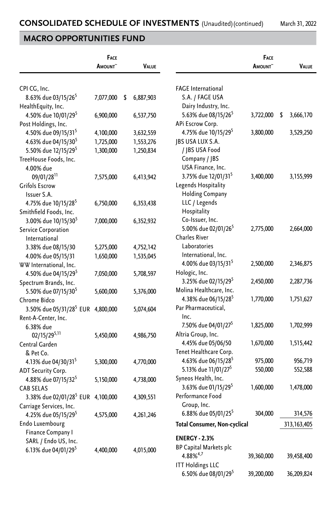|                                               | FACE<br><b>A</b> mount~ | <b>VALUE</b>    |                                                           | FACE<br>AMOUNT <sup>~</sup> | VALUE              |
|-----------------------------------------------|-------------------------|-----------------|-----------------------------------------------------------|-----------------------------|--------------------|
| CPI CG, Inc.                                  |                         |                 | <b>FAGE</b> International                                 |                             |                    |
| 8.63% due 03/15/26 <sup>5</sup>               | 7,077,000               | \$<br>6,887,903 | S.A. / FAGE USA                                           |                             |                    |
| HealthEquity, Inc.                            |                         |                 | Dairy Industry, Inc.                                      |                             |                    |
| 4.50% due 10/01/29 <sup>5</sup>               | 6,900,000               | 6,537,750       | 5.63% due 08/15/26 <sup>5</sup>                           | 3,722,000                   | \$<br>3,666,170    |
| Post Holdings, Inc.                           |                         |                 | APi Escrow Corp.                                          |                             |                    |
| 4.50% due 09/15/31 <sup>5</sup>               | 4,100,000               | 3,632,559       | 4.75% due 10/15/29 <sup>5</sup>                           | 3,800,000                   | 3,529,250          |
| 4.63% due 04/15/30 <sup>5</sup>               | 1,725,000               | 1,553,276       | JBS USA LUX S.A.                                          |                             |                    |
| 5.50% due 12/15/29 <sup>5</sup>               | 1,300,000               | 1,250,834       | / JBS USA Food                                            |                             |                    |
| TreeHouse Foods, Inc.                         |                         |                 | Company / JBS                                             |                             |                    |
| 4.00% due                                     |                         |                 | USA Finance, Inc.                                         |                             |                    |
| 09/01/28 <sup>11</sup>                        | 7,575,000               | 6,413,942       | 3.75% due 12/01/31 <sup>5</sup>                           | 3,400,000                   | 3,155,999          |
| <b>Grifols Escrow</b>                         |                         |                 | Legends Hospitality                                       |                             |                    |
| Issuer S.A.                                   |                         |                 | <b>Holding Company</b>                                    |                             |                    |
| 4.75% due 10/15/28 <sup>5</sup>               | 6,750,000               | 6,353,438       | LLC / Legends                                             |                             |                    |
| Smithfield Foods, Inc.                        |                         |                 | Hospitality                                               |                             |                    |
| 3.00% due 10/15/30 <sup>5</sup>               | 7,000,000               | 6,352,932       | Co-Issuer, Inc.                                           |                             |                    |
| Service Corporation                           |                         |                 | 5.00% due 02/01/26 <sup>5</sup>                           | 2,775,000                   | 2,664,000          |
| International                                 |                         |                 | <b>Charles River</b>                                      |                             |                    |
| 3.38% due 08/15/30                            | 5,275,000               | 4,752,142       | Laboratories                                              |                             |                    |
| 4.00% due 05/15/31                            | 1,650,000               | 1,535,045       | International, Inc.                                       |                             |                    |
| WW International, Inc.                        |                         |                 | 4.00% due 03/15/31 <sup>3</sup>                           | 2,500,000                   | 2,346,875          |
| 4.50% due 04/15/29 <sup>5</sup>               | 7,050,000               | 5,708,597       | Hologic, Inc.                                             |                             |                    |
| Spectrum Brands, Inc.                         |                         |                 | 3.25% due 02/15/29 <sup>5</sup>                           | 2,450,000                   | 2,287,736          |
| 5.50% due 07/15/30 <sup>5</sup>               | 5,600,000               | 5,376,000       | Molina Healthcare, Inc.                                   |                             |                    |
| Chrome Bidco                                  |                         |                 | 4.38% due 06/15/28 <sup>5</sup>                           | 1,770,000                   | 1,751,627          |
| 3.50% due 05/31/28 <sup>5</sup> EUR 4,800,000 |                         | 5,074,604       | Par Pharmaceutical,                                       |                             |                    |
| Rent-A-Center, Inc.                           |                         |                 | Inc.                                                      |                             |                    |
| 6.38% due                                     |                         |                 | 7.50% due 04/01/27 <sup>5</sup>                           | 1,825,000                   | 1,702,999          |
| 02/15/295,11                                  | 5,450,000               | 4,986,750       | Altria Group, Inc.                                        |                             |                    |
| Central Garden                                |                         |                 | 4.45% due 05/06/50                                        | 1,670,000                   | 1,515,442          |
| & Pet Co.                                     |                         |                 | Tenet Healthcare Corp.<br>4.63% due 06/15/28 <sup>5</sup> | 975,000                     |                    |
| 4.13% due 04/30/31 <sup>5</sup>               | 5,300,000               | 4,770,000       | 5.13% due 11/01/27 <sup>5</sup>                           | 550,000                     | 956,719<br>552,588 |
| ADT Security Corp.                            |                         |                 | Syneos Health, Inc.                                       |                             |                    |
| 4.88% due 07/15/32 <sup>5</sup>               | 5,150,000               | 4,738,000       | 3.63% due 01/15/29 <sup>5</sup>                           | 1,600,000                   | 1,478,000          |
| <b>CAB SELAS</b>                              |                         |                 | Performance Food                                          |                             |                    |
| 3.38% due 02/01/28 <sup>5</sup> EUR           | 4,100,000               | 4,309,551       | Group, Inc.                                               |                             |                    |
| Carriage Services, Inc.                       |                         |                 | 6.88% due 05/01/25 <sup>5</sup>                           | 304,000                     | 314,576            |
| 4.25% due 05/15/29 <sup>5</sup>               | 4,575,000               | 4,261,246       |                                                           |                             |                    |
| Endo Luxembourg<br>Finance Company I          |                         |                 | <b>Total Consumer, Non-cyclical</b>                       |                             | 313, 163, 405      |
| SARL / Endo US, Inc.                          |                         |                 | <b>ENERGY - 2.3%</b>                                      |                             |                    |
| 6.13% due 04/01/29 <sup>5</sup>               | 4,400,000               | 4,015,000       | <b>BP Capital Markets plc</b>                             |                             |                    |
|                                               |                         |                 | 4.88% <sup>4,7</sup>                                      | 39,360,000                  | 39,458,400         |
|                                               |                         |                 | <b>ITT Holdings LLC</b>                                   |                             |                    |
|                                               |                         |                 | 6.50% due 08/01/29 <sup>5</sup>                           | 39,200,000                  | 36,209,824         |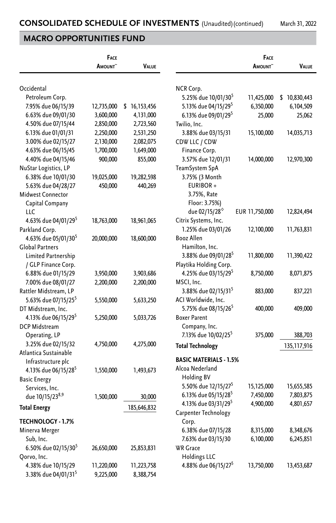|                                 | FACE       |              |                                 | FACE                |              |
|---------------------------------|------------|--------------|---------------------------------|---------------------|--------------|
|                                 | AMOUNT~    | <b>VALUE</b> |                                 | AMOUNT <sup>~</sup> | <b>VALUE</b> |
| Occidental                      |            |              | NCR Corp.                       |                     |              |
| Petroleum Corp.                 |            |              | 5.25% due 10/01/30 <sup>5</sup> | 11,425,000          | \$10,830,443 |
| 7.95% due 06/15/39              | 12,735,000 | \$16,153,456 | 5.13% due 04/15/29 <sup>5</sup> | 6,350,000           | 6,104,509    |
| 6.63% due 09/01/30              | 3,600,000  | 4,131,000    | 6.13% due 09/01/29 <sup>5</sup> | 25,000              | 25,062       |
| 4.50% due 07/15/44              | 2,850,000  | 2,723,560    | Twilio, Inc.                    |                     |              |
| 6.13% due 01/01/31              | 2,250,000  | 2,531,250    | 3.88% due 03/15/31              | 15,100,000          | 14,035,713   |
| 3.00% due 02/15/27              | 2,130,000  | 2,082,075    | CDW LLC / CDW                   |                     |              |
| 4.63% due 06/15/45              | 1,700,000  | 1,649,000    | Finance Corp.                   |                     |              |
| 4.40% due 04/15/46              | 900,000    | 855,000      | 3.57% due 12/01/31              | 14,000,000          | 12,970,300   |
| NuStar Logistics, LP            |            |              | TeamSystem SpA                  |                     |              |
| 6.38% due 10/01/30              | 19,025,000 | 19,282,598   | 3.75% (3 Month                  |                     |              |
| 5.63% due 04/28/27              | 450,000    | 440,269      | EURIBOR+                        |                     |              |
| <b>Midwest Connector</b>        |            |              | 3.75%, Rate                     |                     |              |
| Capital Company                 |            |              | Floor: 3.75%)                   |                     |              |
| LLC                             |            |              | due 02/15/28 <sup>%</sup>       | EUR 11,750,000      | 12,824,494   |
| 4.63% due 04/01/29 <sup>5</sup> | 18,763,000 | 18,961,065   | Citrix Systems, Inc.            |                     |              |
| Parkland Corp.                  |            |              | 1.25% due 03/01/26              | 12,100,000          | 11,763,831   |
| 4.63% due 05/01/30 <sup>5</sup> | 20,000,000 | 18,600,000   | <b>Booz Allen</b>               |                     |              |
| <b>Global Partners</b>          |            |              | Hamilton, Inc.                  |                     |              |
| Limited Partnership             |            |              | 3.88% due 09/01/28 <sup>5</sup> | 11,800,000          | 11,390,422   |
| / GLP Finance Corp.             |            |              | Playtika Holding Corp.          |                     |              |
| 6.88% due 01/15/29              | 3,950,000  | 3,903,686    | 4.25% due 03/15/29 <sup>5</sup> | 8,750,000           | 8,071,875    |
| 7.00% due 08/01/27              | 2,200,000  | 2,200,000    | MSCI, Inc.                      |                     |              |
| Rattler Midstream, LP           |            |              | 3.88% due 02/15/31 <sup>5</sup> | 883,000             | 837,221      |
| 5.63% due 07/15/25 <sup>5</sup> | 5,550,000  | 5,633,250    | ACI Worldwide, Inc.             |                     |              |
| DT Midstream, Inc.              |            |              | 5.75% due 08/15/26 <sup>5</sup> | 400,000             | 409,000      |
| 4.13% due 06/15/29 <sup>5</sup> | 5,250,000  | 5,033,726    | <b>Boxer Parent</b>             |                     |              |
| DCP Midstream                   |            |              | Company, Inc.                   |                     |              |
| Operating, LP                   |            |              | 7.13% due 10/02/25 <sup>5</sup> | 375,000             | 388,703      |
| 3.25% due 02/15/32              | 4,750,000  | 4,275,000    | <b>Total Technology</b>         |                     | 135,117,916  |
| Atlantica Sustainable           |            |              |                                 |                     |              |
| Infrastructure plc              |            |              | <b>BASIC MATERIALS - 1.5%</b>   |                     |              |
| 4.13% due 06/15/28 <sup>5</sup> | 1,550,000  | 1,493,673    | Alcoa Nederland                 |                     |              |
| <b>Basic Energy</b>             |            |              | <b>Holding BV</b>               |                     |              |
| Services, Inc.                  |            |              | 5.50% due 12/15/27 <sup>5</sup> | 15,125,000          | 15,655,585   |
| due 10/15/238,9                 | 1,500,000  | 30,000       | 6.13% due 05/15/28 <sup>5</sup> | 7,450,000           | 7,803,875    |
| <b>Total Energy</b>             |            | 185,646,832  | 4.13% due 03/31/29 <sup>5</sup> | 4,900,000           | 4,801,657    |
|                                 |            |              | Carpenter Technology            |                     |              |
| <b>TECHNOLOGY - 1.7%</b>        |            |              | Corp.                           |                     |              |
| Minerva Merger                  |            |              | 6.38% due 07/15/28              | 8,315,000           | 8,348,676    |
| Sub, Inc.                       |            |              | 7.63% due 03/15/30              | 6,100,000           | 6,245,851    |
| 6.50% due 02/15/30 <sup>5</sup> | 26,650,000 | 25,853,831   | <b>WR Grace</b>                 |                     |              |
| Qorvo, Inc.                     |            |              | <b>Holdings LLC</b>             |                     |              |
| 4.38% due 10/15/29              | 11,220,000 | 11,223,758   | 4.88% due 06/15/27 <sup>5</sup> | 13,750,000          | 13,453,687   |
| 3.38% due 04/01/31 <sup>5</sup> | 9,225,000  | 8,388,754    |                                 |                     |              |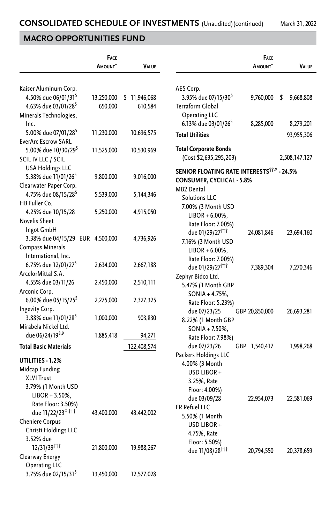|                                  | <b>FACE</b><br>Amount~ | <b>VALUE</b>  |                                           | <b>FACE</b><br>AMOUNT <sup>~</sup> | <b>VALUE</b>    |
|----------------------------------|------------------------|---------------|-------------------------------------------|------------------------------------|-----------------|
|                                  |                        |               |                                           |                                    |                 |
| Kaiser Aluminum Corp.            |                        |               | AES Corp.                                 |                                    |                 |
| 4.50% due 06/01/31 <sup>5</sup>  | 13,250,000             | \$ 11,946,068 | 3.95% due 07/15/30 <sup>5</sup>           | 9,760,000                          | \$<br>9,668,808 |
| 4.63% due 03/01/28 <sup>5</sup>  | 650,000                | 610,584       | Terraform Global                          |                                    |                 |
| Minerals Technologies,           |                        |               | <b>Operating LLC</b>                      |                                    |                 |
| Inc.                             |                        |               | 6.13% due 03/01/26 <sup>5</sup>           | 8,285,000                          | 8,279,201       |
| 5.00% due 07/01/28 <sup>5</sup>  | 11,230,000             | 10,696,575    | <b>Total Utilities</b>                    |                                    | 93,955,306      |
| <b>EverArc Escrow SARL</b>       |                        |               |                                           |                                    |                 |
| 5.00% due 10/30/29 <sup>5</sup>  | 11,525,000             | 10,530,969    | <b>Total Corporate Bonds</b>              |                                    |                 |
| SCIL IV LLC / SCIL               |                        |               | (Cost \$2,635,295,203)                    |                                    | 2,508,147,127   |
| <b>USA Holdings LLC</b>          |                        |               | SENIOR FLOATING RATE INTERESTSTIP - 24.5% |                                    |                 |
| 5.38% due 11/01/26 <sup>5</sup>  | 9,800,000              | 9,016,000     | <b>CONSUMER, CYCLICAL - 5.8%</b>          |                                    |                 |
| Clearwater Paper Corp.           |                        |               | MB2 Dental                                |                                    |                 |
| 4.75% due 08/15/28 <sup>5</sup>  | 5,539,000              | 5,144,346     | <b>Solutions LLC</b>                      |                                    |                 |
| HB Fuller Co.                    |                        |               | 7.00% (3 Month USD                        |                                    |                 |
| 4.25% due 10/15/28               | 5,250,000              | 4,915,050     | $LIBOR + 6.00\%$ ,                        |                                    |                 |
| <b>Novelis Sheet</b>             |                        |               | Rate Floor: 7.00%)                        |                                    |                 |
| Ingot GmbH                       |                        |               | due 01/29/27TTT                           | 24,081,846                         | 23,694,160      |
| 3.38% due 04/15/29 EUR 4,500,000 |                        | 4,736,926     | 7.16% (3 Month USD                        |                                    |                 |
| Compass Minerals                 |                        |               | $LIBOR + 6.00\%$ ,                        |                                    |                 |
| International, Inc.              |                        |               | Rate Floor: 7.00%)                        |                                    |                 |
| 6.75% due 12/01/27 <sup>5</sup>  | 2,634,000              | 2,667,188     | due 01/29/27 <sup>TTT</sup>               | 7,389,304                          | 7,270,346       |
| ArcelorMittal S.A.               |                        |               | Zephyr Bidco Ltd.                         |                                    |                 |
| 4.55% due 03/11/26               | 2,450,000              | 2,510,111     | 5.47% (1 Month GBP                        |                                    |                 |
| Arconic Corp.                    |                        |               | SONIA + 4.75%,                            |                                    |                 |
| 6.00% due 05/15/25 <sup>5</sup>  | 2,275,000              | 2,327,325     | Rate Floor: 5.23%)                        |                                    |                 |
| Ingevity Corp.                   |                        |               | due 07/23/25                              | GBP 20,850,000                     | 26,693,281      |
| 3.88% due 11/01/28 <sup>5</sup>  | 1,000,000              | 903,830       | 8.22% (1 Month GBP                        |                                    |                 |
| Mirabela Nickel Ltd.             |                        |               | $SONIA + 7.50\%$                          |                                    |                 |
| due 06/24/198,9                  | 1,885,418              | 94,271        | Rate Floor: 7.98%)                        |                                    |                 |
| <b>Total Basic Materials</b>     |                        | 122,408,574   | due 07/23/26                              | GBP 1,540,417                      | 1,998,268       |
|                                  |                        |               | Packers Holdings LLC                      |                                    |                 |
| UTILITIES - 1.2%                 |                        |               | 4.00% (3 Month                            |                                    |                 |
| Midcap Funding                   |                        |               | USD LIBOR+                                |                                    |                 |
| <b>XLVI Trust</b>                |                        |               | 3.25%, Rate                               |                                    |                 |
| 3.79% (1 Month USD               |                        |               | Floor: 4.00%)                             |                                    |                 |
| $LIBOR + 3.50\%,$                |                        |               | due 03/09/28                              | 22,954,073                         | 22,581,069      |
| Rate Floor: 3.50%)               |                        |               | FR Refuel LLC                             |                                    |                 |
| due 11/22/23 <sup>9,111</sup>    | 43,400,000             | 43,442,002    | 5.50% (1 Month                            |                                    |                 |
| <b>Cheniere Corpus</b>           |                        |               | USD LIBOR+                                |                                    |                 |
| Christi Holdings LLC             |                        |               | 4.75%, Rate                               |                                    |                 |
| 3.52% due                        |                        |               | Floor: 5.50%)                             |                                    |                 |
| 12/31/39 <sup>111</sup>          | 21,800,000             | 19,988,267    | due 11/08/28 <sup>111</sup>               | 20,794,550                         | 20,378,659      |
| Clearway Energy                  |                        |               |                                           |                                    |                 |
| <b>Operating LLC</b>             |                        |               |                                           |                                    |                 |
| 3.75% due 02/15/31 <sup>5</sup>  | 13,450,000             | 12,577,028    |                                           |                                    |                 |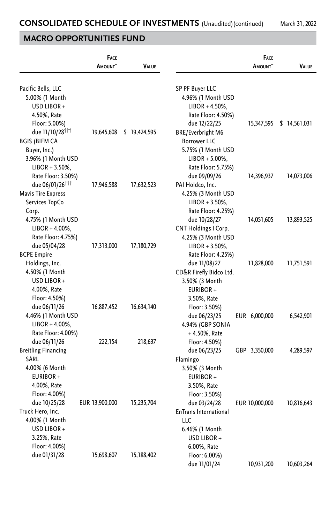|                             | FACE<br><b>A</b> MOUNT | VALUE        |                              | FACE<br><b>AMOUNT</b> | VALUE        |
|-----------------------------|------------------------|--------------|------------------------------|-----------------------|--------------|
| Pacific Bells, LLC          |                        |              | SP PF Buyer LLC              |                       |              |
| 5.00% (1 Month              |                        |              | 4.96% (1 Month USD           |                       |              |
| USD LIBOR +                 |                        |              | $LIBOR + 4.50\%,$            |                       |              |
| 4.50%, Rate                 |                        |              | Rate Floor: 4.50%)           |                       |              |
| Floor: 5.00%)               |                        |              | due 12/22/25                 | 15,347,595            | \$14,561,031 |
| due 11/10/28 <sup>†††</sup> | 19,645,608             | \$19,424,595 | BRE/Everbright M6            |                       |              |
| <b>BGIS (BIFM CA</b>        |                        |              | <b>Borrower LLC</b>          |                       |              |
| Buyer, Inc.)                |                        |              | 5.75% (1 Month USD           |                       |              |
| 3.96% (1 Month USD          |                        |              | $LIBOR + 5.00\%$             |                       |              |
| $LIBOR + 3.50\%,$           |                        |              | Rate Floor: 5.75%)           |                       |              |
| Rate Floor: 3.50%)          |                        |              | due 09/09/26                 | 14,396,937            | 14,073,006   |
| due 06/01/26 <sup>†††</sup> | 17,946,588             | 17,632,523   | PAI Holdco, Inc.             |                       |              |
| <b>Mavis Tire Express</b>   |                        |              | 4.25% (3 Month USD           |                       |              |
| Services TopCo              |                        |              | $LIBOR + 3.50\%,$            |                       |              |
| Corp.                       |                        |              | Rate Floor: 4.25%)           |                       |              |
| 4.75% (1 Month USD          |                        |              | due 10/28/27                 | 14,051,605            | 13,893,525   |
| $LIBOR + 4.00\%$ ,          |                        |              | <b>CNT Holdings I Corp.</b>  |                       |              |
| Rate Floor: 4.75%)          |                        |              | 4.25% (3 Month USD           |                       |              |
| due 05/04/28                | 17,313,000             | 17,180,729   | $LIBOR + 3.50\%,$            |                       |              |
| <b>BCPE Empire</b>          |                        |              | Rate Floor: 4.25%)           |                       |              |
| Holdings, Inc.              |                        |              | due 11/08/27                 | 11,828,000            | 11,751,591   |
| 4.50% (1 Month              |                        |              | CD&R Firefly Bidco Ltd.      |                       |              |
| USD LIBOR+                  |                        |              | 3.50% (3 Month               |                       |              |
| 4.00%, Rate                 |                        |              | EURIBOR+                     |                       |              |
| Floor: 4.50%)               |                        |              | 3.50%, Rate                  |                       |              |
| due 06/11/26                | 16,887,452             | 16,634,140   | Floor: 3.50%)                |                       |              |
| 4.46% (1 Month USD          |                        |              | due 06/23/25                 | EUR 6,000,000         | 6,542,901    |
| $LIBOR + 4.00\%$ ,          |                        |              | 4.94% (GBP SONIA             |                       |              |
| Rate Floor: 4.00%)          |                        |              | $+4.50\%$ , Rate             |                       |              |
| due 06/11/26                | 222,154                | 218,637      | Floor: 4.50%)                |                       |              |
| <b>Breitling Financing</b>  |                        |              | due 06/23/25                 | GBP 3,350,000         | 4,289,597    |
| SARL                        |                        |              | Flamingo                     |                       |              |
| 4.00% (6 Month              |                        |              | 3.50% (3 Month               |                       |              |
| EURIBOR+                    |                        |              | EURIBOR+                     |                       |              |
| 4.00%, Rate                 |                        |              | 3.50%, Rate                  |                       |              |
| Floor: 4.00%)               |                        |              | Floor: 3.50%)                |                       |              |
| due 10/25/28                | EUR 13,900,000         | 15,235,704   | due 03/24/28                 | EUR 10,000,000        | 10,816,643   |
| Truck Hero, Inc.            |                        |              | <b>EnTrans International</b> |                       |              |
| 4.00% (1 Month              |                        |              | LLC                          |                       |              |
| USD LIBOR +                 |                        |              | 6.46% (1 Month               |                       |              |
| 3.25%, Rate                 |                        |              | USD LIBOR +                  |                       |              |
| Floor: 4.00%)               |                        |              | 6.00%, Rate                  |                       |              |
| due 01/31/28                | 15,698,607             | 15,188,402   | Floor: 6.00%)                |                       |              |
|                             |                        |              | due 11/01/24                 | 10,931,200            | 10,603,264   |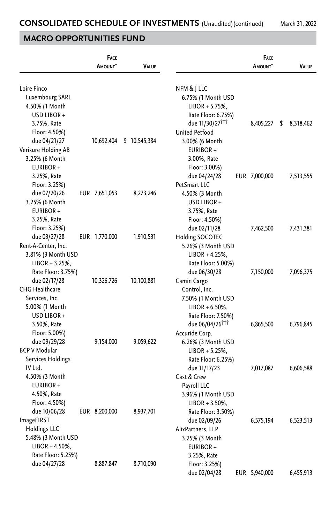|                            | FACE<br>AMOUNT <sup>~</sup> | VALUE        |                               | <b>FACE</b><br>AMOUNT <sup>~</sup> | <b>VALUE</b>    |
|----------------------------|-----------------------------|--------------|-------------------------------|------------------------------------|-----------------|
| Loire Finco                |                             |              | NFM & J LLC                   |                                    |                 |
| Luxembourg SARL            |                             |              | 6.75% (1 Month USD            |                                    |                 |
| 4.50% (1 Month             |                             |              | $LIBOR + 5.75%$               |                                    |                 |
| USD LIBOR+                 |                             |              | Rate Floor: 6.75%)            |                                    |                 |
| 3.75%, Rate                |                             |              | due 11/30/27 <sup>TTT</sup>   | 8,405,227                          | \$<br>8,318,462 |
| Floor: 4.50%)              |                             |              | <b>United Petfood</b>         |                                    |                 |
| due 04/21/27               | 10,692,404                  | \$10,545,384 | 3.00% (6 Month                |                                    |                 |
| Verisure Holding AB        |                             |              | EURIBOR+                      |                                    |                 |
| 3.25% (6 Month             |                             |              | 3.00%, Rate                   |                                    |                 |
| EURIBOR+                   |                             |              | Floor: 3.00%)                 |                                    |                 |
| 3.25%, Rate                |                             |              | due 04/24/28                  | EUR 7,000,000                      | 7,513,555       |
| Floor: 3.25%)              |                             |              | PetSmart LLC                  |                                    |                 |
| due 07/20/26               | EUR 7,651,053               | 8,273,246    | 4.50% (3 Month                |                                    |                 |
| 3.25% (6 Month<br>EURIBOR+ |                             |              | USD LIBOR +                   |                                    |                 |
| 3.25%, Rate                |                             |              | 3.75%, Rate                   |                                    |                 |
| Floor: 3.25%)              |                             |              | Floor: 4.50%)<br>due 02/11/28 | 7,462,500                          | 7,431,381       |
| due 03/27/28               | EUR 1,770,000               | 1,910,531    | Holding SOCOTEC               |                                    |                 |
| Rent-A-Center, Inc.        |                             |              | 5.26% (3 Month USD            |                                    |                 |
| 3.81% (3 Month USD         |                             |              | $LIBOR + 4.25%$ ,             |                                    |                 |
| $LIBOR + 3.25%$            |                             |              | Rate Floor: 5.00%)            |                                    |                 |
| Rate Floor: 3.75%)         |                             |              | due 06/30/28                  | 7,150,000                          | 7,096,375       |
| due 02/17/28               | 10,326,726                  | 10,100,881   | Camin Cargo                   |                                    |                 |
| <b>CHG Healthcare</b>      |                             |              | Control, Inc.                 |                                    |                 |
| Services, Inc.             |                             |              | 7.50% (1 Month USD            |                                    |                 |
| 5.00% (1 Month             |                             |              | $LIBOR + 6.50\%$              |                                    |                 |
| USD LIBOR +                |                             |              | Rate Floor: 7.50%)            |                                    |                 |
| 3.50%, Rate                |                             |              | due 06/04/26 <sup>TTT</sup>   | 6,865,500                          | 6,796,845       |
| Floor: 5.00%)              |                             |              | Accuride Corp.                |                                    |                 |
| due 09/29/28               | 9,154,000                   | 9,059,622    | 6.26% (3 Month USD            |                                    |                 |
| BCP V Modular              |                             |              | $LIBOR + 5.25%$               |                                    |                 |
| Services Holdings          |                             |              | Rate Floor: 6.25%)            |                                    |                 |
| IV Ltd.                    |                             |              | due 11/17/23                  | 7,017,087                          | 6,606,588       |
| 4.50% (3 Month             |                             |              | Cast & Crew                   |                                    |                 |
| EURIBOR+                   |                             |              | Payroll LLC                   |                                    |                 |
| 4.50%, Rate                |                             |              | 3.96% (1 Month USD            |                                    |                 |
| Floor: 4.50%)              |                             |              | $LIBOR + 3.50\%,$             |                                    |                 |
| due 10/06/28               | EUR 8,200,000               | 8,937,701    | Rate Floor: 3.50%)            |                                    |                 |
| <b>ImageFIRST</b>          |                             |              | due 02/09/26                  | 6,575,194                          | 6,523,513       |
| <b>Holdings LLC</b>        |                             |              | AlixPartners, LLP             |                                    |                 |
| 5.48% (3 Month USD         |                             |              | 3.25% (3 Month                |                                    |                 |
| $LIBOR + 4.50\%,$          |                             |              | EURIBOR+                      |                                    |                 |
| Rate Floor: 5.25%)         |                             |              | 3.25%, Rate                   |                                    |                 |
| due 04/27/28               | 8,887,847                   | 8,710,090    | Floor: 3.25%)                 |                                    |                 |
|                            |                             |              | due 02/04/28                  | EUR 5,940,000                      | 6,455,913       |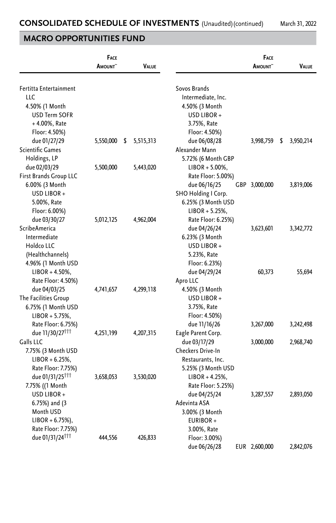|                                                   | <b>FACE</b><br><b>A</b> MOUNT | VALUE           |                              | <b>FACE</b><br><b>A</b> mount^ | VALUE           |
|---------------------------------------------------|-------------------------------|-----------------|------------------------------|--------------------------------|-----------------|
|                                                   |                               |                 |                              |                                |                 |
| Fertitta Entertainment                            |                               |                 | Sovos Brands                 |                                |                 |
| LLC                                               |                               |                 | Intermediate, Inc.           |                                |                 |
| 4.50% (1 Month                                    |                               |                 | 4.50% (3 Month               |                                |                 |
| USD Term SOFR                                     |                               |                 | USD LIBOR +                  |                                |                 |
| $+4.00\%$ , Rate                                  |                               |                 | 3.75%, Rate                  |                                |                 |
| Floor: 4.50%)                                     |                               |                 | Floor: 4.50%)                |                                |                 |
| due 01/27/29                                      | 5,550,000                     | \$<br>5,515,313 | due 06/08/28                 | 3,998,759                      | \$<br>3,950,214 |
| Scientific Games                                  |                               |                 | Alexander Mann               |                                |                 |
| Holdings, LP                                      |                               |                 | 5.72% (6 Month GBP           |                                |                 |
| due 02/03/29                                      | 5,500,000                     | 5,443,020       | $LIBOR + 5.00\%$ ,           |                                |                 |
| First Brands Group LLC                            |                               |                 | Rate Floor: 5.00%)           |                                |                 |
| 6.00% (3 Month                                    |                               |                 | due 06/16/25                 | GBP 3,000,000                  | 3,819,006       |
| USD LIBOR +                                       |                               |                 | SHO Holding I Corp.          |                                |                 |
| 5.00%, Rate                                       |                               |                 | 6.25% (3 Month USD           |                                |                 |
| Floor: 6.00%)                                     |                               |                 | $LIBOR + 5.25%$              |                                |                 |
| due 03/30/27                                      | 5,012,125                     | 4,962,004       | Rate Floor: 6.25%)           |                                |                 |
| <b>ScribeAmerica</b>                              |                               |                 | due 04/26/24                 | 3,623,601                      | 3,342,772       |
| Intermediate                                      |                               |                 | 6.23% (3 Month               |                                |                 |
| Holdco LLC                                        |                               |                 | USD LIBOR +                  |                                |                 |
| (Healthchannels)                                  |                               |                 | 5.23%, Rate                  |                                |                 |
| 4.96% (1 Month USD                                |                               |                 | Floor: 6.23%)                |                                |                 |
| $LIBOR + 4.50\%$ ,                                |                               |                 | due 04/29/24                 | 60,373                         | 55,694          |
| Rate Floor: 4.50%)                                |                               |                 | Apro LLC                     |                                |                 |
| due 04/03/25                                      | 4,741,657                     | 4,299,118       | 4.50% (3 Month               |                                |                 |
| The Facilities Group                              |                               |                 | USD LIBOR +                  |                                |                 |
| 6.75% (1 Month USD                                |                               |                 | 3.75%, Rate                  |                                |                 |
| $LIBOR + 5.75%$ ,                                 |                               |                 | Floor: 4.50%)                |                                |                 |
| Rate Floor: 6.75%)                                |                               |                 | due 11/16/26                 | 3,267,000                      | 3,242,498       |
| due 11/30/27 <sup>111</sup>                       | 4,251,199                     | 4,207,315       | Eagle Parent Corp.           |                                |                 |
| Galls LLC                                         |                               |                 | due 03/17/29                 | 3,000,000                      | 2,968,740       |
| 7.75% (3 Month USD                                |                               |                 | Checkers Drive-In            |                                |                 |
| $LIBOR + 6.25%$                                   |                               |                 | Restaurants, Inc.            |                                |                 |
| Rate Floor: 7.75%)                                |                               |                 | 5.25% (3 Month USD           |                                |                 |
| due 01/31/25 <sup>†††</sup>                       | 3,658,053                     | 3,530,020       | $LIBOR + 4.25%$ ,            |                                |                 |
| 7.75% ((1 Month                                   |                               |                 | Rate Floor: 5.25%)           |                                |                 |
| USD LIBOR +                                       |                               |                 |                              | 3,287,557                      | 2,893,050       |
|                                                   |                               |                 | due 04/25/24<br>Adevinta ASA |                                |                 |
| 6.75%) and (3                                     |                               |                 |                              |                                |                 |
| Month USD                                         |                               |                 | 3.00% (3 Month               |                                |                 |
| $LIBOR + 6.75\%$ ),                               |                               |                 | EURIBOR+                     |                                |                 |
| Rate Floor: 7.75%)<br>due 01/31/24 <sup>ttt</sup> |                               |                 | 3.00%, Rate                  |                                |                 |
|                                                   | 444,556                       | 426,833         | Floor: 3.00%)                |                                |                 |
|                                                   |                               |                 | due 06/26/28                 | EUR 2,600,000                  | 2,842,076       |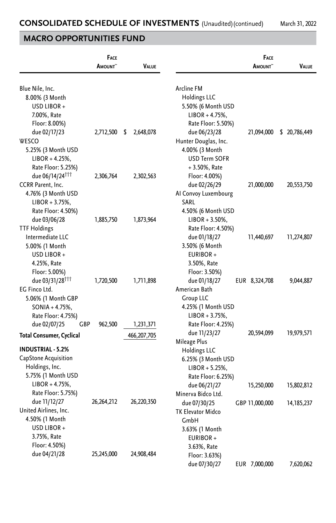|                                 | FACE<br>AMOUNT <sup>^</sup> | VALUE           |                      | FACE<br>AMOUNT <sup>^</sup> | Value         |
|---------------------------------|-----------------------------|-----------------|----------------------|-----------------------------|---------------|
|                                 |                             |                 |                      |                             |               |
| Blue Nile, Inc.                 |                             |                 | Arcline FM           |                             |               |
| 8.00% (3 Month                  |                             |                 | Holdings LLC         |                             |               |
| USD LIBOR +                     |                             |                 | 5.50% (6 Month USD   |                             |               |
| 7.00%, Rate                     |                             |                 | $LIBOR + 4.75%$ ,    |                             |               |
| Floor: 8.00%)                   |                             |                 | Rate Floor: 5.50%)   |                             |               |
| due 02/17/23                    | 2,712,500                   | \$<br>2,648,078 | due 06/23/28         | 21,094,000                  | \$ 20,786,449 |
| WESCO                           |                             |                 | Hunter Douglas, Inc. |                             |               |
| 5.25% (3 Month USD              |                             |                 | 4.00% (3 Month       |                             |               |
| $LIBOR + 4.25%$ ,               |                             |                 | <b>USD Term SOFR</b> |                             |               |
| Rate Floor: 5.25%)              |                             |                 | $+3.50\%$ , Rate     |                             |               |
| due 06/14/24 <sup>TTT</sup>     | 2,306,764                   | 2,302,563       | Floor: 4.00%)        |                             |               |
| CCRR Parent, Inc.               |                             |                 | due 02/26/29         | 21,000,000                  | 20,553,750    |
| 4.76% (3 Month USD              |                             |                 | AI Convoy Luxembourg |                             |               |
| $LIBOR + 3.75%$                 |                             |                 | SARL                 |                             |               |
| Rate Floor: 4.50%)              |                             |                 | 4.50% (6 Month USD   |                             |               |
| due 03/06/28                    | 1,885,750                   | 1,873,964       | $LIBOR + 3.50\%,$    |                             |               |
| <b>TTF Holdings</b>             |                             |                 | Rate Floor: 4.50%)   |                             |               |
| Intermediate LLC                |                             |                 | due 01/18/27         | 11,440,697                  | 11,274,807    |
| 5.00% (1 Month                  |                             |                 | 3.50% (6 Month       |                             |               |
| USD LIBOR +                     |                             |                 | EURIBOR+             |                             |               |
| 4.25%, Rate                     |                             |                 | 3.50%, Rate          |                             |               |
| Floor: 5.00%)                   |                             |                 | Floor: 3.50%)        |                             |               |
| due 03/31/28 <sup>TTT</sup>     | 1,720,500                   | 1,711,898       | due 01/18/27         | EUR 8,324,708               | 9,044,887     |
| EG Finco Ltd.                   |                             |                 | American Bath        |                             |               |
| 5.06% (1 Month GBP              |                             |                 | Group LLC            |                             |               |
| $SONIA + 4.75%$ ,               |                             |                 | 4.25% (1 Month USD   |                             |               |
| Rate Floor: 4.75%)              |                             |                 | $LIBOR + 3.75%$      |                             |               |
| due 02/07/25<br>GBP             | 962,500                     | 1,231,371       | Rate Floor: 4.25%)   |                             |               |
| <b>Total Consumer, Cyclical</b> |                             | 466,207,705     | due 11/23/27         | 20,594,099                  | 19,979,571    |
|                                 |                             |                 | Mileage Plus         |                             |               |
| <b>INDUSTRIAL - 5.2%</b>        |                             |                 | Holdings LLC         |                             |               |
| CapStone Acquisition            |                             |                 | 6.25% (3 Month USD   |                             |               |
| Holdings, Inc.                  |                             |                 | $LIBOR + 5.25\%,$    |                             |               |
| 5.75% (1 Month USD              |                             |                 | Rate Floor: 6.25%)   |                             |               |
| $LIBOR + 4.75%$ ,               |                             |                 | due 06/21/27         | 15,250,000                  | 15,802,812    |
| Rate Floor: 5.75%)              |                             |                 | Minerva Bidco Ltd.   |                             |               |
| due 11/12/27                    | 26,264,212                  | 26,220,350      | due 07/30/25         | GBP 11,000,000              | 14,185,237    |
| United Airlines, Inc.           |                             |                 | TK Elevator Midco    |                             |               |
| 4.50% (1 Month                  |                             |                 | GmbH                 |                             |               |
| USD LIBOR +                     |                             |                 | 3.63% (1 Month       |                             |               |
| 3.75%, Rate                     |                             |                 | EURIBOR+             |                             |               |
| Floor: 4.50%)                   |                             |                 | 3.63%, Rate          |                             |               |
| due 04/21/28                    | 25,245,000                  | 24,908,484      | Floor: 3.63%)        |                             |               |
|                                 |                             |                 | due 07/30/27         | EUR 7,000,000               | 7,620,062     |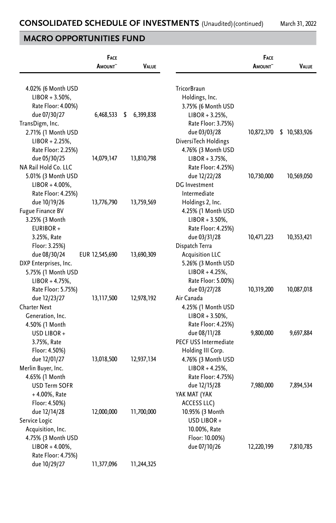|                         | FACE<br>AMOUNT <sup>~</sup> | <b>VALUE</b>    |                        | FACE<br><b>AMOUNT</b> | VALUE        |
|-------------------------|-----------------------------|-----------------|------------------------|-----------------------|--------------|
| 4.02% (6 Month USD      |                             |                 | <b>TricorBraun</b>     |                       |              |
| $LIBOR + 3.50\%$ ,      |                             |                 | Holdings, Inc.         |                       |              |
| Rate Floor: 4.00%)      |                             |                 | 3.75% (6 Month USD     |                       |              |
| due 07/30/27            | 6,468,533                   | 6,399,838<br>\$ | $LIBOR + 3.25%$        |                       |              |
| TransDigm, Inc.         |                             |                 | Rate Floor: 3.75%)     |                       |              |
| 2.71% (1 Month USD      |                             |                 | due 03/03/28           | 10,872,370            | \$10,583,926 |
| $LIBOR + 2.25%$         |                             |                 | DiversiTech Holdings   |                       |              |
| Rate Floor: 2.25%)      |                             |                 | 4.76% (3 Month USD     |                       |              |
| due 05/30/25            | 14,079,147                  | 13,810,798      | $LIBOR + 3.75%$ ,      |                       |              |
| NA Rail Hold Co. LLC    |                             |                 | Rate Floor: 4.25%)     |                       |              |
| 5.01% (3 Month USD      |                             |                 | due 12/22/28           | 10,730,000            | 10,569,050   |
| $LIBOR + 4.00\%$ ,      |                             |                 | <b>DG</b> Investment   |                       |              |
| Rate Floor: 4.25%)      |                             |                 | Intermediate           |                       |              |
| due 10/19/26            | 13,776,790                  | 13,759,569      | Holdings 2, Inc.       |                       |              |
| <b>Fugue Finance BV</b> |                             |                 | 4.25% (1 Month USD     |                       |              |
| 3.25% (3 Month          |                             |                 | $LIBOR + 3.50\%,$      |                       |              |
| EURIBOR+                |                             |                 | Rate Floor: 4.25%)     |                       |              |
| 3.25%, Rate             |                             |                 | due 03/31/28           | 10,471,223            | 10,353,421   |
| Floor: 3.25%)           |                             |                 | Dispatch Terra         |                       |              |
| due 08/30/24            | EUR 12,545,690              | 13,690,309      | <b>Acquisition LLC</b> |                       |              |
| DXP Enterprises, Inc.   |                             |                 | 5.26% (3 Month USD     |                       |              |
| 5.75% (1 Month USD      |                             |                 | $LIBOR + 4.25%$ ,      |                       |              |
| $LIBOR + 4.75%$ ,       |                             |                 | Rate Floor: 5.00%)     |                       |              |
| Rate Floor: 5.75%)      |                             |                 | due 03/27/28           | 10,319,200            | 10,087,018   |
| due 12/23/27            | 13,117,500                  | 12,978,192      | Air Canada             |                       |              |
| <b>Charter Next</b>     |                             |                 | 4.25% (1 Month USD     |                       |              |
| Generation, Inc.        |                             |                 | $LIBOR + 3.50\%,$      |                       |              |
| 4.50% (1 Month          |                             |                 | Rate Floor: 4.25%)     |                       |              |
| USD LIBOR +             |                             |                 | due 08/11/28           | 9,800,000             | 9,697,884    |
| 3.75%, Rate             |                             |                 | PECF USS Intermediate  |                       |              |
| Floor: 4.50%)           |                             |                 | Holding III Corp.      |                       |              |
| due 12/01/27            | 13,018,500                  | 12,937,134      | 4.76% (3 Month USD     |                       |              |
| Merlin Buyer, Inc.      |                             |                 | $LIBOR + 4.25%$ ,      |                       |              |
| 4.65% (1 Month          |                             |                 | Rate Floor: 4.75%)     |                       |              |
| USD Term SOFR           |                             |                 | due 12/15/28           | 7,980,000             | 7,894,534    |
| $+4.00\%$ , Rate        |                             |                 | YAK MAT (YAK           |                       |              |
| Floor: 4.50%)           |                             |                 | ACCESS LLC)            |                       |              |
| due 12/14/28            | 12,000,000                  | 11,700,000      | 10.95% (3 Month        |                       |              |
| Service Logic           |                             |                 | USD LIBOR+             |                       |              |
| Acquisition, Inc.       |                             |                 | 10.00%, Rate           |                       |              |
| 4.75% (3 Month USD      |                             |                 | Floor: 10.00%)         |                       |              |
| $LIBOR + 4.00\%,$       |                             |                 | due 07/10/26           | 12,220,199            | 7,810,785    |
| Rate Floor: 4.75%)      |                             |                 |                        |                       |              |
| due 10/29/27            | 11,377,096                  | 11,244,325      |                        |                       |              |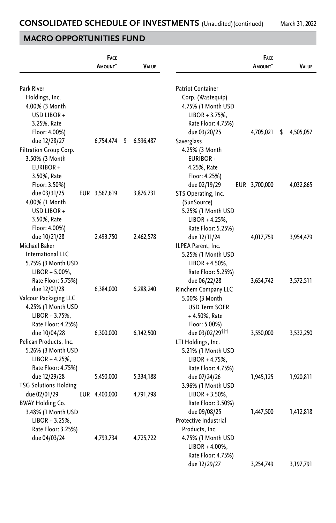|                              | <b>FACE</b><br><b>AMOUNT</b> | <b>VALUE</b>    |                                         | <b>FACE</b><br>AMOUNT <sup>~</sup> | <b>VALUE</b>    |
|------------------------------|------------------------------|-----------------|-----------------------------------------|------------------------------------|-----------------|
| Park River                   |                              |                 | <b>Patriot Container</b>                |                                    |                 |
| Holdings, Inc.               |                              |                 | Corp. (Wastequip)                       |                                    |                 |
| 4.00% (3 Month               |                              |                 | 4.75% (1 Month USD                      |                                    |                 |
| USD LIBOR +                  |                              |                 | $LIBOR + 3.75%$ ,                       |                                    |                 |
| 3.25%, Rate                  |                              |                 | Rate Floor: 4.75%)                      |                                    |                 |
| Floor: 4.00%)                |                              |                 | due 03/20/25                            | 4,705,021                          | \$<br>4,505,057 |
| due 12/28/27                 | 6,754,474                    | \$<br>6,596,487 | Saverglass                              |                                    |                 |
| Filtration Group Corp.       |                              |                 | 4.25% (3 Month                          |                                    |                 |
| 3.50% (3 Month               |                              |                 | EURIBOR+                                |                                    |                 |
| EURIBOR+                     |                              |                 | 4.25%, Rate                             |                                    |                 |
| 3.50%, Rate                  |                              |                 | Floor: 4.25%)                           |                                    |                 |
| Floor: 3.50%)                |                              |                 | due 02/19/29                            | EUR 3,700,000                      | 4,032,865       |
| due 03/31/25                 | EUR 3,567,619                | 3,876,731       | STS Operating, Inc.                     |                                    |                 |
| 4.00% (1 Month               |                              |                 | (SunSource)                             |                                    |                 |
| USD LIBOR +                  |                              |                 | 5.25% (1 Month USD                      |                                    |                 |
| 3.50%, Rate                  |                              |                 | $LIBOR + 4.25\%,$                       |                                    |                 |
| Floor: 4.00%)                |                              |                 | Rate Floor: 5.25%)                      |                                    |                 |
| due 10/21/28                 | 2,493,750                    | 2,462,578       | due 12/11/24                            | 4,017,759                          | 3,954,479       |
| Michael Baker                |                              |                 | ILPEA Parent, Inc.                      |                                    |                 |
| International LLC            |                              |                 | 5.25% (1 Month USD                      |                                    |                 |
| 5.75% (3 Month USD           |                              |                 | $LIBOR + 4.50\%,$                       |                                    |                 |
| $LIBOR + 5.00\%$ ,           |                              |                 | Rate Floor: 5.25%)                      |                                    |                 |
| Rate Floor: 5.75%)           |                              |                 | due 06/22/28                            | 3,654,742                          | 3,572,511       |
| due 12/01/28                 | 6,384,000                    | 6,288,240       | Rinchem Company LLC                     |                                    |                 |
| Valcour Packaging LLC        |                              |                 | 5.00% (3 Month                          |                                    |                 |
| 4.25% (1 Month USD           |                              |                 | <b>USD Term SOFR</b>                    |                                    |                 |
| $LIBOR + 3.75%$              |                              |                 | $+4.50\%$ , Rate                        |                                    |                 |
| Rate Floor: 4.25%)           |                              |                 | Floor: 5.00%)                           |                                    |                 |
| due 10/04/28                 | 6,300,000                    | 6,142,500       | due 03/02/29 <sup>111</sup>             | 3,550,000                          | 3,532,250       |
| Pelican Products, Inc.       |                              |                 | LTI Holdings, Inc.                      |                                    |                 |
| 5.26% (3 Month USD           |                              |                 | 5.21% (1 Month USD                      |                                    |                 |
| $LIBOR + 4.25%$ ,            |                              |                 | $LIBOR + 4.75%$ ,                       |                                    |                 |
| Rate Floor: 4.75%)           |                              |                 | Rate Floor: 4.75%)                      |                                    |                 |
| due 12/29/28                 | 5,450,000                    | 5,334,188       | due 07/24/26                            | 1,945,125                          | 1,920,811       |
| <b>TSG Solutions Holding</b> |                              |                 | 3.96% (1 Month USD                      |                                    |                 |
| due 02/01/29                 | EUR 4,400,000                | 4,791,798       | $LIBOR + 3.50\%,$                       |                                    |                 |
| BWAY Holding Co.             |                              |                 | Rate Floor: 3.50%)                      |                                    |                 |
| 3.48% (1 Month USD           |                              |                 | due 09/08/25                            | 1,447,500                          | 1,412,818       |
| $LIBOR + 3.25%$              |                              |                 | Protective Industrial                   |                                    |                 |
| Rate Floor: 3.25%)           |                              |                 | Products, Inc.                          |                                    |                 |
| due 04/03/24                 | 4,799,734                    | 4,725,722       | 4.75% (1 Month USD<br>$LIBOR + 4.00\%,$ |                                    |                 |
|                              |                              |                 | Rate Floor: 4.75%)                      |                                    |                 |
|                              |                              |                 | due 12/29/27                            | 3,254,749                          | 3,197,791       |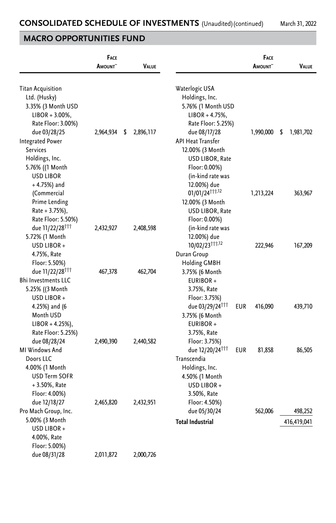|                                                                | FACE<br><b>A</b> mount^ | <b>VALUE</b>    |                                                        | FACE<br><b>A</b> MOUNT | VALUE           |
|----------------------------------------------------------------|-------------------------|-----------------|--------------------------------------------------------|------------------------|-----------------|
| <b>Titan Acquisition</b><br>Ltd. (Husky)<br>3.35% (3 Month USD |                         |                 | Waterlogic USA<br>Holdings, Inc.<br>5.76% (1 Month USD |                        |                 |
| $LIBOR + 3.00\%$ ,                                             |                         |                 | $LIBOR + 4.75%$ ,                                      |                        |                 |
| Rate Floor: 3.00%)                                             |                         |                 | Rate Floor: 5.25%)                                     |                        |                 |
| due 03/28/25                                                   | 2,964,934               | 2,896,117<br>\$ | due 08/17/28                                           | 1,990,000              | \$<br>1,981,702 |
| <b>Integrated Power</b>                                        |                         |                 | <b>API Heat Transfer</b>                               |                        |                 |
| <b>Services</b>                                                |                         |                 | 12.00% (3 Month                                        |                        |                 |
| Holdings, Inc.                                                 |                         |                 | USD LIBOR, Rate                                        |                        |                 |
| 5.76% ((1 Month                                                |                         |                 | Floor: 0.00%)                                          |                        |                 |
| <b>USD LIBOR</b>                                               |                         |                 | (in-kind rate was                                      |                        |                 |
| +4.75%) and                                                    |                         |                 | 12.00%) due                                            |                        |                 |
| (Commercial                                                    |                         |                 | 01/01/24 11,12                                         | 1,213,224              | 363,967         |
| Prime Lending                                                  |                         |                 | 12.00% (3 Month                                        |                        |                 |
| $Rate + 3.75%$ ,<br>Rate Floor: 5.50%)                         |                         |                 | USD LIBOR, Rate<br>Floor: 0.00%)                       |                        |                 |
| due 11/22/28 <sup>111</sup>                                    | 2,432,927               | 2,408,598       | (in-kind rate was                                      |                        |                 |
| 5.72% (1 Month                                                 |                         |                 | 12.00%) due                                            |                        |                 |
| USD LIBOR+                                                     |                         |                 | 10/02/23 111,12                                        | 222,946                | 167,209         |
| 4.75%, Rate                                                    |                         |                 | Duran Group                                            |                        |                 |
| Floor: 5.50%)                                                  |                         |                 | <b>Holding GMBH</b>                                    |                        |                 |
| due 11/22/28 <sup>TTT</sup>                                    | 467,378                 | 462,704         | 3.75% (6 Month                                         |                        |                 |
| <b>Bhi Investments LLC</b>                                     |                         |                 | EURIBOR+                                               |                        |                 |
| 5.25% ((3 Month                                                |                         |                 | 3.75%, Rate                                            |                        |                 |
| USD LIBOR+                                                     |                         |                 | Floor: 3.75%)                                          |                        |                 |
| 4.25%) and (6                                                  |                         |                 | due 03/29/24 <sup>111</sup>                            | EUR<br>416,090         | 439,710         |
| Month USD                                                      |                         |                 | 3.75% (6 Month                                         |                        |                 |
| $LIBOR + 4.25\%$ ),                                            |                         |                 | EURIBOR+                                               |                        |                 |
| Rate Floor: 5.25%)                                             |                         |                 | 3.75%, Rate                                            |                        |                 |
| due 08/28/24                                                   | 2,490,390               | 2,440,582       | Floor: 3.75%)                                          |                        |                 |
| MI Windows And                                                 |                         |                 | due 12/20/24 <sup>111</sup>                            | eur<br>81,858          | 86,505          |
| Doors LLC                                                      |                         |                 | Transcendia                                            |                        |                 |
| 4.00% (1 Month<br>USD Term SOFR                                |                         |                 | Holdings, Inc.<br>4.50% (1 Month                       |                        |                 |
| + 3.50%, Rate                                                  |                         |                 | USD LIBOR +                                            |                        |                 |
| Floor: 4.00%)                                                  |                         |                 | 3.50%, Rate                                            |                        |                 |
| due 12/18/27                                                   | 2,465,820               | 2,432,951       | Floor: 4.50%)                                          |                        |                 |
| Pro Mach Group, Inc.                                           |                         |                 | due 05/30/24                                           | 562,006                | 498,252         |
| 5.00% (3 Month                                                 |                         |                 | <b>Total Industrial</b>                                |                        | 416,419,041     |
| USD LIBOR+                                                     |                         |                 |                                                        |                        |                 |
| 4.00%, Rate                                                    |                         |                 |                                                        |                        |                 |
| Floor: 5.00%)                                                  |                         |                 |                                                        |                        |                 |
| due 08/31/28                                                   | 2,011,872               | 2,000,726       |                                                        |                        |                 |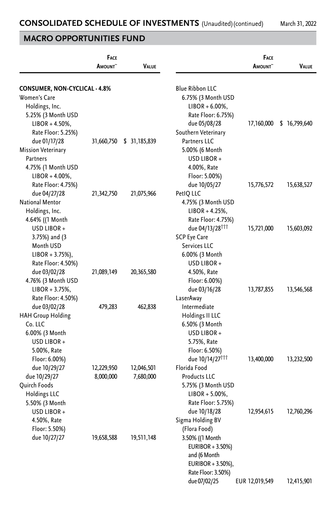|                                      | <b>FACE</b><br>AMOUNT <sup>~</sup> | <b>VALUE</b>  |                             | <b>FACE</b><br><b>A</b> MOUNT | VALUE        |
|--------------------------------------|------------------------------------|---------------|-----------------------------|-------------------------------|--------------|
| <b>CONSUMER, NON-CYCLICAL - 4.8%</b> |                                    |               | <b>Blue Ribbon LLC</b>      |                               |              |
| Women's Care                         |                                    |               | 6.75% (3 Month USD          |                               |              |
| Holdings, Inc.                       |                                    |               | $LIBOR + 6.00\%$ ,          |                               |              |
| 5.25% (3 Month USD                   |                                    |               | Rate Floor: 6.75%)          |                               |              |
| $LIBOR + 4.50\%$ ,                   |                                    |               | due 05/08/28                | 17,160,000                    | \$16,799,640 |
| Rate Floor: 5.25%)                   |                                    |               | Southern Veterinary         |                               |              |
| due 01/17/28                         | 31,660,750                         | \$ 31,185,839 | Partners LLC                |                               |              |
| <b>Mission Veterinary</b>            |                                    |               | 5.00% (6 Month              |                               |              |
| Partners                             |                                    |               | USD LIBOR +                 |                               |              |
| 4.75% (1 Month USD                   |                                    |               | 4.00%, Rate                 |                               |              |
| $LIBOR + 4.00\%$ ,                   |                                    |               | Floor: 5.00%)               |                               |              |
| Rate Floor: 4.75%)                   |                                    |               | due 10/05/27                | 15,776,572                    | 15,638,527   |
| due 04/27/28                         | 21,342,750                         | 21,075,966    | PetIQ LLC                   |                               |              |
| National Mentor                      |                                    |               | 4.75% (3 Month USD          |                               |              |
| Holdings, Inc.                       |                                    |               | $LIBOR + 4.25%$             |                               |              |
| 4.64% ((1 Month                      |                                    |               | Rate Floor: 4.75%)          |                               |              |
| USD LIBOR +                          |                                    |               | due 04/13/28 <sup>TTT</sup> | 15,721,000                    | 15,603,092   |
| 3.75%) and (3                        |                                    |               | SCP Eye Care                |                               |              |
| Month USD                            |                                    |               | Services LLC                |                               |              |
| $LIBOR + 3.75\%$ ),                  |                                    |               | 6.00% (3 Month              |                               |              |
| Rate Floor: 4.50%)                   |                                    |               | USD LIBOR +                 |                               |              |
| due 03/02/28                         | 21,089,149                         | 20,365,580    | 4.50%, Rate                 |                               |              |
| 4.76% (3 Month USD                   |                                    |               | Floor: 6.00%)               |                               |              |
| $LIBOR + 3.75%$ ,                    |                                    |               | due 03/16/28                | 13,787,855                    | 13,546,568   |
| Rate Floor: 4.50%)                   |                                    |               | LaserAway                   |                               |              |
| due 03/02/28                         | 479,283                            | 462,838       | Intermediate                |                               |              |
| <b>HAH Group Holding</b>             |                                    |               | Holdings II LLC             |                               |              |
| Co. LLC                              |                                    |               | 6.50% (3 Month              |                               |              |
| 6.00% (3 Month                       |                                    |               | USD LIBOR +                 |                               |              |
| USD LIBOR +                          |                                    |               | 5.75%, Rate                 |                               |              |
| 5.00%, Rate                          |                                    |               | Floor: 6.50%)               |                               |              |
| Floor: 6.00%)                        |                                    |               | due 10/14/27 <sup>111</sup> | 13,400,000                    | 13,232,500   |
| due 10/29/27                         | 12,229,950                         | 12,046,501    | Florida Food                |                               |              |
| due 10/29/27                         | 8,000,000                          | 7,680,000     | Products LLC                |                               |              |
| Quirch Foods                         |                                    |               | 5.75% (3 Month USD          |                               |              |
| <b>Holdings LLC</b>                  |                                    |               | $LIBOR + 5.00\%,$           |                               |              |
| 5.50% (3 Month                       |                                    |               | Rate Floor: 5.75%)          |                               |              |
| USD LIBOR+                           |                                    |               | due 10/18/28                | 12,954,615                    | 12,760,296   |
| 4.50%, Rate                          |                                    |               | Sigma Holding BV            |                               |              |
| Floor: 5.50%)                        |                                    |               | (Flora Food)                |                               |              |
| due 10/27/27                         | 19,658,588                         | 19,511,148    | 3.50% ((1 Month             |                               |              |
|                                      |                                    |               | EURIBOR + 3.50%)            |                               |              |
|                                      |                                    |               | and (6 Month                |                               |              |
|                                      |                                    |               | EURIBOR + 3.50%),           |                               |              |
|                                      |                                    |               | Rate Floor: 3.50%)          |                               |              |
|                                      |                                    |               | due 07/02/25                | EUR 12,019,549                | 12,415,901   |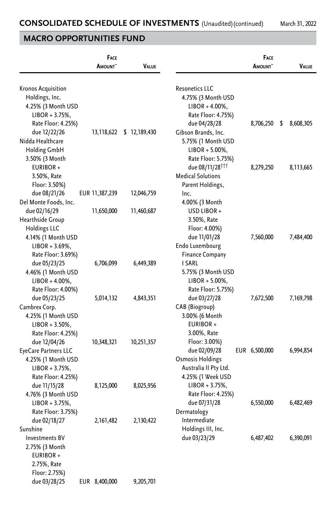|                           | FACE<br>AMOUNT <sup>~</sup> | <b>VALUE</b>  |                             | FACE<br><b>AMOUNT</b> | Value           |
|---------------------------|-----------------------------|---------------|-----------------------------|-----------------------|-----------------|
|                           |                             |               |                             |                       |                 |
| <b>Kronos Acquisition</b> |                             |               | <b>Resonetics LLC</b>       |                       |                 |
| Holdings, Inc.            |                             |               | 4.75% (3 Month USD          |                       |                 |
| 4.25% (3 Month USD        |                             |               | $LIBOR + 4.00\%$ ,          |                       |                 |
| $LIBOR + 3.75\%,$         |                             |               | Rate Floor: 4.75%)          |                       |                 |
| Rate Floor: 4.25%)        |                             |               | due 04/28/28                | 8,706,250             | \$<br>8,608,305 |
| due 12/22/26              | 13,118,622                  | \$ 12,189,430 | Gibson Brands, Inc.         |                       |                 |
| Nidda Healthcare          |                             |               | 5.75% (1 Month USD          |                       |                 |
| <b>Holding GmbH</b>       |                             |               | $LIBOR + 5.00\%$ ,          |                       |                 |
| 3.50% (3 Month            |                             |               | Rate Floor: 5.75%)          |                       |                 |
| EURIBOR+                  |                             |               | due 08/11/28 <sup>111</sup> | 8,279,250             | 8,113,665       |
| 3.50%, Rate               |                             |               | <b>Medical Solutions</b>    |                       |                 |
| Floor: 3.50%)             |                             |               | Parent Holdings,            |                       |                 |
| due 08/21/26              | EUR 11,387,239              | 12,046,759    | Inc.                        |                       |                 |
| Del Monte Foods, Inc.     |                             |               | 4.00% (3 Month              |                       |                 |
| due 02/16/29              | 11,650,000                  | 11,460,687    | USD LIBOR +                 |                       |                 |
| Hearthside Group          |                             |               | 3.50%, Rate                 |                       |                 |
| <b>Holdings LLC</b>       |                             |               | Floor: 4.00%)               |                       |                 |
| 4.14% (1 Month USD        |                             |               | due 11/01/28                | 7,560,000             | 7,484,400       |
| $LIBOR + 3.69\%,$         |                             |               | Endo Luxembourg             |                       |                 |
| Rate Floor: 3.69%)        |                             |               | <b>Finance Company</b>      |                       |                 |
| due 05/23/25              | 6,706,099                   | 6,449,389     | <b>I SARL</b>               |                       |                 |
| 4.46% (1 Month USD        |                             |               | 5.75% (3 Month USD          |                       |                 |
| $LIBOR + 4.00\%$ ,        |                             |               | $LIBOR + 5.00\%$ ,          |                       |                 |
| Rate Floor: 4.00%)        |                             |               | Rate Floor: 5.75%)          |                       |                 |
| due 05/23/25              | 5,014,132                   | 4,843,351     | due 03/27/28                | 7,672,500             | 7,169,798       |
| Cambrex Corp.             |                             |               | CAB (Biogroup)              |                       |                 |
| 4.25% (1 Month USD        |                             |               | 3.00% (6 Month              |                       |                 |
| $LIBOR + 3.50\%,$         |                             |               | EURIBOR+                    |                       |                 |
| Rate Floor: 4.25%)        |                             |               | 3.00%, Rate                 |                       |                 |
| due 12/04/26              | 10,348,321                  | 10,251,357    | Floor: 3.00%)               |                       |                 |
| EyeCare Partners LLC      |                             |               | due 02/09/28                | EUR 6,500,000         | 6,994,854       |
| 4.25% (1 Month USD        |                             |               | Osmosis Holdings            |                       |                 |
| $LIBOR + 3.75%$ ,         |                             |               | Australia II Pty Ltd.       |                       |                 |
| Rate Floor: 4.25%)        |                             |               | 4.25% (1 Week USD           |                       |                 |
| due 11/15/28              | 8,125,000                   | 8,025,956     | $LIBOR + 3.75%$             |                       |                 |
| 4.76% (3 Month USD        |                             |               | Rate Floor: 4.25%)          |                       |                 |
| $LIBOR + 3.75%$ ,         |                             |               | due 07/31/28                | 6,550,000             | 6,482,469       |
| Rate Floor: 3.75%)        |                             |               | Dermatology                 |                       |                 |
| due 02/18/27              | 2, 161, 482                 | 2,130,422     | Intermediate                |                       |                 |
| Sunshine                  |                             |               | Holdings III, Inc.          |                       |                 |
| <b>Investments BV</b>     |                             |               | due 03/23/29                | 6,487,402             | 6,390,091       |
| 2.75% (3 Month            |                             |               |                             |                       |                 |
| EURIBOR+                  |                             |               |                             |                       |                 |
| 2.75%, Rate               |                             |               |                             |                       |                 |
| Floor: 2.75%)             |                             |               |                             |                       |                 |
| due 03/28/25              | EUR 8,400,000               | 9,205,701     |                             |                       |                 |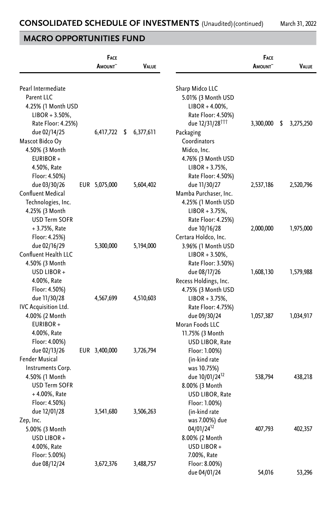|                                 | FACE<br><b>A</b> MOUNT~ | <b>VALUE</b>    |                                       | <b>FACE</b><br><b>A</b> MOUNT~ | <b>VALUE</b>    |
|---------------------------------|-------------------------|-----------------|---------------------------------------|--------------------------------|-----------------|
| Pearl Intermediate              |                         |                 | Sharp Midco LLC                       |                                |                 |
| Parent LLC                      |                         |                 | 5.01% (3 Month USD                    |                                |                 |
| 4.25% (1 Month USD              |                         |                 | $LIBOR + 4.00\%$                      |                                |                 |
| $LIBOR + 3.50\%,$               |                         |                 | Rate Floor: 4.50%)                    |                                |                 |
| Rate Floor: 4.25%)              |                         |                 | due 12/31/28 <sup>TTT</sup>           | 3,300,000                      | \$<br>3,275,250 |
| due 02/14/25                    | 6,417,722               | \$<br>6,377,611 | Packaging                             |                                |                 |
| Mascot Bidco Oy                 |                         |                 | Coordinators                          |                                |                 |
| 4.50% (3 Month                  |                         |                 | Midco, Inc.                           |                                |                 |
| EURIBOR+                        |                         |                 | 4.76% (3 Month USD                    |                                |                 |
| 4.50%, Rate                     |                         |                 | $LIBOR + 3.75%$                       |                                |                 |
| Floor: 4.50%)                   |                         |                 | Rate Floor: 4.50%)                    |                                |                 |
| due 03/30/26                    | EUR 5,075,000           | 5,604,402       | due 11/30/27                          | 2,537,186                      | 2,520,796       |
| Confluent Medical               |                         |                 | Mamba Purchaser, Inc.                 |                                |                 |
| Technologies, Inc.              |                         |                 | 4.25% (1 Month USD                    |                                |                 |
| 4.25% (3 Month<br>USD Term SOFR |                         |                 | $LIBOR + 3.75%$<br>Rate Floor: 4.25%) |                                |                 |
| $+3.75%$ , Rate                 |                         |                 | due 10/16/28                          | 2,000,000                      | 1,975,000       |
| Floor: 4.25%)                   |                         |                 | Certara Holdco, Inc.                  |                                |                 |
| due 02/16/29                    | 5,300,000               | 5,194,000       | 3.96% (1 Month USD                    |                                |                 |
| Confluent Health LLC            |                         |                 | $LIBOR + 3.50\%,$                     |                                |                 |
| 4.50% (3 Month                  |                         |                 | Rate Floor: 3.50%)                    |                                |                 |
| USD LIBOR +                     |                         |                 | due 08/17/26                          | 1,608,130                      | 1,579,988       |
| 4.00%, Rate                     |                         |                 | Recess Holdings, Inc.                 |                                |                 |
| Floor: 4.50%)                   |                         |                 | 4.75% (3 Month USD                    |                                |                 |
| due 11/30/28                    | 4,567,699               | 4,510,603       | $LIBOR + 3.75%$                       |                                |                 |
| <b>IVC Acquisition Ltd.</b>     |                         |                 | Rate Floor: 4.75%)                    |                                |                 |
| 4.00% (2 Month                  |                         |                 | due 09/30/24                          | 1,057,387                      | 1,034,917       |
| EURIBOR+                        |                         |                 | Moran Foods LLC                       |                                |                 |
| 4.00%, Rate                     |                         |                 | 11.75% (3 Month                       |                                |                 |
| Floor: 4.00%)                   |                         |                 | USD LIBOR, Rate                       |                                |                 |
| due 02/13/26                    | EUR 3,400,000           | 3,726,794       | Floor: 1.00%)                         |                                |                 |
| Fender Musical                  |                         |                 | (in-kind rate)                        |                                |                 |
| Instruments Corp.               |                         |                 | was 10.75%)                           |                                |                 |
| 4.50% (1 Month                  |                         |                 | due 10/01/24 <sup>12</sup>            | 538,794                        | 438,218         |
| USD Term SOFR                   |                         |                 | 8.00% (3 Month                        |                                |                 |
| +4.00%, Rate                    |                         |                 | USD LIBOR, Rate                       |                                |                 |
| Floor: 4.50%)                   |                         |                 | Floor: 1.00%)                         |                                |                 |
| due 12/01/28                    | 3,541,680               | 3,506,263       | (in-kind rate)                        |                                |                 |
| Zep, Inc.                       |                         |                 | was 7.00%) due                        |                                |                 |
| 5.00% (3 Month                  |                         |                 | 04/01/24 <sup>12</sup>                | 407,793                        | 402,357         |
| USD LIBOR +                     |                         |                 | 8.00% (2 Month                        |                                |                 |
| 4.00%, Rate                     |                         |                 | USD LIBOR +                           |                                |                 |
| Floor: 5.00%)                   |                         |                 | 7.00%, Rate                           |                                |                 |
| due 08/12/24                    | 3,672,376               | 3,488,757       | Floor: 8.00%)                         |                                |                 |
|                                 |                         |                 | due 04/01/24                          | 54,016                         | 53,296          |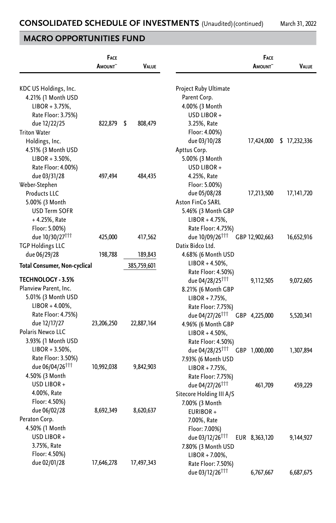|                                             | FACE<br><b>AMOUNT</b> | <b>VALUE</b>  | FACE<br><b>AMOUNT</b><br>VALUE                              |  |
|---------------------------------------------|-----------------------|---------------|-------------------------------------------------------------|--|
| KDC US Holdings, Inc.                       |                       |               | Project Ruby Ultimate                                       |  |
| 4.21% (1 Month USD                          |                       |               | Parent Corp.                                                |  |
| $LIBOR + 3.75%$ ,                           |                       |               | 4.00% (3 Month                                              |  |
| Rate Floor: 3.75%)                          |                       |               | USD LIBOR +                                                 |  |
| due 12/22/25                                | 822,879               | \$<br>808,479 | 3.25%, Rate                                                 |  |
| <b>Triton Water</b>                         |                       |               | Floor: 4.00%)                                               |  |
| Holdings, Inc.                              |                       |               | due 03/10/28<br>17,424,000<br>\$17,232,336                  |  |
| 4.51% (3 Month USD                          |                       |               | Apttus Corp.                                                |  |
| $LIBOR + 3.50\%,$                           |                       |               | 5.00% (3 Month                                              |  |
| Rate Floor: 4.00%)                          |                       |               | USD LIBOR +                                                 |  |
| due 03/31/28                                | 497,494               | 484,435       | 4.25%, Rate                                                 |  |
| Weber-Stephen                               |                       |               | Floor: 5.00%)                                               |  |
| Products LLC                                |                       |               | due 05/08/28<br>17,141,720<br>17,213,500                    |  |
| 5.00% (3 Month                              |                       |               | Aston FinCo SARL                                            |  |
| <b>USD Term SOFR</b>                        |                       |               | 5.46% (3 Month GBP                                          |  |
| $+4.25%$ , Rate                             |                       |               | $LIBOR + 4.75%$                                             |  |
| Floor: 5.00%)                               |                       |               | Rate Floor: 4.75%)                                          |  |
| due 10/30/27 <sup>111</sup>                 | 425,000               | 417,562       | due 10/09/26 <sup>111</sup><br>GBP 12,902,663<br>16,652,916 |  |
| <b>TGP Holdings LLC</b>                     |                       |               | Datix Bidco Ltd.                                            |  |
| due 06/29/28                                | 198,788               | 189,843       | 4.68% (6 Month USD                                          |  |
| <b>Total Consumer, Non-cyclical</b>         |                       | 385,759,601   | $LIBOR + 4.50\%,$                                           |  |
| <b>TECHNOLOGY - 3.5%</b>                    |                       |               | Rate Floor: 4.50%)                                          |  |
|                                             |                       |               | due 04/28/25 <sup>111</sup><br>9,072,605<br>9, 112, 505     |  |
| Planview Parent, Inc.<br>5.01% (3 Month USD |                       |               | 8.21% (6 Month GBP                                          |  |
| $LIBOR + 4.00\%$ ,                          |                       |               | $LIBOR + 7.75%$ ,                                           |  |
| Rate Floor: 4.75%)                          |                       |               | Rate Floor: 7.75%)                                          |  |
| due 12/17/27                                | 23,206,250            | 22,887,164    | due 04/27/26 <sup>111</sup><br>GBP 4,225,000<br>5,520,341   |  |
| Polaris Newco LLC                           |                       |               | 4.96% (6 Month GBP<br>$LIBOR + 4.50\%$                      |  |
| 3.93% (1 Month USD                          |                       |               | Rate Floor: 4.50%)                                          |  |
| $LIBOR + 3.50\%,$                           |                       |               | due 04/28/25TTT<br>GBP 1,000,000<br>1,307,894               |  |
| Rate Floor: 3.50%)                          |                       |               | 7.93% (6 Month USD                                          |  |
| due 06/04/26 <sup>TTT</sup>                 | 10,992,038            | 9,842,903     | $LIBOR + 7.75%$                                             |  |
| 4.50% (3 Month                              |                       |               | Rate Floor: 7.75%)                                          |  |
| USD LIBOR +                                 |                       |               | due 04/27/26 <sup>TTT</sup><br>461,709<br>459,229           |  |
| 4.00%, Rate                                 |                       |               | Sitecore Holding III A/S                                    |  |
| Floor: 4.50%)                               |                       |               | 7.00% (3 Month                                              |  |
| due 06/02/28                                | 8,692,349             | 8,620,637     | EURIBOR+                                                    |  |
| Peraton Corp.                               |                       |               | 7.00%, Rate                                                 |  |
| 4.50% (1 Month                              |                       |               | Floor: 7.00%)                                               |  |
| USD LIBOR +                                 |                       |               | due 03/12/26TTT<br>EUR 8,363,120<br>9,144,927               |  |
| 3.75%, Rate                                 |                       |               | 7.80% (3 Month USD                                          |  |
| Floor: 4.50%)                               |                       |               | $LIBOR + 7.00\%$ ,                                          |  |
| due 02/01/28                                | 17,646,278            | 17,497,343    | Rate Floor: 7.50%)                                          |  |
|                                             |                       |               | due 03/12/26 <sup>†††</sup><br>6,687,675<br>6,767,667       |  |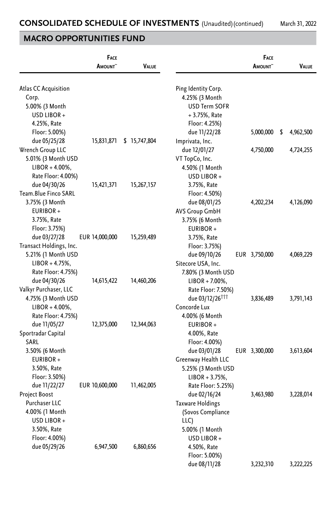|                         | FACE<br>AMOUNT <sup>~</sup> | <b>VALUE</b> |                             | FACE<br><b>AMOUNT</b> | VALUE           |
|-------------------------|-----------------------------|--------------|-----------------------------|-----------------------|-----------------|
|                         |                             |              |                             |                       |                 |
| Atlas CC Acquisition    |                             |              | Ping Identity Corp.         |                       |                 |
| Corp.                   |                             |              | 4.25% (3 Month              |                       |                 |
| 5.00% (3 Month          |                             |              | <b>USD Term SOFR</b>        |                       |                 |
| USD LIBOR +             |                             |              | + 3.75%, Rate               |                       |                 |
| 4.25%, Rate             |                             |              | Floor: 4.25%)               |                       |                 |
| Floor: 5.00%)           |                             |              | due 11/22/28                | 5,000,000             | \$<br>4,962,500 |
| due 05/25/28            | 15,831,871                  | \$15,747,804 | Imprivata, Inc.             |                       |                 |
| Wrench Group LLC        |                             |              | due 12/01/27                | 4,750,000             | 4,724,255       |
| 5.01% (3 Month USD      |                             |              | VT TopCo, Inc.              |                       |                 |
| $LIBOR + 4.00\%$ ,      |                             |              | 4.50% (1 Month              |                       |                 |
| Rate Floor: 4.00%)      |                             |              | USD LIBOR +                 |                       |                 |
| due 04/30/26            | 15,421,371                  | 15,267,157   | 3.75%, Rate                 |                       |                 |
| Team.Blue Finco SARL    |                             |              | Floor: 4.50%)               |                       |                 |
| 3.75% (3 Month          |                             |              | due 08/01/25                | 4,202,234             | 4,126,090       |
| EURIBOR+                |                             |              | <b>AVS Group GmbH</b>       |                       |                 |
| 3.75%, Rate             |                             |              | 3.75% (6 Month              |                       |                 |
| Floor: 3.75%)           |                             |              | EURIBOR+                    |                       |                 |
| due 03/27/28            | EUR 14,000,000              | 15,259,489   | 3.75%, Rate                 |                       |                 |
| Transact Holdings, Inc. |                             |              | Floor: 3.75%)               |                       |                 |
| 5.21% (1 Month USD      |                             |              | due 09/10/26                | EUR 3,750,000         | 4,069,229       |
| $LIBOR + 4.75%$ ,       |                             |              | Sitecore USA, Inc.          |                       |                 |
| Rate Floor: 4.75%)      |                             |              | 7.80% (3 Month USD          |                       |                 |
| due 04/30/26            | 14,615,422                  | 14,460,206   | $LIBOR + 7.00\%$ ,          |                       |                 |
| Valkyr Purchaser, LLC   |                             |              | Rate Floor: 7.50%)          |                       |                 |
| 4.75% (3 Month USD      |                             |              | due 03/12/26 <sup>TTT</sup> | 3,836,489             | 3,791,143       |
| $LIBOR + 4.00\%$ ,      |                             |              | Concorde Lux                |                       |                 |
| Rate Floor: 4.75%)      |                             |              | 4.00% (6 Month              |                       |                 |
| due 11/05/27            | 12,375,000                  | 12,344,063   | EURIBOR+                    |                       |                 |
| Sportradar Capital      |                             |              | 4.00%, Rate                 |                       |                 |
| SARL                    |                             |              | Floor: 4.00%)               |                       |                 |
| 3.50% (6 Month          |                             |              | due 03/01/28                | EUR 3,300,000         | 3,613,604       |
| EURIBOR+                |                             |              | Greenway Health LLC         |                       |                 |
| 3.50%, Rate             |                             |              | 5.25% (3 Month USD          |                       |                 |
| Floor: 3.50%)           |                             |              | $LIBOR + 3.75%$             |                       |                 |
| due 11/22/27            | EUR 10,600,000              | 11,462,005   | Rate Floor: 5.25%)          |                       |                 |
| Project Boost           |                             |              | due 02/16/24                | 3,463,980             | 3,228,014       |
| Purchaser LLC           |                             |              | <b>Taxware Holdings</b>     |                       |                 |
| 4.00% (1 Month          |                             |              | (Sovos Compliance           |                       |                 |
| USD LIBOR +             |                             |              | LLC)                        |                       |                 |
| 3.50%, Rate             |                             |              | 5.00% (1 Month              |                       |                 |
| Floor: 4.00%)           |                             |              | USD LIBOR+                  |                       |                 |
| due 05/29/26            | 6,947,500                   | 6,860,656    | 4.50%, Rate                 |                       |                 |
|                         |                             |              | Floor: 5.00%)               |                       |                 |
|                         |                             |              | due 08/11/28                | 3,232,310             | 3,222,225       |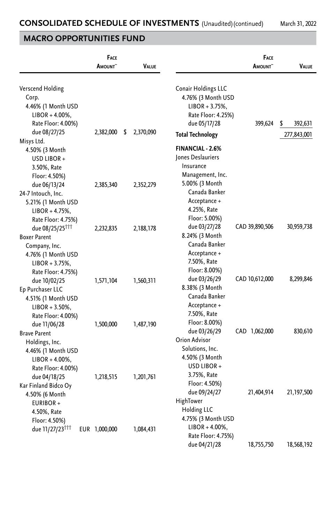|                                                                                                                          | FACE<br>AMOUNT <sup>~</sup> | <b>VALUE</b>    |                                                                                                          | <b>FACE</b><br><b>A</b> MOUNT | VALUE         |
|--------------------------------------------------------------------------------------------------------------------------|-----------------------------|-----------------|----------------------------------------------------------------------------------------------------------|-------------------------------|---------------|
| Verscend Holding<br>Corp.<br>4.46% (1 Month USD<br>$LIBOR + 4.00\%$ ,<br>Rate Floor: 4.00%)                              |                             |                 | Conair Holdings LLC<br>4.76% (3 Month USD<br>$LIBOR + 3.75%$<br>Rate Floor: 4.25%)<br>due 05/17/28       | 399,624                       | \$<br>392,631 |
| due 08/27/25                                                                                                             | 2,382,000                   | \$<br>2,370,090 | <b>Total Technology</b>                                                                                  |                               | 277,843,001   |
| Misys Ltd.<br>4.50% (3 Month<br>USD LIBOR +<br>3.50%, Rate<br>Floor: 4.50%)                                              |                             |                 | <b>FINANCIAL - 2.6%</b><br>Jones Deslauriers<br>Insurance<br>Management, Inc.                            |                               |               |
| due 06/13/24<br>24-7 Intouch, Inc.<br>5.21% (1 Month USD<br>$LIBOR + 4.75%$<br>Rate Floor: 4.75%)                        | 2,385,340                   | 2,352,279       | 5.00% (3 Month<br>Canada Banker<br>Acceptance +<br>4.25%, Rate<br>Floor: 5.00%)                          |                               |               |
| due 08/25/25 <sup>111</sup><br><b>Boxer Parent</b><br>Company, Inc.<br>4.76% (1 Month USD<br>$LIBOR + 3.75%$ ,           | 2,232,835                   | 2,188,178       | due 03/27/28<br>8.24% (3 Month<br>Canada Banker<br>Acceptance +<br>7.50%, Rate                           | CAD 39,890,506                | 30,959,738    |
| Rate Floor: 4.75%)<br>due 10/02/25<br>Ep Purchaser LLC<br>4.51% (1 Month USD<br>$LIBOR + 3.50\%,$                        | 1,571,104                   | 1,560,311       | Floor: 8.00%)<br>due 03/26/29<br>8.38% (3 Month<br>Canada Banker<br>Acceptance +<br>7.50%, Rate          | CAD 10,612,000                | 8,299,846     |
| Rate Floor: 4.00%)<br>due 11/06/28<br><b>Brave Parent</b><br>Holdings, Inc.<br>4.46% (1 Month USD<br>$LIBOR + 4.00\%$ ,  | 1,500,000                   | 1,487,190       | Floor: 8.00%)<br>due 03/26/29<br><b>Orion Advisor</b><br>Solutions, Inc.<br>4.50% (3 Month<br>USD LIBOR+ | CAD 1,062,000                 | 830,610       |
| Rate Floor: 4.00%)<br>due 04/18/25<br>Kar Finland Bidco Oy<br>4.50% (6 Month<br>EURIBOR+<br>4.50%, Rate<br>Floor: 4.50%) | 1,218,515                   | 1,201,761       | 3.75%, Rate<br>Floor: 4.50%)<br>due 09/24/27<br>HighTower<br>Holding LLC<br>4.75% (3 Month USD           | 21,404,914                    | 21,197,500    |
| due 11/27/23 <sup>TTT</sup>                                                                                              | EUR 1,000,000               | 1,084,431       | $LIBOR + 4.00\%$<br>Rate Floor: 4.75%)<br>due 04/21/28                                                   | 18,755,750                    | 18,568,192    |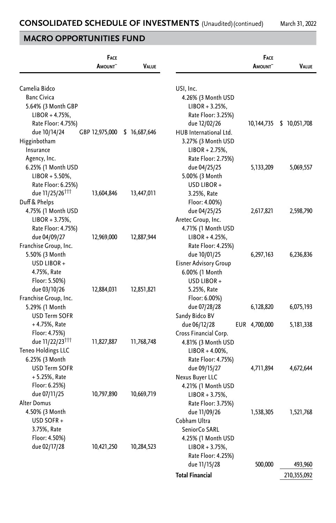|                                                   | <b>FACE</b><br>Amount~ | <b>VALUE</b> |                                         | FACE<br>Amount~ | Value        |
|---------------------------------------------------|------------------------|--------------|-----------------------------------------|-----------------|--------------|
| Camelia Bidco                                     |                        |              | USI, Inc.                               |                 |              |
| <b>Banc Civica</b>                                |                        |              | 4.26% (3 Month USD                      |                 |              |
| 5.64% (3 Month GBP                                |                        |              | $LIBOR + 3.25%$                         |                 |              |
| $LIBOR + 4.75%$ ,                                 |                        |              | Rate Floor: 3.25%)                      |                 |              |
| Rate Floor: 4.75%)                                |                        |              | due 12/02/26                            | 10,144,735      | \$10,051,708 |
| due 10/14/24                                      | GBP 12,975,000         | \$16,687,646 | HUB International Ltd.                  |                 |              |
| Higginbotham                                      |                        |              | 3.27% (3 Month USD                      |                 |              |
| Insurance                                         |                        |              | $LIBOR + 2.75%$ ,                       |                 |              |
| Agency, Inc.                                      |                        |              | Rate Floor: 2.75%)                      |                 |              |
| 6.25% (1 Month USD                                |                        |              | due 04/25/25                            | 5,133,209       | 5,069,557    |
| $LIBOR + 5.50\%$ ,                                |                        |              | 5.00% (3 Month                          |                 |              |
| Rate Floor: 6.25%)<br>due 11/25/26 <sup>†††</sup> | 13,604,846             | 13,447,011   | USD LIBOR +<br>3.25%, Rate              |                 |              |
| Duff & Phelps                                     |                        |              | Floor: 4.00%)                           |                 |              |
| 4.75% (1 Month USD                                |                        |              | due 04/25/25                            | 2,617,821       | 2,598,790    |
| $LIBOR + 3.75%$                                   |                        |              | Aretec Group, Inc.                      |                 |              |
| Rate Floor: 4.75%)                                |                        |              | 4.71% (1 Month USD                      |                 |              |
| due 04/09/27                                      | 12,969,000             | 12,887,944   | $LIBOR + 4.25%$ ,                       |                 |              |
| Franchise Group, Inc.                             |                        |              | Rate Floor: 4.25%)                      |                 |              |
| 5.50% (3 Month                                    |                        |              | due 10/01/25                            | 6,297,163       | 6,236,836    |
| USD LIBOR+                                        |                        |              | <b>Eisner Advisory Group</b>            |                 |              |
| 4.75%, Rate                                       |                        |              | 6.00% (1 Month                          |                 |              |
| Floor: 5.50%)                                     |                        |              | USD LIBOR +                             |                 |              |
| due 03/10/26                                      | 12,884,031             | 12,851,821   | 5.25%, Rate                             |                 |              |
| Franchise Group, Inc.                             |                        |              | Floor: 6.00%)                           |                 |              |
| 5.29% (1 Month                                    |                        |              | due 07/28/28                            | 6,128,820       | 6,075,193    |
| <b>USD Term SOFR</b>                              |                        |              | Sandy Bidco BV                          |                 |              |
| + 4.75%, Rate                                     |                        |              | due 06/12/28                            | EUR 4,700,000   | 5, 181, 338  |
| Floor: 4.75%)                                     |                        |              | Cross Financial Corp.                   |                 |              |
| due 11/22/23 <sup>TTT</sup>                       | 11,827,887             | 11,768,748   | 4.81% (3 Month USD                      |                 |              |
| <b>Teneo Holdings LLC</b>                         |                        |              | $LIBOR + 4.00\%$                        |                 |              |
| 6.25% (3 Month                                    |                        |              | Rate Floor: 4.75%)                      |                 |              |
| <b>USD Term SOFR</b>                              |                        |              | due 09/15/27                            | 4,711,894       | 4,672,644    |
| + 5.25%, Rate                                     |                        |              | Nexus Buyer LLC                         |                 |              |
| Floor: 6.25%)                                     |                        |              | 4.21% (1 Month USD                      |                 |              |
| due 07/11/25                                      | 10,797,890             | 10,669,719   | $LIBOR + 3.75%$ ,                       |                 |              |
| Alter Domus                                       |                        |              | Rate Floor: 3.75%)                      |                 |              |
| 4.50% (3 Month                                    |                        |              | due 11/09/26                            | 1,538,305       | 1,521,768    |
| USD SOFR+<br>3.75%, Rate                          |                        |              | Cobham Ultra<br>SeniorCo SARL           |                 |              |
| Floor: 4.50%)                                     |                        |              |                                         |                 |              |
| due 02/17/28                                      | 10,421,250             | 10,284,523   | 4.25% (1 Month USD<br>$LIBOR + 3.75%$ , |                 |              |
|                                                   |                        |              | Rate Floor: 4.25%)                      |                 |              |
|                                                   |                        |              | due 11/15/28                            | 500,000         | 493,960      |
|                                                   |                        |              | Total Financial                         |                 | 210,355,092  |
|                                                   |                        |              |                                         |                 |              |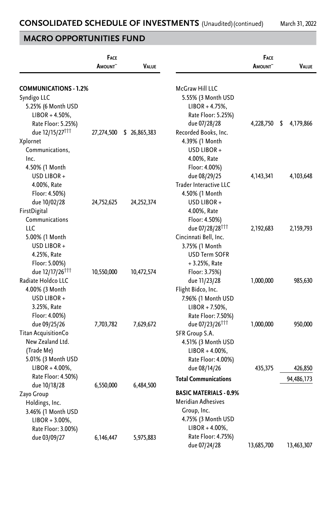|                              | <b>FACE</b><br><b>AMOUNT</b> | <b>VALUE</b> |                               | <b>FACE</b><br><b>A</b> mount^ | VALUE           |
|------------------------------|------------------------------|--------------|-------------------------------|--------------------------------|-----------------|
|                              |                              |              |                               |                                |                 |
| <b>COMMUNICATIONS - 1.2%</b> |                              |              | McGraw Hill LLC               |                                |                 |
| Syndigo LLC                  |                              |              | 5.55% (3 Month USD            |                                |                 |
| 5.25% (6 Month USD           |                              |              | $LIBOR + 4.75%$ ,             |                                |                 |
| $LIBOR + 4.50\%$             |                              |              | Rate Floor: 5.25%)            |                                |                 |
| Rate Floor: 5.25%)           |                              |              | due 07/28/28                  | 4,228,750                      | 4,179,866<br>\$ |
| due 12/15/27 <sup>†††</sup>  | 27,274,500                   | \$26,865,383 | Recorded Books, Inc.          |                                |                 |
| Xplornet                     |                              |              | 4.39% (1 Month                |                                |                 |
| Communications,              |                              |              | USD LIBOR +                   |                                |                 |
| Inc.                         |                              |              | 4.00%, Rate                   |                                |                 |
| 4.50% (1 Month               |                              |              | Floor: 4.00%)                 |                                |                 |
| USD LIBOR +                  |                              |              | due 08/29/25                  | 4, 143, 341                    | 4, 103, 648     |
| 4.00%, Rate                  |                              |              | Trader Interactive LLC        |                                |                 |
| Floor: 4.50%)                |                              |              | 4.50% (1 Month                |                                |                 |
| due 10/02/28                 | 24,752,625                   | 24,252,374   | USD LIBOR +                   |                                |                 |
| FirstDigital                 |                              |              | 4.00%, Rate                   |                                |                 |
| Communications               |                              |              | Floor: 4.50%)                 |                                |                 |
| LLC                          |                              |              | due 07/28/28 <sup>†††</sup>   | 2,192,683                      | 2,159,793       |
| 5.00% (1 Month               |                              |              | Cincinnati Bell, Inc.         |                                |                 |
| USD LIBOR +                  |                              |              | 3.75% (1 Month                |                                |                 |
| 4.25%, Rate                  |                              |              | <b>USD Term SOFR</b>          |                                |                 |
| Floor: 5.00%)                |                              |              | $+3.25%$ , Rate               |                                |                 |
| due 12/17/26 <sup>TTT</sup>  | 10,550,000                   | 10,472,574   | Floor: 3.75%)                 |                                |                 |
| Radiate Holdco LLC           |                              |              | due 11/23/28                  | 1,000,000                      | 985,630         |
| 4.00% (3 Month               |                              |              | Flight Bidco, Inc.            |                                |                 |
| USD LIBOR+                   |                              |              | 7.96% (1 Month USD            |                                |                 |
| 3.25%, Rate                  |                              |              | $LIBOR + 7.50\%$              |                                |                 |
| Floor: 4.00%)                |                              |              | Rate Floor: 7.50%)            |                                |                 |
| due 09/25/26                 | 7,703,782                    | 7,629,672    | due 07/23/26 <sup>111</sup>   | 1,000,000                      | 950,000         |
| Titan AcquisitionCo          |                              |              | SFR Group S.A.                |                                |                 |
| New Zealand Ltd.             |                              |              | 4.51% (3 Month USD            |                                |                 |
| (Trade Me)                   |                              |              | $LIBOR + 4.00\%$ ,            |                                |                 |
| 5.01% (3 Month USD           |                              |              | Rate Floor: 4.00%)            |                                |                 |
| $LIBOR + 4.00\%$ ,           |                              |              | due 08/14/26                  | 435,375                        | 426,850         |
| Rate Floor: 4.50%)           |                              |              | <b>Total Communications</b>   |                                | 94,486,173      |
| due 10/18/28                 | 6,550,000                    | 6,484,500    |                               |                                |                 |
| Zayo Group                   |                              |              | <b>BASIC MATERIALS - 0.9%</b> |                                |                 |
| Holdings, Inc.               |                              |              | Meridian Adhesives            |                                |                 |
| 3.46% (1 Month USD           |                              |              | Group, Inc.                   |                                |                 |
| $LIBOR + 3.00\%,$            |                              |              | 4.75% (3 Month USD            |                                |                 |
| Rate Floor: 3.00%)           |                              |              | $LIBOR + 4.00\%$ ,            |                                |                 |
| due 03/09/27                 | 6,146,447                    | 5,975,883    | Rate Floor: 4.75%)            |                                |                 |
|                              |                              |              | due 07/24/28                  | 13,685,700                     | 13,463,307      |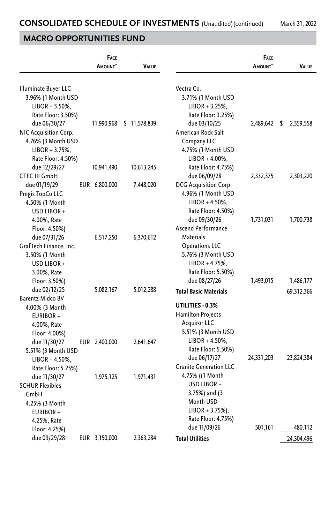| <b>FACE</b><br><b>A</b> mount~                | VALUE         |                               | FACE<br>Amount~ | <b>VALUE</b>    |
|-----------------------------------------------|---------------|-------------------------------|-----------------|-----------------|
|                                               |               |                               |                 |                 |
| Illuminate Buyer LLC                          |               | Vectra Co.                    |                 |                 |
| 3.96% (1 Month USD                            |               | 3.71% (1 Month USD            |                 |                 |
| $LIBOR + 3.50\%,$                             |               | $LIBOR + 3.25%$               |                 |                 |
| Rate Floor: 3.50%)                            |               | Rate Floor: 3.25%)            |                 |                 |
| 11,990,968<br>due 06/30/27                    | \$ 11,578,839 | due 03/10/25                  | 2,489,642       | \$<br>2,359,558 |
| NIC Acquisition Corp.                         |               | American Rock Salt            |                 |                 |
| 4.76% (3 Month USD                            |               | Company LLC                   |                 |                 |
| $LIBOR + 3.75%$ ,                             |               | 4.75% (1 Month USD            |                 |                 |
| Rate Floor: 4.50%)                            |               | $LIBOR + 4.00\%,$             |                 |                 |
| due 12/29/27<br>10,941,490                    | 10,613,245    | Rate Floor: 4.75%)            |                 |                 |
| CTEC III GmbH                                 |               | due 06/09/28                  | 2,332,375       | 2,303,220       |
| due 01/19/29<br>EUR 6,800,000                 | 7,448,020     | DCG Acquisition Corp.         |                 |                 |
| Pregis TopCo LLC                              |               | 4.96% (1 Month USD            |                 |                 |
| 4.50% (1 Month                                |               | $LIBOR + 4.50\%$              |                 |                 |
| USD LIBOR +                                   |               | Rate Floor: 4.50%)            |                 |                 |
| 4.00%, Rate                                   |               | due 09/30/26                  | 1,731,031       | 1,700,738       |
| Floor: 4.50%)                                 |               | Ascend Performance            |                 |                 |
| due 07/31/26<br>6,517,250                     | 6,370,612     | Materials                     |                 |                 |
| GrafTech Finance, Inc.                        |               | <b>Operations LLC</b>         |                 |                 |
| 3.50% (1 Month                                |               | 5.76% (3 Month USD            |                 |                 |
| USD LIBOR +                                   |               | $LIBOR + 4.75%$ ,             |                 |                 |
| 3.00%, Rate                                   |               | Rate Floor: 5.50%)            | 1,493,015       | 1,486,177       |
| Floor: 3.50%)                                 |               | due 08/27/26                  |                 |                 |
| due 02/12/25<br>5,082,167<br>Barentz Midco BV | 5,012,288     | <b>Total Basic Materials</b>  |                 | 69,312,366      |
| 4.00% (3 Month                                |               | UTILITIES - 0.3%              |                 |                 |
| EURIBOR+                                      |               | <b>Hamilton Projects</b>      |                 |                 |
| 4.00%, Rate                                   |               | <b>Acquiror LLC</b>           |                 |                 |
| Floor: 4.00%)                                 |               | 5.51% (3 Month USD            |                 |                 |
| due 11/30/27<br>EUR 2,400,000                 | 2,641,647     | $LIBOR + 4.50\%,$             |                 |                 |
| 5.51% (3 Month USD                            |               | Rate Floor: 5.50%)            |                 |                 |
| $LIBOR + 4.50\%$                              |               | due 06/17/27                  | 24,331,203      | 23,824,384      |
| Rate Floor: 5.25%)                            |               | <b>Granite Generation LLC</b> |                 |                 |
| due 11/30/27<br>1,975,125                     | 1,971,431     | 4.75% ((1 Month               |                 |                 |
| <b>SCHUR Flexibles</b>                        |               | USD LIBOR +                   |                 |                 |
| GmbH                                          |               | 3.75%) and (3                 |                 |                 |
| 4.25% (3 Month                                |               | Month USD                     |                 |                 |
| EURIBOR+                                      |               | $LIBOR + 3.75\%$ ),           |                 |                 |
| 4.25%, Rate                                   |               | Rate Floor: 4.75%)            |                 |                 |
| Floor: 4.25%)                                 |               | due 11/09/26                  | 501,161         | 480,112         |
| due 09/29/28<br>EUR 3,150,000                 | 2,363,284     | <b>Total Utilities</b>        |                 | 24,304,496      |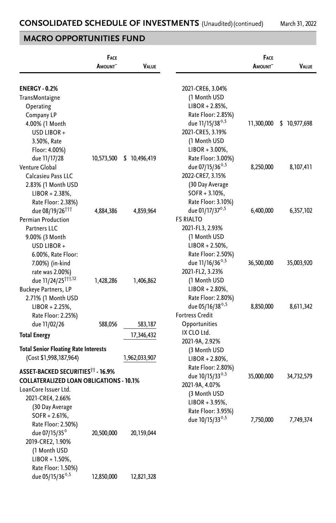|                                                                       | FACE<br><b>AMOUNT</b> | VALUE         |                                                   | FACE<br><b>AMOUNT</b> | <b>VALUE</b> |
|-----------------------------------------------------------------------|-----------------------|---------------|---------------------------------------------------|-----------------------|--------------|
| <b>ENERGY - 0.2%</b>                                                  |                       |               | 2021-CRE6, 3.04%                                  |                       |              |
| TransMontaigne                                                        |                       |               | (1 Month USD                                      |                       |              |
| Operating                                                             |                       |               | $LIBOR + 2.85%$                                   |                       |              |
| Company LP                                                            |                       |               | Rate Floor: 2.85%)                                |                       |              |
| 4.00% (1 Month                                                        |                       |               | due 11/15/38 <sup>6,5</sup>                       | 11,300,000            | \$10,977,698 |
| USD LIBOR +                                                           |                       |               | 2021-CRE5, 3.19%                                  |                       |              |
| 3.50%, Rate                                                           |                       |               | (1 Month USD                                      |                       |              |
| Floor: 4.00%)                                                         |                       |               | $LIBOR + 3.00\%,$                                 |                       |              |
| due 11/17/28                                                          | 10,573,500            | \$10,496,419  | Rate Floor: 3.00%)                                |                       |              |
| Venture Global                                                        |                       |               | due 07/15/36 <sup>9,5</sup>                       | 8,250,000             | 8,107,411    |
| Calcasieu Pass LLC                                                    |                       |               | 2022-CRE7, 3.15%                                  |                       |              |
|                                                                       |                       |               | (30 Day Average                                   |                       |              |
| 2.83% (1 Month USD                                                    |                       |               | $SOFR + 3.10%$                                    |                       |              |
| $LIBOR + 2.38%$                                                       |                       |               | Rate Floor: 3.10%)                                |                       |              |
| Rate Floor: 2.38%)<br>due 08/19/26 <sup>111</sup>                     |                       | 4,859,964     | due 01/17/37 <sup>0,5</sup>                       | 6,400,000             | 6,357,102    |
| Permian Production                                                    | 4,884,386             |               | <b>FS RIALTO</b>                                  |                       |              |
| Partners LLC                                                          |                       |               | 2021-FL3, 2.93%                                   |                       |              |
|                                                                       |                       |               |                                                   |                       |              |
| 9.00% (3 Month                                                        |                       |               | (1 Month USD                                      |                       |              |
| USD LIBOR+                                                            |                       |               | $LIBOR + 2.50\%$ ,                                |                       |              |
| 6.00%, Rate Floor:                                                    |                       |               | Rate Floor: 2.50%)                                |                       |              |
| 7.00%) (in-kind                                                       |                       |               | due 11/16/36 <sup>6,5</sup>                       | 36,500,000            | 35,003,920   |
| rate was 2.00%)                                                       |                       |               | 2021-FL2, 3.23%                                   |                       |              |
| due 11/24/25 <sup>†††,12</sup>                                        | 1,428,286             | 1,406,862     | (1 Month USD                                      |                       |              |
| Buckeye Partners, LP                                                  |                       |               | $LIBOR + 2.80\%,$                                 |                       |              |
| 2.71% (1 Month USD                                                    |                       |               | Rate Floor: 2.80%)                                |                       |              |
| $LIBOR + 2.25%$ ,                                                     |                       |               | due 05/16/38 <sup>6,5</sup>                       | 8,850,000             | 8,611,342    |
| Rate Floor: 2.25%)                                                    |                       |               | <b>Fortress Credit</b>                            |                       |              |
| due 11/02/26                                                          | 588,056               | 583,187       | Opportunities                                     |                       |              |
| <b>Total Energy</b>                                                   |                       | 17,346,432    | IX CLO Ltd.                                       |                       |              |
|                                                                       |                       |               | 2021-9A, 2.92%                                    |                       |              |
| <b>Total Senior Floating Rate Interests</b><br>(Cost \$1,998,187,964) |                       | 1,962,033,907 | (3 Month USD                                      |                       |              |
|                                                                       |                       |               | $LIBOR + 2.80\%,$                                 |                       |              |
| <b>ASSET-BACKED SECURITIES<sup>11</sup> - 16.9%</b>                   |                       |               | Rate Floor: 2.80%)                                |                       |              |
| <b>COLLATERALIZED LOAN OBLIGATIONS - 10.1%</b>                        |                       |               | due 10/15/33 <sup>0,5</sup>                       | 35,000,000            | 34,732,579   |
| LoanCore Issuer Ltd.                                                  |                       |               | 2021-9A, 4.07%                                    |                       |              |
| 2021-CRE4, 2.66%                                                      |                       |               | (3 Month USD                                      |                       |              |
| (30 Day Average                                                       |                       |               | $LIBOR + 3.95\%$                                  |                       |              |
| $SOFR + 2.61%$                                                        |                       |               | Rate Floor: 3.95%)<br>due 10/15/33 <sup>0,5</sup> |                       |              |
| Rate Floor: 2.50%)                                                    |                       |               |                                                   | 7,750,000             | 7,749,374    |
| due 07/15/35 <sup>°</sup>                                             | 20,500,000            | 20,159,044    |                                                   |                       |              |
| 2019-CRE2, 1.90%                                                      |                       |               |                                                   |                       |              |
| (1 Month USD                                                          |                       |               |                                                   |                       |              |
| $LIBOR + 1.50\%,$                                                     |                       |               |                                                   |                       |              |
| Rate Floor: 1.50%)                                                    |                       |               |                                                   |                       |              |
| due 05/15/36 <sup>6,5</sup>                                           | 12,850,000            | 12,821,328    |                                                   |                       |              |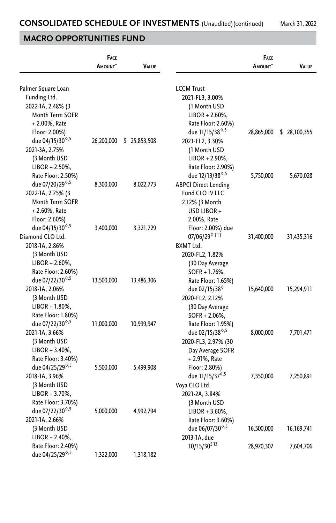|                                                                                                                                | FACE<br>Amount~ | <b>VALUE</b> |                                                                                                                                  | FACE<br><b>A</b> MOUNT~ | <b>VALUE</b> |
|--------------------------------------------------------------------------------------------------------------------------------|-----------------|--------------|----------------------------------------------------------------------------------------------------------------------------------|-------------------------|--------------|
| Palmer Square Loan<br>Funding Ltd.<br>2022-1A, 2.48% (3<br><b>Month Term SOFR</b>                                              |                 |              | <b>LCCM Trust</b><br>2021-FL3, 3.00%<br>(1 Month USD<br>$LIBOR + 2.60\%,$                                                        |                         |              |
| $+2.00\%$ , Rate<br>Floor: 2.00%)<br>due 04/15/30 <sup>6,5</sup><br>2021-3A, 2.75%<br>(3 Month USD<br>$LIBOR + 2.50\%$ ,       | 26,200,000      | \$25,853,508 | Rate Floor: 2.60%)<br>due 11/15/38 <sup>6,5</sup><br>2021-FL2, 3.30%<br>(1 Month USD<br>$LIBOR + 2.90\%$ ,<br>Rate Floor: 2.90%) | 28,865,000              | \$28,100,355 |
| Rate Floor: 2.50%)<br>due 07/20/29 <sup>0,5</sup><br>2022-1A, 2.75% (3<br>Month Term SOFR<br>$+2.60\%$ , Rate<br>Floor: 2.60%) | 8,300,000       | 8,022,773    | due 12/13/38 <sup>6,5</sup><br><b>ABPCI Direct Lending</b><br>Fund CLO IV LLC<br>2.12% (3 Month<br>USD LIBOR+<br>2.00%, Rate     | 5,750,000               | 5,670,028    |
| due 04/15/30 $8,5$<br>Diamond CLO Ltd.<br>2018-1A, 2.86%<br>(3 Month USD<br>$LIBOR + 2.60\%$ ,<br>Rate Floor: 2.60%)           | 3,400,000       | 3,321,729    | Floor: 2.00%) due<br>$07/06/29^{\circ, \dagger}$<br><b>BXMT Ltd.</b><br>2020-FL2, 1.82%<br>(30 Day Average<br>$SOFR + 1.76%$     | 31,400,000              | 31,435,316   |
| due 07/22/30 <sup>6,5</sup><br>2018-1A, 2.06%<br>(3 Month USD<br>$LIBOR + 1.80\%$ ,<br>Rate Floor: 1.80%)                      | 13,500,000      | 13,486,306   | Rate Floor: 1.65%)<br>due 02/15/38 $^{\circ}$<br>2020-FL2, 2.12%<br>(30 Day Average<br>SOFR + 2.06%,                             | 15,640,000              | 15,294,911   |
| due 07/22/30 <sup>6,5</sup><br>2021-1A, 3.66%<br>(3 Month USD<br>$LIBOR + 3.40\%$ ,<br>Rate Floor: 3.40%)                      | 11,000,000      | 10,999,947   | Rate Floor: 1.95%)<br>due 02/15/38 <sup>6,5</sup><br>2020-FL3, 2.97% (30<br>Day Average SOFR<br>+ 2.91%, Rate                    | 8,000,000               | 7,701,471    |
| due 04/25/29 <sup>6,5</sup><br>2018-1A, 3.96%<br>(3 Month USD<br>$LIBOR + 3.70\%,$<br>Rate Floor: 3.70%)                       | 5,500,000       | 5,499,908    | Floor: 2.80%)<br>due 11/15/37 <sup>0,5</sup><br>Voya CLO Ltd.<br>2021-2A, 3.84%<br>(3 Month USD                                  | 7,350,000               | 7,250,891    |
| due 07/22/30 <sup>6,5</sup><br>2021-1A, 2.66%<br>(3 Month USD<br>$LIBOR + 2.40\%,$                                             | 5,000,000       | 4,992,794    | $LIBOR + 3.60\%,$<br>Rate Floor: 3.60%)<br>due 06/07/30 <sup>6,5</sup><br>2013-1A, due                                           | 16,500,000              | 16, 169, 741 |
| Rate Floor: 2.40%)<br>due 04/25/29 <sup>6,5</sup>                                                                              | 1,322,000       | 1,318,182    | 10/15/30 <sup>5,13</sup>                                                                                                         | 28,970,307              | 7,604,706    |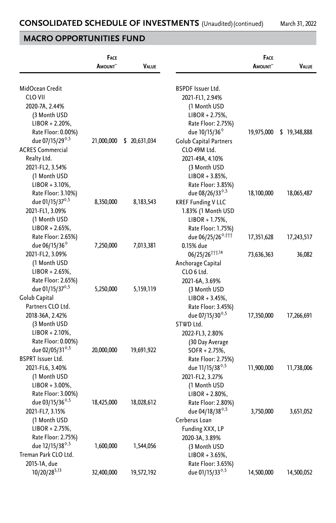|                                                 | FACE<br>AMOUNT <sup>~</sup> | <b>VALUE</b> |                                            | FACE<br><b>A</b> mount^ | VALUE        |
|-------------------------------------------------|-----------------------------|--------------|--------------------------------------------|-------------------------|--------------|
| MidOcean Credit                                 |                             |              | <b>BSPDF Issuer Ltd.</b>                   |                         |              |
| CLO VII                                         |                             |              | 2021-FL1, 2.94%                            |                         |              |
| 2020-7A, 2.44%                                  |                             |              | (1 Month USD                               |                         |              |
| (3 Month USD                                    |                             |              | $LIBOR + 2.75%$ ,                          |                         |              |
| $LIBOR + 2.20\%,$                               |                             |              | Rate Floor: 2.75%)                         |                         |              |
| Rate Floor: 0.00%)                              |                             |              | due 10/15/36°                              | 19,975,000              | \$19,348,888 |
| due 07/15/29 <sup>0,5</sup>                     | 21,000,000                  | \$20,631,034 | Golub Capital Partners                     |                         |              |
| <b>ACRES Commercial</b>                         |                             |              | CLO 49M Ltd.                               |                         |              |
| Realty Ltd.                                     |                             |              | 2021-49A, 4.10%                            |                         |              |
| 2021-FL2, 3.54%                                 |                             |              | (3 Month USD                               |                         |              |
| (1 Month USD                                    |                             |              | $LIBOR + 3.85\%,$                          |                         |              |
| $LIBOR + 3.10\%,$                               |                             |              | Rate Floor: 3.85%)                         |                         |              |
| Rate Floor: 3.10%)                              |                             |              | due $08/26/33^{\circ,5}$                   | 18,100,000              | 18,065,487   |
| due 01/15/37 <sup>0,5</sup>                     | 8,350,000                   | 8, 183, 543  | <b>KREF Funding V LLC</b>                  |                         |              |
| 2021-FL1, 3.09%                                 |                             |              | 1.83% (1 Month USD                         |                         |              |
| (1 Month USD                                    |                             |              | $LIBOR + 1.75%$                            |                         |              |
| $LIBOR + 2.65\%,$                               |                             |              | Rate Floor: 1.75%)                         |                         |              |
| Rate Floor: 2.65%)<br>due 06/15/36 <sup>°</sup> | 7,250,000                   | 7,013,381    | due 06/25/26 <sup>6,†††</sup><br>0.15% due | 17,351,628              | 17,243,517   |
| 2021-FL2, 3.09%                                 |                             |              | 06/25/26 111, 14                           | 73,636,363              | 36,082       |
| (1 Month USD                                    |                             |              | Anchorage Capital                          |                         |              |
| LIBOR + 2.65%,                                  |                             |              | CLO 6 Ltd.                                 |                         |              |
| Rate Floor: 2.65%)                              |                             |              | 2021-6A, 3.69%                             |                         |              |
| due 01/15/37 <sup>0,5</sup>                     | 5,250,000                   | 5,159,119    | (3 Month USD                               |                         |              |
| Golub Capital                                   |                             |              | $LIBOR + 3.45\%,$                          |                         |              |
| Partners CLO Ltd.                               |                             |              | Rate Floor: 3.45%)                         |                         |              |
| 2018-36A, 2.42%                                 |                             |              | due 07/15/30 $8,5$                         | 17,350,000              | 17,266,691   |
| (3 Month USD                                    |                             |              | STWD Ltd.                                  |                         |              |
| $LIBOR + 2.10\%,$                               |                             |              | 2022-FL3, 2.80%                            |                         |              |
| Rate Floor: 0.00%)                              |                             |              | (30 Day Average                            |                         |              |
| due 02/05/31 <sup>0,5</sup>                     | 20,000,000                  | 19,691,922   | $SOFR + 2.75%$                             |                         |              |
| <b>BSPRT Issuer Ltd.</b>                        |                             |              | Rate Floor: 2.75%)                         |                         |              |
| 2021-FL6, 3.40%                                 |                             |              | due 11/15/38 <sup>6,5</sup>                | 11,900,000              | 11,738,006   |
| (1 Month USD                                    |                             |              | 2021-FL2, 3.27%                            |                         |              |
| $LIBOR + 3.00\%$ ,                              |                             |              | (1 Month USD                               |                         |              |
| Rate Floor: 3.00%)                              |                             |              | $LIBOR + 2.80\%$                           |                         |              |
| due 03/15/36 <sup>6,5</sup>                     | 18,425,000                  | 18,028,612   | Rate Floor: 2.80%)                         |                         |              |
| 2021-FL7, 3.15%                                 |                             |              | due 04/18/38 <sup>6,5</sup>                | 3,750,000               | 3,651,052    |
| (1 Month USD                                    |                             |              | Cerberus Loan                              |                         |              |
| $LIBOR + 2.75%$ ,                               |                             |              | Funding XXX, LP                            |                         |              |
| Rate Floor: 2.75%)                              |                             |              | 2020-3A, 3.89%                             |                         |              |
| due 12/15/38 <sup>6,5</sup>                     | 1,600,000                   | 1,544,056    | (3 Month USD                               |                         |              |
| Treman Park CLO Ltd.                            |                             |              | $LIBOR + 3.65\%,$                          |                         |              |
| 2015-1A, due                                    |                             |              | Rate Floor: 3.65%)                         |                         |              |
| 10/20/28 <sup>5,13</sup>                        | 32,400,000                  | 19,572,192   | due 01/15/33 <sup>0,5</sup>                | 14,500,000              | 14,500,052   |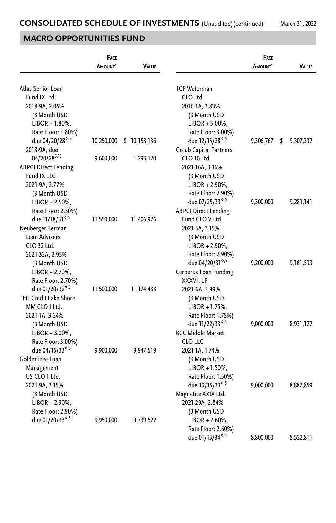|                                                 | FACE<br>Amount~ | <b>VALUE</b> |                                                   | FACE<br><b>A</b> MOUNT | <b>VALUE</b>    |
|-------------------------------------------------|-----------------|--------------|---------------------------------------------------|------------------------|-----------------|
| Atlas Senior Loan                               |                 |              | <b>TCP Waterman</b>                               |                        |                 |
| Fund IX Ltd.                                    |                 |              | CLO Ltd.                                          |                        |                 |
| 2018-9A, 2.05%                                  |                 |              | 2016-1A, 3.83%                                    |                        |                 |
| (3 Month USD                                    |                 |              | (3 Month USD                                      |                        |                 |
| LIBOR + 1.80%,                                  |                 |              | $LIBOR + 3.00\%$ ,                                |                        |                 |
| Rate Floor: 1.80%)                              |                 |              | Rate Floor: 3.00%)                                |                        |                 |
| due 04/20/28 <sup><math>\diamond</math>,5</sup> | 10,250,000      | \$10,158,136 | due 12/15/28 <sup>6,5</sup>                       | 9,306,767              | \$<br>9,307,337 |
| 2018-9A, due                                    |                 |              | Golub Capital Partners                            |                        |                 |
| 04/20/285,13                                    | 9,600,000       | 1,293,120    | CLO 16 Ltd.                                       |                        |                 |
| <b>ABPCI Direct Lending</b>                     |                 |              | 2021-16A, 3.16%                                   |                        |                 |
| Fund IX LLC                                     |                 |              | (3 Month USD                                      |                        |                 |
| 2021-9A, 2.77%                                  |                 |              | $LIBOR + 2.90\%$ ,                                |                        |                 |
| (3 Month USD                                    |                 |              | Rate Floor: 2.90%)                                |                        |                 |
| $LIBOR + 2.50\%,$                               |                 |              | due 07/25/33 <sup>0,5</sup>                       | 9,300,000              | 9,289,141       |
| Rate Floor: 2.50%)                              |                 |              | <b>ABPCI Direct Lending</b>                       |                        |                 |
| due 11/18/31 <sup>6,5</sup>                     | 11,550,000      | 11,406,926   | Fund CLO V Ltd.                                   |                        |                 |
| Neuberger Berman                                |                 |              | 2021-5A, 3.15%                                    |                        |                 |
| Loan Advisers                                   |                 |              | (3 Month USD                                      |                        |                 |
| CLO 32 Ltd.                                     |                 |              | $LIBOR + 2.90\%,$                                 |                        |                 |
| 2021-32A, 2.95%                                 |                 |              | Rate Floor: 2.90%)                                |                        |                 |
| (3 Month USD                                    |                 |              | due 04/20/31 <sup>8,5</sup>                       | 9,200,000              | 9, 161, 593     |
| $LIBOR + 2.70\%$ ,                              |                 |              | Cerberus Loan Funding                             |                        |                 |
| Rate Floor: 2.70%)                              |                 |              | XXXVI, LP                                         |                        |                 |
| due 01/20/32 <sup>6,5</sup>                     | 11,500,000      | 11,174,433   | 2021-6A, 1.99%                                    |                        |                 |
| <b>THL Credit Lake Shore</b>                    |                 |              | (3 Month USD                                      |                        |                 |
| MM CLO I Ltd.                                   |                 |              | $LIBOR + 1.75%$                                   |                        |                 |
| 2021-1A, 3.24%<br>(3 Month USD                  |                 |              | Rate Floor: 1.75%)<br>due 11/22/33 <sup>6,5</sup> | 9,000,000              | 8,931,127       |
| $LIBOR + 3.00\%$ ,                              |                 |              | <b>BCC Middle Market</b>                          |                        |                 |
| Rate Floor: 3.00%)                              |                 |              | CLO LLC                                           |                        |                 |
| due 04/15/33 <sup>0,5</sup>                     | 9,900,000       | 9,947,519    | 2021-1A, 1.74%                                    |                        |                 |
| GoldenTree Loan                                 |                 |              | (3 Month USD                                      |                        |                 |
| Management                                      |                 |              | $LIBOR + 1.50\%,$                                 |                        |                 |
| US CLO 1 Ltd.                                   |                 |              | Rate Floor: 1.50%)                                |                        |                 |
| 2021-9A, 3.15%                                  |                 |              | due 10/15/33 <sup>6,5</sup>                       | 9,000,000              | 8,887,859       |
| (3 Month USD                                    |                 |              | Magnetite XXIX Ltd.                               |                        |                 |
| $LIBOR + 2.90\%$                                |                 |              | 2021-29A, 2.84%                                   |                        |                 |
| Rate Floor: 2.90%)                              |                 |              | (3 Month USD                                      |                        |                 |
| due 01/20/33 <sup>0,5</sup>                     | 9,950,000       | 9,739,522    | $LIBOR + 2.60\%$                                  |                        |                 |
|                                                 |                 |              | Rate Floor: 2.60%)                                |                        |                 |
|                                                 |                 |              | due 01/15/34 <sup>6,5</sup>                       | 8,800,000              | 8,522,811       |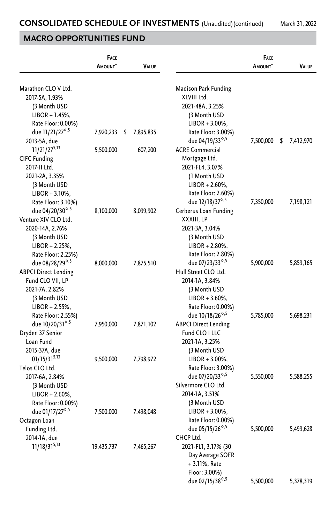|                                          | FACE<br>AMOUNT <sup>~</sup> | VALUE           |                                          | FACE<br>AMOUNT <sup>~</sup> | VALUE           |
|------------------------------------------|-----------------------------|-----------------|------------------------------------------|-----------------------------|-----------------|
| Marathon CLO V Ltd.                      |                             |                 | Madison Park Funding                     |                             |                 |
| 2017-5A, 1.93%                           |                             |                 | XLVIII Ltd.                              |                             |                 |
| (3 Month USD                             |                             |                 | 2021-48A, 3.25%                          |                             |                 |
| $LIBOR + 1.45\%,$                        |                             |                 | (3 Month USD                             |                             |                 |
| Rate Floor: 0.00%)                       |                             |                 | $LIBOR + 3.00\%$                         |                             |                 |
| due 11/21/27 <sup>0,5</sup>              | 7,920,233                   | \$<br>7,895,835 | Rate Floor: 3.00%)                       |                             |                 |
| 2013-5A, due                             |                             |                 | due 04/19/33 <sup>0,5</sup>              | 7,500,000                   | \$<br>7,412,970 |
| 11/21/27 <sup>5,13</sup>                 | 5,500,000                   | 607,200         | <b>ACRE Commercial</b>                   |                             |                 |
| <b>CIFC Funding</b>                      |                             |                 | Mortgage Ltd.                            |                             |                 |
| 2017-II Ltd.                             |                             |                 | 2021-FL4, 3.07%                          |                             |                 |
| 2021-2A, 3.35%                           |                             |                 | (1 Month USD                             |                             |                 |
| (3 Month USD                             |                             |                 | $LIBOR + 2.60\%$ ,                       |                             |                 |
| $LIBOR + 3.10\%,$                        |                             |                 | Rate Floor: 2.60%)                       |                             |                 |
| Rate Floor: 3.10%)                       |                             |                 | due 12/18/37 <sup>6,5</sup>              | 7,350,000                   | 7,198,121       |
| due 04/20/30 <sup>0,5</sup>              | 8,100,000                   | 8,099,902       | Cerberus Loan Funding                    |                             |                 |
| Venture XIV CLO Ltd.                     |                             |                 | XXXIII, LP                               |                             |                 |
| 2020-14A, 2.76%                          |                             |                 | 2021-3A, 3.04%                           |                             |                 |
| (3 Month USD                             |                             |                 | (3 Month USD                             |                             |                 |
| $LIBOR + 2.25%$ ,                        |                             |                 | $LIBOR + 2.80\%$ ,                       |                             |                 |
| Rate Floor: 2.25%)                       |                             |                 | Rate Floor: 2.80%)                       |                             |                 |
| due 08/28/29 <sup>0,5</sup>              | 8,000,000                   | 7,875,510       | due 07/23/33 <sup>0,5</sup>              | 5,900,000                   | 5,859,165       |
| <b>ABPCI Direct Lending</b>              |                             |                 | Hull Street CLO Ltd.                     |                             |                 |
| Fund CLO VII, LP                         |                             |                 | 2014-1A, 3.84%                           |                             |                 |
| 2021-7A, 2.82%                           |                             |                 | (3 Month USD                             |                             |                 |
| (3 Month USD                             |                             |                 | $LIBOR + 3.60\%,$                        |                             |                 |
| $LIBOR + 2.55%$                          |                             |                 | Rate Floor: 0.00%)                       |                             |                 |
| Rate Floor: 2.55%)                       |                             |                 | due 10/18/26 <sup>0,5</sup>              | 5,785,000                   | 5,698,231       |
| due 10/20/31 <sup>6,5</sup>              | 7,950,000                   | 7,871,102       | <b>ABPCI Direct Lending</b>              |                             |                 |
| Dryden 37 Senior                         |                             |                 | Fund CLO I LLC                           |                             |                 |
| Loan Fund                                |                             |                 | 2021-1A, 3.25%                           |                             |                 |
| 2015-37A, due                            |                             |                 | (3 Month USD                             |                             |                 |
| $01/15/31^{5,13}$                        | 9,500,000                   | 7,798,972       | $LIBOR + 3.00\%,$                        |                             |                 |
| Telos CLO Ltd.                           |                             |                 | Rate Floor: 3.00%)                       |                             |                 |
| 2017-6A, 2.84%                           |                             |                 | due 07/20/33 <sup>0,5</sup>              | 5,550,000                   | 5,588,255       |
| (3 Month USD                             |                             |                 | Silvermore CLO Ltd.                      |                             |                 |
| $LIBOR + 2.60\%,$                        |                             |                 | 2014-1A, 3.51%                           |                             |                 |
| Rate Floor: 0.00%)                       |                             |                 | (3 Month USD                             |                             |                 |
| due 01/17/27 <sup>0,5</sup>              | 7,500,000                   | 7,498,048       | $LIBOR + 3.00\%$ ,<br>Rate Floor: 0.00%) |                             |                 |
| Octagon Loan                             |                             |                 | due 05/15/26 <sup>0,5</sup>              | 5,500,000                   | 5,499,628       |
| Funding Ltd.                             |                             |                 | CHCP Ltd.                                |                             |                 |
| 2014-1A, due<br>11/18/31 <sup>5,13</sup> |                             |                 |                                          |                             |                 |
|                                          | 19,435,737                  | 7,465,267       | 2021-FL1, 3.17% (30<br>Day Average SOFR  |                             |                 |
|                                          |                             |                 | + 3.11%, Rate                            |                             |                 |
|                                          |                             |                 | Floor: 3.00%)                            |                             |                 |
|                                          |                             |                 | due 02/15/38 <sup>6,5</sup>              | 5,500,000                   | 5,378,319       |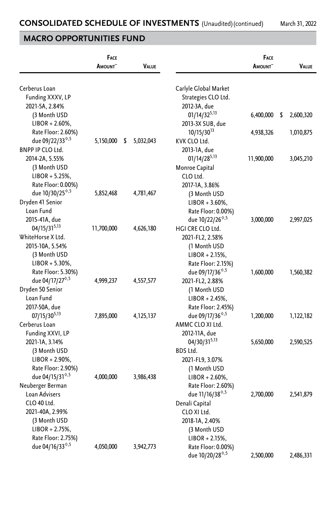| Cerberus Loan<br>Carlyle Global Market<br>Funding XXXV, LP<br>Strategies CLO Ltd.<br>2012-3A, due<br>2021-5A, 2.84%<br>$01/14/32^{5,13}$<br>6,400,000<br>(3 Month USD<br>\$<br>2,600,320<br>2013-3X SUB, due<br>$LIBOR + 2.60\%,$<br>$10/15/30^{13}$<br>Rate Floor: 2.60%)<br>4,938,326<br>1,010,875<br>due 09/22/33 <sup>0,5</sup><br>5,150,000<br>S<br>5,032,043<br>KVK CLO Ltd.<br>BNPP IP CLO Ltd.<br>2013-1A, due<br>$01/14/28^{5,13}$<br>2014-2A, 5.55%<br>11,900,000<br>3,045,210<br>(3 Month USD<br>Monroe Capital<br>$LIBOR + 5.25\%,$<br>CLO Ltd.<br>Rate Floor: 0.00%)<br>2017-1A, 3.86%<br>due 10/30/25 <sup>°</sup> <sup>,5</sup><br>5,852,468<br>4,781,467<br>(3 Month USD<br>Dryden 41 Senior<br>$LIBOR + 3.60\%,$<br>Loan Fund<br>Rate Floor: 0.00%)<br>2015-41A, due<br>due 10/22/26 <sup>6,5</sup><br>3,000,000<br>2,997,025<br>04/15/31 <sup>5,13</sup><br>11,700,000<br>HGI CRE CLO Ltd.<br>4,626,180<br>WhiteHorse X Ltd.<br>2021-FL2, 2.58%<br>2015-10A, 5.54%<br>(1 Month USD<br>(3 Month USD<br>$LIBOR + 2.15%$<br>$LIBOR + 5.30\%,$<br>Rate Floor: 2.15%)<br>Rate Floor: 5.30%)<br>due 09/17/36 <sup>8,5</sup><br>1,600,000<br>1,560,382<br>due 04/17/27 <sup>6,5</sup><br>4,557,577<br>2021-FL2, 2.88%<br>4,999,237<br>Dryden 50 Senior<br>(1 Month USD<br>Loan Fund<br>$LIBOR + 2.45%$<br>2017-50A, due<br>Rate Floor: 2.45%)<br>$07/15/30^{5,13}$<br>due 09/17/36 <sup>0,5</sup><br>7,895,000<br>4,125,137<br>1,200,000<br>1,122,182<br>AMMC CLO XI Ltd.<br>Cerberus Loan<br>2012-11A, due<br>Funding XXVI, LP<br>$04/30/31^{5,13}$<br>2021-1A, 3.14%<br>5,650,000<br>2,590,525<br>(3 Month USD<br>BDS Ltd.<br>$LIBOR + 2.90\%$<br>2021-FL9, 3.07%<br>Rate Floor: 2.90%)<br>(1 Month USD<br>due 04/15/31 <sup>6,5</sup><br>4,000,000<br>3,986,438<br>$LIBOR + 2.60\%,$<br>Neuberger Berman<br>Rate Floor: 2.60%)<br>Loan Advisers<br>due 11/16/38 <sup>8,5</sup><br>2,700,000<br>2,541,879<br>CLO 40 Ltd.<br>Denali Capital<br>2021-40A, 2.99%<br>CLO XI Ltd.<br>(3 Month USD<br>2018-1A, 2.40% | <b>FACE</b><br>AMOUNT <sup>~</sup> | <b>VALUE</b> | <b>FACE</b><br>AMOUNT <sup>~</sup> | Value |
|-----------------------------------------------------------------------------------------------------------------------------------------------------------------------------------------------------------------------------------------------------------------------------------------------------------------------------------------------------------------------------------------------------------------------------------------------------------------------------------------------------------------------------------------------------------------------------------------------------------------------------------------------------------------------------------------------------------------------------------------------------------------------------------------------------------------------------------------------------------------------------------------------------------------------------------------------------------------------------------------------------------------------------------------------------------------------------------------------------------------------------------------------------------------------------------------------------------------------------------------------------------------------------------------------------------------------------------------------------------------------------------------------------------------------------------------------------------------------------------------------------------------------------------------------------------------------------------------------------------------------------------------------------------------------------------------------------------------------------------------------------------------------------------------------------------------------------------------------------------------------------------------------------------------------------------------------------------------------------------------------------------------------------|------------------------------------|--------------|------------------------------------|-------|
|                                                                                                                                                                                                                                                                                                                                                                                                                                                                                                                                                                                                                                                                                                                                                                                                                                                                                                                                                                                                                                                                                                                                                                                                                                                                                                                                                                                                                                                                                                                                                                                                                                                                                                                                                                                                                                                                                                                                                                                                                             |                                    |              |                                    |       |
|                                                                                                                                                                                                                                                                                                                                                                                                                                                                                                                                                                                                                                                                                                                                                                                                                                                                                                                                                                                                                                                                                                                                                                                                                                                                                                                                                                                                                                                                                                                                                                                                                                                                                                                                                                                                                                                                                                                                                                                                                             |                                    |              |                                    |       |
|                                                                                                                                                                                                                                                                                                                                                                                                                                                                                                                                                                                                                                                                                                                                                                                                                                                                                                                                                                                                                                                                                                                                                                                                                                                                                                                                                                                                                                                                                                                                                                                                                                                                                                                                                                                                                                                                                                                                                                                                                             |                                    |              |                                    |       |
|                                                                                                                                                                                                                                                                                                                                                                                                                                                                                                                                                                                                                                                                                                                                                                                                                                                                                                                                                                                                                                                                                                                                                                                                                                                                                                                                                                                                                                                                                                                                                                                                                                                                                                                                                                                                                                                                                                                                                                                                                             |                                    |              |                                    |       |
|                                                                                                                                                                                                                                                                                                                                                                                                                                                                                                                                                                                                                                                                                                                                                                                                                                                                                                                                                                                                                                                                                                                                                                                                                                                                                                                                                                                                                                                                                                                                                                                                                                                                                                                                                                                                                                                                                                                                                                                                                             |                                    |              |                                    |       |
|                                                                                                                                                                                                                                                                                                                                                                                                                                                                                                                                                                                                                                                                                                                                                                                                                                                                                                                                                                                                                                                                                                                                                                                                                                                                                                                                                                                                                                                                                                                                                                                                                                                                                                                                                                                                                                                                                                                                                                                                                             |                                    |              |                                    |       |
|                                                                                                                                                                                                                                                                                                                                                                                                                                                                                                                                                                                                                                                                                                                                                                                                                                                                                                                                                                                                                                                                                                                                                                                                                                                                                                                                                                                                                                                                                                                                                                                                                                                                                                                                                                                                                                                                                                                                                                                                                             |                                    |              |                                    |       |
|                                                                                                                                                                                                                                                                                                                                                                                                                                                                                                                                                                                                                                                                                                                                                                                                                                                                                                                                                                                                                                                                                                                                                                                                                                                                                                                                                                                                                                                                                                                                                                                                                                                                                                                                                                                                                                                                                                                                                                                                                             |                                    |              |                                    |       |
|                                                                                                                                                                                                                                                                                                                                                                                                                                                                                                                                                                                                                                                                                                                                                                                                                                                                                                                                                                                                                                                                                                                                                                                                                                                                                                                                                                                                                                                                                                                                                                                                                                                                                                                                                                                                                                                                                                                                                                                                                             |                                    |              |                                    |       |
|                                                                                                                                                                                                                                                                                                                                                                                                                                                                                                                                                                                                                                                                                                                                                                                                                                                                                                                                                                                                                                                                                                                                                                                                                                                                                                                                                                                                                                                                                                                                                                                                                                                                                                                                                                                                                                                                                                                                                                                                                             |                                    |              |                                    |       |
|                                                                                                                                                                                                                                                                                                                                                                                                                                                                                                                                                                                                                                                                                                                                                                                                                                                                                                                                                                                                                                                                                                                                                                                                                                                                                                                                                                                                                                                                                                                                                                                                                                                                                                                                                                                                                                                                                                                                                                                                                             |                                    |              |                                    |       |
|                                                                                                                                                                                                                                                                                                                                                                                                                                                                                                                                                                                                                                                                                                                                                                                                                                                                                                                                                                                                                                                                                                                                                                                                                                                                                                                                                                                                                                                                                                                                                                                                                                                                                                                                                                                                                                                                                                                                                                                                                             |                                    |              |                                    |       |
|                                                                                                                                                                                                                                                                                                                                                                                                                                                                                                                                                                                                                                                                                                                                                                                                                                                                                                                                                                                                                                                                                                                                                                                                                                                                                                                                                                                                                                                                                                                                                                                                                                                                                                                                                                                                                                                                                                                                                                                                                             |                                    |              |                                    |       |
|                                                                                                                                                                                                                                                                                                                                                                                                                                                                                                                                                                                                                                                                                                                                                                                                                                                                                                                                                                                                                                                                                                                                                                                                                                                                                                                                                                                                                                                                                                                                                                                                                                                                                                                                                                                                                                                                                                                                                                                                                             |                                    |              |                                    |       |
|                                                                                                                                                                                                                                                                                                                                                                                                                                                                                                                                                                                                                                                                                                                                                                                                                                                                                                                                                                                                                                                                                                                                                                                                                                                                                                                                                                                                                                                                                                                                                                                                                                                                                                                                                                                                                                                                                                                                                                                                                             |                                    |              |                                    |       |
|                                                                                                                                                                                                                                                                                                                                                                                                                                                                                                                                                                                                                                                                                                                                                                                                                                                                                                                                                                                                                                                                                                                                                                                                                                                                                                                                                                                                                                                                                                                                                                                                                                                                                                                                                                                                                                                                                                                                                                                                                             |                                    |              |                                    |       |
|                                                                                                                                                                                                                                                                                                                                                                                                                                                                                                                                                                                                                                                                                                                                                                                                                                                                                                                                                                                                                                                                                                                                                                                                                                                                                                                                                                                                                                                                                                                                                                                                                                                                                                                                                                                                                                                                                                                                                                                                                             |                                    |              |                                    |       |
|                                                                                                                                                                                                                                                                                                                                                                                                                                                                                                                                                                                                                                                                                                                                                                                                                                                                                                                                                                                                                                                                                                                                                                                                                                                                                                                                                                                                                                                                                                                                                                                                                                                                                                                                                                                                                                                                                                                                                                                                                             |                                    |              |                                    |       |
|                                                                                                                                                                                                                                                                                                                                                                                                                                                                                                                                                                                                                                                                                                                                                                                                                                                                                                                                                                                                                                                                                                                                                                                                                                                                                                                                                                                                                                                                                                                                                                                                                                                                                                                                                                                                                                                                                                                                                                                                                             |                                    |              |                                    |       |
|                                                                                                                                                                                                                                                                                                                                                                                                                                                                                                                                                                                                                                                                                                                                                                                                                                                                                                                                                                                                                                                                                                                                                                                                                                                                                                                                                                                                                                                                                                                                                                                                                                                                                                                                                                                                                                                                                                                                                                                                                             |                                    |              |                                    |       |
|                                                                                                                                                                                                                                                                                                                                                                                                                                                                                                                                                                                                                                                                                                                                                                                                                                                                                                                                                                                                                                                                                                                                                                                                                                                                                                                                                                                                                                                                                                                                                                                                                                                                                                                                                                                                                                                                                                                                                                                                                             |                                    |              |                                    |       |
|                                                                                                                                                                                                                                                                                                                                                                                                                                                                                                                                                                                                                                                                                                                                                                                                                                                                                                                                                                                                                                                                                                                                                                                                                                                                                                                                                                                                                                                                                                                                                                                                                                                                                                                                                                                                                                                                                                                                                                                                                             |                                    |              |                                    |       |
|                                                                                                                                                                                                                                                                                                                                                                                                                                                                                                                                                                                                                                                                                                                                                                                                                                                                                                                                                                                                                                                                                                                                                                                                                                                                                                                                                                                                                                                                                                                                                                                                                                                                                                                                                                                                                                                                                                                                                                                                                             |                                    |              |                                    |       |
|                                                                                                                                                                                                                                                                                                                                                                                                                                                                                                                                                                                                                                                                                                                                                                                                                                                                                                                                                                                                                                                                                                                                                                                                                                                                                                                                                                                                                                                                                                                                                                                                                                                                                                                                                                                                                                                                                                                                                                                                                             |                                    |              |                                    |       |
|                                                                                                                                                                                                                                                                                                                                                                                                                                                                                                                                                                                                                                                                                                                                                                                                                                                                                                                                                                                                                                                                                                                                                                                                                                                                                                                                                                                                                                                                                                                                                                                                                                                                                                                                                                                                                                                                                                                                                                                                                             |                                    |              |                                    |       |
|                                                                                                                                                                                                                                                                                                                                                                                                                                                                                                                                                                                                                                                                                                                                                                                                                                                                                                                                                                                                                                                                                                                                                                                                                                                                                                                                                                                                                                                                                                                                                                                                                                                                                                                                                                                                                                                                                                                                                                                                                             |                                    |              |                                    |       |
|                                                                                                                                                                                                                                                                                                                                                                                                                                                                                                                                                                                                                                                                                                                                                                                                                                                                                                                                                                                                                                                                                                                                                                                                                                                                                                                                                                                                                                                                                                                                                                                                                                                                                                                                                                                                                                                                                                                                                                                                                             |                                    |              |                                    |       |
|                                                                                                                                                                                                                                                                                                                                                                                                                                                                                                                                                                                                                                                                                                                                                                                                                                                                                                                                                                                                                                                                                                                                                                                                                                                                                                                                                                                                                                                                                                                                                                                                                                                                                                                                                                                                                                                                                                                                                                                                                             |                                    |              |                                    |       |
|                                                                                                                                                                                                                                                                                                                                                                                                                                                                                                                                                                                                                                                                                                                                                                                                                                                                                                                                                                                                                                                                                                                                                                                                                                                                                                                                                                                                                                                                                                                                                                                                                                                                                                                                                                                                                                                                                                                                                                                                                             |                                    |              |                                    |       |
|                                                                                                                                                                                                                                                                                                                                                                                                                                                                                                                                                                                                                                                                                                                                                                                                                                                                                                                                                                                                                                                                                                                                                                                                                                                                                                                                                                                                                                                                                                                                                                                                                                                                                                                                                                                                                                                                                                                                                                                                                             |                                    |              |                                    |       |
|                                                                                                                                                                                                                                                                                                                                                                                                                                                                                                                                                                                                                                                                                                                                                                                                                                                                                                                                                                                                                                                                                                                                                                                                                                                                                                                                                                                                                                                                                                                                                                                                                                                                                                                                                                                                                                                                                                                                                                                                                             |                                    |              |                                    |       |
|                                                                                                                                                                                                                                                                                                                                                                                                                                                                                                                                                                                                                                                                                                                                                                                                                                                                                                                                                                                                                                                                                                                                                                                                                                                                                                                                                                                                                                                                                                                                                                                                                                                                                                                                                                                                                                                                                                                                                                                                                             |                                    |              |                                    |       |
|                                                                                                                                                                                                                                                                                                                                                                                                                                                                                                                                                                                                                                                                                                                                                                                                                                                                                                                                                                                                                                                                                                                                                                                                                                                                                                                                                                                                                                                                                                                                                                                                                                                                                                                                                                                                                                                                                                                                                                                                                             |                                    |              |                                    |       |
|                                                                                                                                                                                                                                                                                                                                                                                                                                                                                                                                                                                                                                                                                                                                                                                                                                                                                                                                                                                                                                                                                                                                                                                                                                                                                                                                                                                                                                                                                                                                                                                                                                                                                                                                                                                                                                                                                                                                                                                                                             |                                    |              |                                    |       |
|                                                                                                                                                                                                                                                                                                                                                                                                                                                                                                                                                                                                                                                                                                                                                                                                                                                                                                                                                                                                                                                                                                                                                                                                                                                                                                                                                                                                                                                                                                                                                                                                                                                                                                                                                                                                                                                                                                                                                                                                                             |                                    |              |                                    |       |
|                                                                                                                                                                                                                                                                                                                                                                                                                                                                                                                                                                                                                                                                                                                                                                                                                                                                                                                                                                                                                                                                                                                                                                                                                                                                                                                                                                                                                                                                                                                                                                                                                                                                                                                                                                                                                                                                                                                                                                                                                             |                                    |              |                                    |       |
|                                                                                                                                                                                                                                                                                                                                                                                                                                                                                                                                                                                                                                                                                                                                                                                                                                                                                                                                                                                                                                                                                                                                                                                                                                                                                                                                                                                                                                                                                                                                                                                                                                                                                                                                                                                                                                                                                                                                                                                                                             |                                    |              |                                    |       |
|                                                                                                                                                                                                                                                                                                                                                                                                                                                                                                                                                                                                                                                                                                                                                                                                                                                                                                                                                                                                                                                                                                                                                                                                                                                                                                                                                                                                                                                                                                                                                                                                                                                                                                                                                                                                                                                                                                                                                                                                                             |                                    |              |                                    |       |
| $LIBOR + 2.75%$ ,<br>(3 Month USD                                                                                                                                                                                                                                                                                                                                                                                                                                                                                                                                                                                                                                                                                                                                                                                                                                                                                                                                                                                                                                                                                                                                                                                                                                                                                                                                                                                                                                                                                                                                                                                                                                                                                                                                                                                                                                                                                                                                                                                           |                                    |              |                                    |       |
| Rate Floor: 2.75%)<br>$LIBOR + 2.15%,$<br>due 04/16/33 <sup>6,5</sup><br>4,050,000<br>3,942,773                                                                                                                                                                                                                                                                                                                                                                                                                                                                                                                                                                                                                                                                                                                                                                                                                                                                                                                                                                                                                                                                                                                                                                                                                                                                                                                                                                                                                                                                                                                                                                                                                                                                                                                                                                                                                                                                                                                             |                                    |              |                                    |       |
| Rate Floor: 0.00%)<br>due 10/20/28 <sup>6,5</sup><br>2,500,000<br>2,486,331                                                                                                                                                                                                                                                                                                                                                                                                                                                                                                                                                                                                                                                                                                                                                                                                                                                                                                                                                                                                                                                                                                                                                                                                                                                                                                                                                                                                                                                                                                                                                                                                                                                                                                                                                                                                                                                                                                                                                 |                                    |              |                                    |       |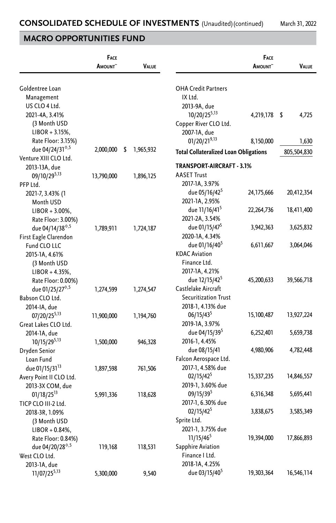| <b>VALUE</b><br>AMOUNT <sup>~</sup><br>AMOUNT <sup>~</sup><br>VALUE<br>Goldentree Loan<br><b>OHA Credit Partners</b><br>Management<br>IX Ltd.<br>US CLO 4 Ltd.<br>2013-9A, due<br>10/20/25 <sup>5,13</sup><br>2021-4A, 3.41%<br>4,219,178<br>-\$<br>4,725<br>Copper River CLO Ltd.<br>(3 Month USD<br>$LIBOR + 3.15%$<br>2007-1A, due<br>$01/20/21^{9,13}$<br>Rate Floor: 3.15%)<br>8,150,000<br>1,630<br>due 04/24/31 <sup>6,5</sup><br>2,000,000<br>\$<br>1,965,932<br><b>Total Collateralized Loan Obligations</b><br>805,504,830<br>Venture XIII CLO Ltd.<br>TRANSPORT-AIRCRAFT - 3.1%<br>2013-13A, due<br>09/10/295,13<br><b>AASET Trust</b><br>13,790,000<br>1,896,125<br>2017-1A, 3.97%<br>PFP Ltd.<br>due 05/16/42 <sup>5</sup><br>24,175,666<br>20,412,354<br>2021-7, 3.43% (1<br>2021-1A, 2.95%<br>Month USD<br>due 11/16/41 <sup>5</sup><br>18,411,400<br>22, 264, 736<br>$LIBOR + 3.00\%$ ,<br>2021-2A, 3.54%<br>Rate Floor: 3.00%)<br>due 01/15/47 <sup>5</sup><br>due 04/14/38 <sup>6,5</sup><br>3,942,363<br>3,625,832<br>1,789,911<br>1,724,187<br>2020-1A, 4.34%<br>First Eagle Clarendon<br>due 01/16/40 <sup>5</sup><br>6,611,667<br>3,064,046<br>Fund CLO LLC<br><b>KDAC Aviation</b><br>2015-1A, 4.61%<br>Finance Ltd.<br>(3 Month USD | <b>FACE</b> |  | <b>FACE</b> |  |
|-------------------------------------------------------------------------------------------------------------------------------------------------------------------------------------------------------------------------------------------------------------------------------------------------------------------------------------------------------------------------------------------------------------------------------------------------------------------------------------------------------------------------------------------------------------------------------------------------------------------------------------------------------------------------------------------------------------------------------------------------------------------------------------------------------------------------------------------------------------------------------------------------------------------------------------------------------------------------------------------------------------------------------------------------------------------------------------------------------------------------------------------------------------------------------------------------------------------------------------------------------------|-------------|--|-------------|--|
|                                                                                                                                                                                                                                                                                                                                                                                                                                                                                                                                                                                                                                                                                                                                                                                                                                                                                                                                                                                                                                                                                                                                                                                                                                                             |             |  |             |  |
|                                                                                                                                                                                                                                                                                                                                                                                                                                                                                                                                                                                                                                                                                                                                                                                                                                                                                                                                                                                                                                                                                                                                                                                                                                                             |             |  |             |  |
|                                                                                                                                                                                                                                                                                                                                                                                                                                                                                                                                                                                                                                                                                                                                                                                                                                                                                                                                                                                                                                                                                                                                                                                                                                                             |             |  |             |  |
|                                                                                                                                                                                                                                                                                                                                                                                                                                                                                                                                                                                                                                                                                                                                                                                                                                                                                                                                                                                                                                                                                                                                                                                                                                                             |             |  |             |  |
|                                                                                                                                                                                                                                                                                                                                                                                                                                                                                                                                                                                                                                                                                                                                                                                                                                                                                                                                                                                                                                                                                                                                                                                                                                                             |             |  |             |  |
|                                                                                                                                                                                                                                                                                                                                                                                                                                                                                                                                                                                                                                                                                                                                                                                                                                                                                                                                                                                                                                                                                                                                                                                                                                                             |             |  |             |  |
|                                                                                                                                                                                                                                                                                                                                                                                                                                                                                                                                                                                                                                                                                                                                                                                                                                                                                                                                                                                                                                                                                                                                                                                                                                                             |             |  |             |  |
|                                                                                                                                                                                                                                                                                                                                                                                                                                                                                                                                                                                                                                                                                                                                                                                                                                                                                                                                                                                                                                                                                                                                                                                                                                                             |             |  |             |  |
|                                                                                                                                                                                                                                                                                                                                                                                                                                                                                                                                                                                                                                                                                                                                                                                                                                                                                                                                                                                                                                                                                                                                                                                                                                                             |             |  |             |  |
|                                                                                                                                                                                                                                                                                                                                                                                                                                                                                                                                                                                                                                                                                                                                                                                                                                                                                                                                                                                                                                                                                                                                                                                                                                                             |             |  |             |  |
|                                                                                                                                                                                                                                                                                                                                                                                                                                                                                                                                                                                                                                                                                                                                                                                                                                                                                                                                                                                                                                                                                                                                                                                                                                                             |             |  |             |  |
|                                                                                                                                                                                                                                                                                                                                                                                                                                                                                                                                                                                                                                                                                                                                                                                                                                                                                                                                                                                                                                                                                                                                                                                                                                                             |             |  |             |  |
|                                                                                                                                                                                                                                                                                                                                                                                                                                                                                                                                                                                                                                                                                                                                                                                                                                                                                                                                                                                                                                                                                                                                                                                                                                                             |             |  |             |  |
|                                                                                                                                                                                                                                                                                                                                                                                                                                                                                                                                                                                                                                                                                                                                                                                                                                                                                                                                                                                                                                                                                                                                                                                                                                                             |             |  |             |  |
|                                                                                                                                                                                                                                                                                                                                                                                                                                                                                                                                                                                                                                                                                                                                                                                                                                                                                                                                                                                                                                                                                                                                                                                                                                                             |             |  |             |  |
|                                                                                                                                                                                                                                                                                                                                                                                                                                                                                                                                                                                                                                                                                                                                                                                                                                                                                                                                                                                                                                                                                                                                                                                                                                                             |             |  |             |  |
|                                                                                                                                                                                                                                                                                                                                                                                                                                                                                                                                                                                                                                                                                                                                                                                                                                                                                                                                                                                                                                                                                                                                                                                                                                                             |             |  |             |  |
|                                                                                                                                                                                                                                                                                                                                                                                                                                                                                                                                                                                                                                                                                                                                                                                                                                                                                                                                                                                                                                                                                                                                                                                                                                                             |             |  |             |  |
|                                                                                                                                                                                                                                                                                                                                                                                                                                                                                                                                                                                                                                                                                                                                                                                                                                                                                                                                                                                                                                                                                                                                                                                                                                                             |             |  |             |  |
|                                                                                                                                                                                                                                                                                                                                                                                                                                                                                                                                                                                                                                                                                                                                                                                                                                                                                                                                                                                                                                                                                                                                                                                                                                                             |             |  |             |  |
|                                                                                                                                                                                                                                                                                                                                                                                                                                                                                                                                                                                                                                                                                                                                                                                                                                                                                                                                                                                                                                                                                                                                                                                                                                                             |             |  |             |  |
|                                                                                                                                                                                                                                                                                                                                                                                                                                                                                                                                                                                                                                                                                                                                                                                                                                                                                                                                                                                                                                                                                                                                                                                                                                                             |             |  |             |  |
|                                                                                                                                                                                                                                                                                                                                                                                                                                                                                                                                                                                                                                                                                                                                                                                                                                                                                                                                                                                                                                                                                                                                                                                                                                                             |             |  |             |  |
| 2017-1A, 4.21%<br>$LIBOR + 4.35\%,$                                                                                                                                                                                                                                                                                                                                                                                                                                                                                                                                                                                                                                                                                                                                                                                                                                                                                                                                                                                                                                                                                                                                                                                                                         |             |  |             |  |
| due 12/15/42 <sup>5</sup><br>45,200,633<br>39,566,718<br>Rate Floor: 0.00%)                                                                                                                                                                                                                                                                                                                                                                                                                                                                                                                                                                                                                                                                                                                                                                                                                                                                                                                                                                                                                                                                                                                                                                                 |             |  |             |  |
| Castlelake Aircraft<br>due 01/25/27 <sup>0,5</sup><br>1,274,599<br>1,274,547                                                                                                                                                                                                                                                                                                                                                                                                                                                                                                                                                                                                                                                                                                                                                                                                                                                                                                                                                                                                                                                                                                                                                                                |             |  |             |  |
| Securitization Trust<br>Babson CLO Ltd.                                                                                                                                                                                                                                                                                                                                                                                                                                                                                                                                                                                                                                                                                                                                                                                                                                                                                                                                                                                                                                                                                                                                                                                                                     |             |  |             |  |
| 2018-1, 4.13% due<br>2014-IA, due                                                                                                                                                                                                                                                                                                                                                                                                                                                                                                                                                                                                                                                                                                                                                                                                                                                                                                                                                                                                                                                                                                                                                                                                                           |             |  |             |  |
| $06/15/43$ <sup>5</sup><br>07/20/255,13<br>15,100,487<br>13,927,224<br>11,900,000<br>1,194,760                                                                                                                                                                                                                                                                                                                                                                                                                                                                                                                                                                                                                                                                                                                                                                                                                                                                                                                                                                                                                                                                                                                                                              |             |  |             |  |
| 2019-1A, 3.97%<br>Great Lakes CLO Ltd.                                                                                                                                                                                                                                                                                                                                                                                                                                                                                                                                                                                                                                                                                                                                                                                                                                                                                                                                                                                                                                                                                                                                                                                                                      |             |  |             |  |
| due 04/15/39 <sup>5</sup><br>6,252,401<br>5,659,738<br>2014-1A, due                                                                                                                                                                                                                                                                                                                                                                                                                                                                                                                                                                                                                                                                                                                                                                                                                                                                                                                                                                                                                                                                                                                                                                                         |             |  |             |  |
| 2016-1, 4.45%<br>10/15/295,13<br>1,500,000<br>946,328                                                                                                                                                                                                                                                                                                                                                                                                                                                                                                                                                                                                                                                                                                                                                                                                                                                                                                                                                                                                                                                                                                                                                                                                       |             |  |             |  |
| due 08/15/41<br>4,980,906<br>4,782,448<br>Dryden Senior                                                                                                                                                                                                                                                                                                                                                                                                                                                                                                                                                                                                                                                                                                                                                                                                                                                                                                                                                                                                                                                                                                                                                                                                     |             |  |             |  |
| Falcon Aerospace Ltd.<br>Loan Fund                                                                                                                                                                                                                                                                                                                                                                                                                                                                                                                                                                                                                                                                                                                                                                                                                                                                                                                                                                                                                                                                                                                                                                                                                          |             |  |             |  |
| 2017-1, 4.58% due<br>due 01/15/31 <sup>13</sup><br>1,897,598<br>761,506                                                                                                                                                                                                                                                                                                                                                                                                                                                                                                                                                                                                                                                                                                                                                                                                                                                                                                                                                                                                                                                                                                                                                                                     |             |  |             |  |
| 02/15/42 <sup>5</sup><br>15,337,235<br>14,846,557<br>Avery Point II CLO Ltd.                                                                                                                                                                                                                                                                                                                                                                                                                                                                                                                                                                                                                                                                                                                                                                                                                                                                                                                                                                                                                                                                                                                                                                                |             |  |             |  |
| 2019-1, 3.60% due<br>2013-3X COM, due                                                                                                                                                                                                                                                                                                                                                                                                                                                                                                                                                                                                                                                                                                                                                                                                                                                                                                                                                                                                                                                                                                                                                                                                                       |             |  |             |  |
| 09/15/39 <sup>5</sup><br>$01/18/25^{13}$<br>6,316,348<br>5,695,441<br>118,628<br>5,991,336                                                                                                                                                                                                                                                                                                                                                                                                                                                                                                                                                                                                                                                                                                                                                                                                                                                                                                                                                                                                                                                                                                                                                                  |             |  |             |  |
| 2017-1, 6.30% due<br>TICP CLO III-2 Ltd.                                                                                                                                                                                                                                                                                                                                                                                                                                                                                                                                                                                                                                                                                                                                                                                                                                                                                                                                                                                                                                                                                                                                                                                                                    |             |  |             |  |
| $02/15/42$ <sup>5</sup><br>3,838,675<br>3,585,349<br>2018-3R, 1.09%                                                                                                                                                                                                                                                                                                                                                                                                                                                                                                                                                                                                                                                                                                                                                                                                                                                                                                                                                                                                                                                                                                                                                                                         |             |  |             |  |
| Sprite Ltd.<br>(3 Month USD                                                                                                                                                                                                                                                                                                                                                                                                                                                                                                                                                                                                                                                                                                                                                                                                                                                                                                                                                                                                                                                                                                                                                                                                                                 |             |  |             |  |
| 2021-1, 3.75% due<br>$LIBOR + 0.84\%,$                                                                                                                                                                                                                                                                                                                                                                                                                                                                                                                                                                                                                                                                                                                                                                                                                                                                                                                                                                                                                                                                                                                                                                                                                      |             |  |             |  |
| 11/15/46 <sup>5</sup><br>19,394,000<br>17,866,893<br>Rate Floor: 0.84%)                                                                                                                                                                                                                                                                                                                                                                                                                                                                                                                                                                                                                                                                                                                                                                                                                                                                                                                                                                                                                                                                                                                                                                                     |             |  |             |  |
| Sapphire Aviation<br>due 04/20/28 <sup>8,5</sup><br>119,168<br>118,531                                                                                                                                                                                                                                                                                                                                                                                                                                                                                                                                                                                                                                                                                                                                                                                                                                                                                                                                                                                                                                                                                                                                                                                      |             |  |             |  |
| Finance I Ltd.<br>West CLO Ltd.                                                                                                                                                                                                                                                                                                                                                                                                                                                                                                                                                                                                                                                                                                                                                                                                                                                                                                                                                                                                                                                                                                                                                                                                                             |             |  |             |  |
| 2018-1A, 4.25%<br>2013-1A, due                                                                                                                                                                                                                                                                                                                                                                                                                                                                                                                                                                                                                                                                                                                                                                                                                                                                                                                                                                                                                                                                                                                                                                                                                              |             |  |             |  |
| 11/07/255,13<br>due 03/15/40 <sup>5</sup><br>16,546,114<br>19,303,364<br>5,300,000<br>9,540                                                                                                                                                                                                                                                                                                                                                                                                                                                                                                                                                                                                                                                                                                                                                                                                                                                                                                                                                                                                                                                                                                                                                                 |             |  |             |  |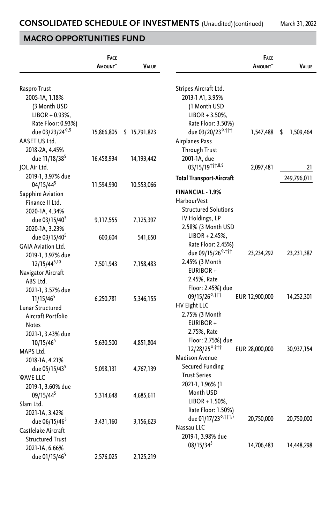|                                                                                                                   | <b>FACE</b><br>AMOUNT <sup>~</sup> | VALUE                |                                                                                                      | FACE<br>AMOUNT <sup>~</sup> | VALUE           |
|-------------------------------------------------------------------------------------------------------------------|------------------------------------|----------------------|------------------------------------------------------------------------------------------------------|-----------------------------|-----------------|
| Raspro Trust<br>2005-1A, 1.18%<br>(3 Month USD<br>$LIBOR + 0.93\%,$                                               |                                    |                      | Stripes Aircraft Ltd.<br>2013-1 A1, 3.95%<br>(1 Month USD<br>$LIBOR + 3.50\%,$                       |                             |                 |
| Rate Floor: 0.93%)<br>due 03/23/24 <sup>6,5</sup><br>AASET US Ltd.<br>2018-2A, 4.45%                              | 15,866,805                         | \$15,791,823         | Rate Floor: 3.50%)<br>due 03/20/23 <sup>0,111</sup><br>Airplanes Pass<br><b>Through Trust</b>        | 1,547,488                   | \$<br>1,509,464 |
| due 11/18/38 <sup>5</sup><br>JOL Air Ltd.                                                                         | 16,458,934                         | 14, 193, 442         | 2001-1A, due<br>03/15/19 11,8,9                                                                      | 2,097,481                   | 21              |
| 2019-1, 3.97% due<br>04/15/44 <sup>5</sup><br>Sapphire Aviation<br>Finance II Ltd.                                | 11,594,990                         | 10,553,066           | <b>Total Transport-Aircraft</b><br><b>FINANCIAL - 1.9%</b><br>HarbourVest                            |                             | 249,796,011     |
| 2020-1A, 4.34%<br>due 03/15/40 <sup>5</sup><br>2020-1A, 3.23%                                                     | 9,117,555                          | 7,125,397            | <b>Structured Solutions</b><br>IV Holdings, LP<br>2.58% (3 Month USD                                 |                             |                 |
| due 03/15/40 <sup>5</sup><br><b>GAIA Aviation Ltd.</b><br>2019-1, 3.97% due<br>12/15/445,10<br>Navigator Aircraft | 600,604<br>7,501,943               | 541,650<br>7,158,483 | $LIBOR + 2.45%$<br>Rate Floor: 2.45%)<br>due 09/15/26 <sup>°,†††</sup><br>2.45% (3 Month<br>EURIBOR+ | 23,234,292                  | 23,231,387      |
| ABS Ltd.<br>2021-1, 3.57% due<br>$11/15/46^5$<br>Lunar Structured<br>Aircraft Portfolio                           | 6,250,781                          | 5,346,155            | 2.45%, Rate<br>Floor: 2.45%) due<br>09/15/26 <sup>6,†††</sup><br>HV Eight LLC<br>2.75% (3 Month      | EUR 12,900,000              | 14,252,301      |
| <b>Notes</b><br>2021-1, 3.43% due<br>$10/15/46$ <sup>5</sup><br>MAPS Ltd.                                         | 5,630,500                          | 4,851,804            | EURIBOR+<br>2.75%, Rate<br>Floor: 2.75%) due<br>12/28/25 <sup>6,†††</sup><br><b>Madison Avenue</b>   | EUR 28,000,000              | 30,937,154      |
| 2018-1A, 4.21%<br>due 05/15/43 <sup>5</sup><br><b>WAVE LLC</b>                                                    | 5,098,131                          | 4,767,139            | Secured Funding<br><b>Trust Series</b>                                                               |                             |                 |
| 2019-1, 3.60% due<br>09/15/44 <sup>5</sup><br>Slam Ltd.                                                           | 5,314,648                          | 4,685,611            | 2021-1, 1.96% (1<br>Month USD<br>$LIBOR + 1.50\%,$                                                   |                             |                 |
| 2021-1A, 3.42%<br>due 06/15/46 <sup>5</sup><br>Castlelake Aircraft<br><b>Structured Trust</b>                     | 3,431,160                          | 3,156,623            | Rate Floor: 1.50%)<br>due 01/17/23 <sup>0,†††,5</sup><br>Nassau LLC<br>2019-1, 3.98% due             | 20,750,000                  | 20,750,000      |
| 2021-1A, 6.66%<br>due 01/15/46 <sup>5</sup>                                                                       | 2,576,025                          | 2,125,219            | 08/15/34 <sup>5</sup>                                                                                | 14,706,483                  | 14,448,298      |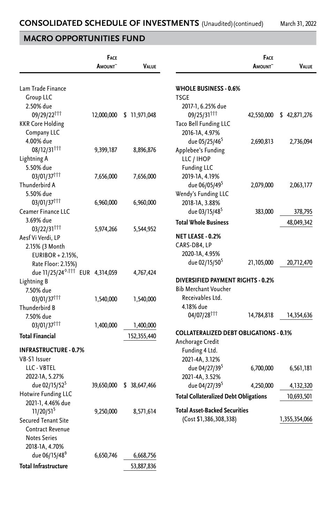|                                             | <b>FACE</b><br>AMOUNT <sup>~</sup> | VALUE         |                                               | <b>FACE</b><br>AMOUNT <sup>~</sup> | VALUE         |
|---------------------------------------------|------------------------------------|---------------|-----------------------------------------------|------------------------------------|---------------|
| Lam Trade Finance                           |                                    |               | <b>WHOLE BUSINESS - 0.6%</b>                  |                                    |               |
| <b>Group LLC</b>                            |                                    |               | <b>TSGE</b>                                   |                                    |               |
| 2.50% due                                   |                                    |               | 2017-1, 6.25% due                             |                                    |               |
| 09/29/22111                                 | 12,000,000                         | \$11,971,048  | 09/25/31111                                   | 42,550,000                         | \$42,871,276  |
| <b>KKR Core Holding</b>                     |                                    |               | <b>Taco Bell Funding LLC</b>                  |                                    |               |
| Company LLC                                 |                                    |               | 2016-1A, 4.97%                                |                                    |               |
| 4.00% due                                   |                                    |               | due 05/25/46 <sup>5</sup>                     | 2,690,813                          | 2,736,094     |
| $08/12/31$ <sup>†††</sup>                   | 9,399,187                          | 8,896,876     | Applebee's Funding                            |                                    |               |
| Lightning A                                 |                                    |               | LLC / IHOP                                    |                                    |               |
| 5.50% due                                   |                                    |               | <b>Funding LLC</b>                            |                                    |               |
| 03/01/37 <sup>†††</sup>                     | 7,656,000                          | 7,656,000     | 2019-1A, 4.19%                                |                                    |               |
| Thunderbird A                               |                                    |               | due 06/05/49 <sup>5</sup>                     | 2,079,000                          | 2,063,177     |
| 5.50% due                                   |                                    |               | Wendy's Funding LLC                           |                                    |               |
| 03/01/37 <sup>111</sup>                     | 6,960,000                          | 6,960,000     | 2018-1A, 3.88%                                |                                    |               |
| Ceamer Finance LLC                          |                                    |               | due 03/15/48 <sup>5</sup>                     | 383,000                            | 378,795       |
| 3.69% due                                   |                                    |               | <b>Total Whole Business</b>                   |                                    |               |
| 03/22/31                                    | 5,974,266                          | 5,544,952     |                                               |                                    | 48,049,342    |
| Aesf Vi Verdi, LP                           |                                    |               | NET LEASE - 0.2%                              |                                    |               |
| 2.15% (3 Month                              |                                    |               | CARS-DB4, LP                                  |                                    |               |
| <b>EURIBOR + 2.15%,</b>                     |                                    |               | 2020-1A, 4.95%                                |                                    |               |
| Rate Floor: 2.15%)                          |                                    |               | due 02/15/50 <sup>5</sup>                     | 21,105,000                         | 20,712,470    |
| due 11/25/24 <sup>9,111</sup> EUR 4,314,059 |                                    | 4,767,424     |                                               |                                    |               |
| Lightning B                                 |                                    |               | <b>DIVERSIFIED PAYMENT RIGHTS - 0.2%</b>      |                                    |               |
| 7.50% due                                   |                                    |               | <b>Bib Merchant Voucher</b>                   |                                    |               |
| 03/01/37111                                 | 1,540,000                          | 1,540,000     | Receivables Ltd.                              |                                    |               |
| Thunderbird B                               |                                    |               | 4.18% due                                     |                                    |               |
| 7.50% due                                   |                                    |               | 04/07/28111                                   | 14,784,818                         | 14,354,636    |
| 03/01/37111                                 | 1,400,000                          | 1,400,000     |                                               |                                    |               |
|                                             |                                    |               | <b>COLLATERALIZED DEBT OBLIGATIONS - 0.1%</b> |                                    |               |
| <b>Total Financial</b>                      |                                    | 152,355,440   | Anchorage Credit                              |                                    |               |
| <b>INFRASTRUCTURE - 0.7%</b>                |                                    |               | Funding 4 Ltd.                                |                                    |               |
| VB-S1 Issuer                                |                                    |               | 2021-4A, 3.12%                                |                                    |               |
| LLC - VBTEL                                 |                                    |               | due 04/27/39 <sup>5</sup>                     | 6,700,000                          | 6,561,181     |
| 2022-1A, 5.27%                              |                                    |               | 2021-4A, 3.52%                                |                                    |               |
| due 02/15/52 <sup>5</sup>                   | 39,650,000                         | \$ 38,647,466 | due 04/27/39 <sup>5</sup>                     | 4,250,000                          | 4, 132, 320   |
| Hotwire Funding LLC                         |                                    |               | <b>Total Collateralized Debt Obligations</b>  |                                    |               |
| 2021-1, 4.46% due                           |                                    |               |                                               |                                    | 10,693,501    |
| $11/20/51^5$                                | 9,250,000                          | 8,571,614     | <b>Total Asset-Backed Securities</b>          |                                    |               |
| Secured Tenant Site                         |                                    |               | (Cost \$1,386,308,338)                        |                                    | 1,355,354,066 |
| Contract Revenue                            |                                    |               |                                               |                                    |               |
| <b>Notes Series</b>                         |                                    |               |                                               |                                    |               |
| 2018-1A, 4.70%                              |                                    |               |                                               |                                    |               |
| due 06/15/48 <sup>9</sup>                   | 6,650,746                          | 6,668,756     |                                               |                                    |               |
| <b>Total Infrastructure</b>                 |                                    | 53,887,836    |                                               |                                    |               |
|                                             |                                    |               |                                               |                                    |               |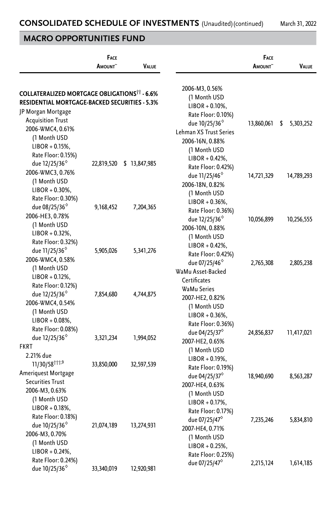|                                                                | FACE<br>AMOUNT~ | VALUE        |                           | FACE<br>AMOUNT <sup>~</sup> | VALUE           |
|----------------------------------------------------------------|-----------------|--------------|---------------------------|-----------------------------|-----------------|
|                                                                |                 |              | 2006-M3, 0.56%            |                             |                 |
| <b>COLLATERALIZED MORTGAGE OBLIGATIONS<sup>11</sup> - 6.6%</b> |                 |              | (1 Month USD              |                             |                 |
| RESIDENTIAL MORTGAGE-BACKED SECURITIES - 5.3%                  |                 |              | $LIBOR + 0.10\%,$         |                             |                 |
| JP Morgan Mortgage                                             |                 |              | Rate Floor: 0.10%)        |                             |                 |
| <b>Acquisition Trust</b>                                       |                 |              | due 10/25/36 <sup>°</sup> | 13,860,061                  | \$<br>5,303,252 |
| 2006-WMC4, 0.61%                                               |                 |              | Lehman XS Trust Series    |                             |                 |
| (1 Month USD                                                   |                 |              | 2006-16N, 0.88%           |                             |                 |
| $LIBOR + 0.15%$                                                |                 |              | (1 Month USD              |                             |                 |
| Rate Floor: 0.15%)                                             |                 |              | $LIBOR + 0.42\%$ ,        |                             |                 |
| due $12/25/36^{\circ}$                                         | 22,819,520      | \$13,847,985 | Rate Floor: 0.42%)        |                             |                 |
| 2006-WMC3, 0.76%                                               |                 |              | due 11/25/46 <sup>°</sup> | 14,721,329                  | 14,789,293      |
| (1 Month USD                                                   |                 |              | 2006-18N, 0.82%           |                             |                 |
| $LIBOR + 0.30\%,$                                              |                 |              | (1 Month USD              |                             |                 |
| Rate Floor: 0.30%)                                             |                 |              | $LIBOR + 0.36\%,$         |                             |                 |
| due $08/25/36^{\circ}$                                         | 9,168,452       | 7,204,365    | Rate Floor: 0.36%)        |                             |                 |
| 2006-HE3, 0.78%                                                |                 |              | due 12/25/36 <sup>°</sup> | 10,056,899                  | 10,256,555      |
| (1 Month USD                                                   |                 |              | 2006-10N, 0.88%           |                             |                 |
| $LIBOR + 0.32%$ ,                                              |                 |              | (1 Month USD              |                             |                 |
| Rate Floor: 0.32%)                                             |                 |              | $LIBOR + 0.42\%$          |                             |                 |
| due 11/25/36 <sup>°</sup>                                      | 5,905,026       | 5,341,276    | Rate Floor: 0.42%)        |                             |                 |
| 2006-WMC4, 0.58%                                               |                 |              | due 07/25/46°             | 2,765,308                   | 2,805,238       |
| (1 Month USD                                                   |                 |              | WaMu Asset-Backed         |                             |                 |
| $LIBOR + 0.12%$                                                |                 |              | Certificates              |                             |                 |
| Rate Floor: 0.12%)                                             |                 |              | <b>WaMu Series</b>        |                             |                 |
| due 12/25/36 <sup>°</sup>                                      | 7,854,680       | 4,744,875    | 2007-HE2, 0.82%           |                             |                 |
| 2006-WMC4, 0.54%                                               |                 |              | (1 Month USD              |                             |                 |
| (1 Month USD                                                   |                 |              | $LIBOR + 0.36\%,$         |                             |                 |
| $LIBOR + 0.08\%,$                                              |                 |              | Rate Floor: 0.36%)        |                             |                 |
| Rate Floor: 0.08%)                                             |                 |              | due 04/25/37 <sup>°</sup> | 24,856,837                  | 11,417,021      |
| due 12/25/36°                                                  | 3,321,234       | 1,994,052    | 2007-HE2, 0.65%           |                             |                 |
| <b>FKRT</b>                                                    |                 |              | (1 Month USD              |                             |                 |
| 2.21% due                                                      |                 |              | $LIBOR + 0.19%$           |                             |                 |
| 11/30/58 111,9                                                 | 33,850,000      | 32,597,539   | Rate Floor: 0.19%)        |                             |                 |
| Ameriquest Mortgage                                            |                 |              | due 04/25/37 <sup>°</sup> | 18,940,690                  | 8,563,287       |
| <b>Securities Trust</b>                                        |                 |              | 2007-HE4, 0.63%           |                             |                 |
| 2006-M3, 0.63%                                                 |                 |              | (1 Month USD              |                             |                 |
| (1 Month USD                                                   |                 |              | $LIBOR + 0.17%$ ,         |                             |                 |
| $LIBOR + 0.18%$                                                |                 |              | Rate Floor: 0.17%)        |                             |                 |
| Rate Floor: 0.18%)                                             |                 |              | due 07/25/47°             | 7,235,246                   | 5,834,810       |
| due $10/25/36^{\circ}$                                         | 21,074,189      | 13,274,931   | 2007-HE4, 0.71%           |                             |                 |
| 2006-M3, 0.70%                                                 |                 |              | (1 Month USD              |                             |                 |
| (1 Month USD                                                   |                 |              | $LIBOR + 0.25%$           |                             |                 |
| $LIBOR + 0.24\%,$                                              |                 |              | Rate Floor: 0.25%)        |                             |                 |
| Rate Floor: 0.24%)                                             |                 |              | due 07/25/47°             | 2,215,124                   | 1,614,185       |
| due 10/25/36 <sup>°</sup>                                      | 33,340,019      | 12,920,981   |                           |                             |                 |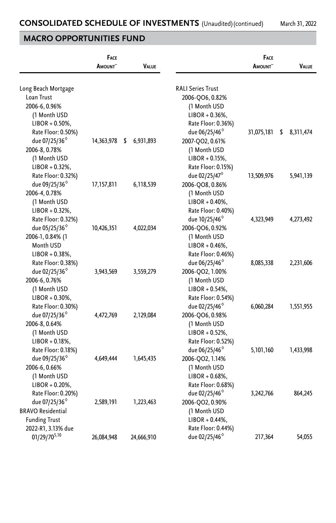|                           | <b>FACE</b><br>AMOUNT <sup>~</sup> | VALUE           |                           | FACE<br>AMOUNT <sup>^</sup> | Value           |
|---------------------------|------------------------------------|-----------------|---------------------------|-----------------------------|-----------------|
| Long Beach Mortgage       |                                    |                 | <b>RALI Series Trust</b>  |                             |                 |
| Loan Trust                |                                    |                 | 2006-QO6, 0.82%           |                             |                 |
| 2006-6, 0.96%             |                                    |                 | (1 Month USD              |                             |                 |
| (1 Month USD              |                                    |                 | $LIBOR + 0.36\%,$         |                             |                 |
| $LIBOR + 0.50\%,$         |                                    |                 | Rate Floor: 0.36%)        |                             |                 |
| Rate Floor: 0.50%)        |                                    |                 | due 06/25/46 <sup>°</sup> | 31,075,181                  | 8,311,474<br>\$ |
| due 07/25/36 <sup>°</sup> | 14,363,978                         | 6,931,893<br>\$ | 2007-QO2, 0.61%           |                             |                 |
| 2006-8, 0.78%             |                                    |                 | (1 Month USD              |                             |                 |
| (1 Month USD              |                                    |                 | $LIBOR + 0.15%$           |                             |                 |
| $LIBOR + 0.32%$           |                                    |                 | Rate Floor: 0.15%)        |                             |                 |
| Rate Floor: 0.32%)        |                                    |                 | due 02/25/47 <sup>°</sup> | 13,509,976                  | 5,941,139       |
| due 09/25/36 $^{\circ}$   | 17,157,811                         | 6,118,539       | 2006-QO8, 0.86%           |                             |                 |
| 2006-4, 0.78%             |                                    |                 | (1 Month USD              |                             |                 |
| (1 Month USD              |                                    |                 | $LIBOR + 0.40\%,$         |                             |                 |
| $LIBOR + 0.32\%$          |                                    |                 | Rate Floor: 0.40%)        |                             |                 |
| Rate Floor: 0.32%)        |                                    |                 | due 10/25/46 <sup>°</sup> | 4,323,949                   | 4,273,492       |
| due 05/25/36 <sup>°</sup> | 10,426,351                         | 4,022,034       | 2006-QO6, 0.92%           |                             |                 |
| 2006-1, 0.84% (1          |                                    |                 | (1 Month USD              |                             |                 |
| Month USD                 |                                    |                 | $LIBOR + 0.46\%,$         |                             |                 |
| $LIBOR + 0.38%$           |                                    |                 | Rate Floor: 0.46%)        |                             |                 |
| Rate Floor: 0.38%)        |                                    |                 | due 06/25/46 <sup>°</sup> | 8,085,338                   | 2,231,606       |
| due 02/25/36 $^{\circ}$   | 3,943,569                          | 3,559,279       | 2006-QO2, 1.00%           |                             |                 |
| 2006-6, 0.76%             |                                    |                 | (1 Month USD              |                             |                 |
| (1 Month USD              |                                    |                 | $LIBOR + 0.54\%$          |                             |                 |
| $LIBOR + 0.30\%,$         |                                    |                 | Rate Floor: 0.54%)        |                             |                 |
| Rate Floor: 0.30%)        |                                    |                 | due 02/25/46°             | 6,060,284                   | 1,551,955       |
| due 07/25/36 <sup>°</sup> | 4,472,769                          | 2,129,084       | 2006-QO6, 0.98%           |                             |                 |
| 2006-8, 0.64%             |                                    |                 | (1 Month USD              |                             |                 |
| (1 Month USD              |                                    |                 | $LIBOR + 0.52\%$          |                             |                 |
| $LIBOR + 0.18\%,$         |                                    |                 | Rate Floor: 0.52%)        |                             |                 |
| Rate Floor: 0.18%)        |                                    |                 | due 06/25/46 <sup>°</sup> | 5,101,160                   | 1,433,998       |
| due 09/25/36 $^{\circ}$   | 4,649,444                          | 1,645,435       | 2006-QO2, 1.14%           |                             |                 |
| 2006-6, 0.66%             |                                    |                 | (1 Month USD              |                             |                 |
| (1 Month USD              |                                    |                 | $LIBOR + 0.68\%,$         |                             |                 |
| $LIBOR + 0.20\%,$         |                                    |                 | Rate Floor: 0.68%)        |                             |                 |
| Rate Floor: 0.20%)        |                                    |                 | due 02/25/46°             | 3,242,766                   | 864,245         |
| due 07/25/36 <sup>°</sup> | 2,589,191                          | 1,223,463       | 2006-QO2, 0.90%           |                             |                 |
| <b>BRAVO Residential</b>  |                                    |                 | (1 Month USD              |                             |                 |
| <b>Funding Trust</b>      |                                    |                 | $LIBOR + 0.44\%,$         |                             |                 |
| 2022-R1, 3.13% due        |                                    |                 | Rate Floor: 0.44%)        |                             |                 |
| $01/29/70^{5,10}$         | 26,084,948                         | 24,666,910      | due 02/25/46 <sup>°</sup> | 217,364                     | 54,055          |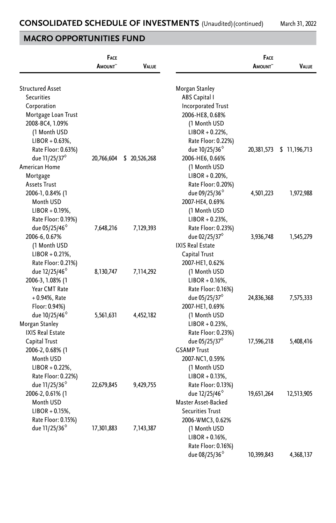|                                               | FACE<br><b>A</b> MOUNT~ | <b>VALUE</b>  |                                                 | FACE<br>Amount~ | Value        |
|-----------------------------------------------|-------------------------|---------------|-------------------------------------------------|-----------------|--------------|
| <b>Structured Asset</b><br>Securities         |                         |               | Morgan Stanley<br>ABS Capital I                 |                 |              |
| Corporation                                   |                         |               | <b>Incorporated Trust</b>                       |                 |              |
| Mortgage Loan Trust                           |                         |               | 2006-HE8, 0.68%                                 |                 |              |
| 2008-BC4, 1.09%                               |                         |               | (1 Month USD                                    |                 |              |
| (1 Month USD                                  |                         |               | $LIBOR + 0.22\%$ ,                              |                 |              |
| $LIBOR + 0.63\%,$                             |                         |               | Rate Floor: 0.22%)                              |                 |              |
| Rate Floor: 0.63%)                            |                         |               | due 10/25/36 <sup>°</sup>                       | 20,381,573      | \$11,196,713 |
| due 11/25/37 <sup>°</sup>                     | 20,766,604              | \$ 20,526,268 | 2006-HE6, 0.66%                                 |                 |              |
| American Home                                 |                         |               | (1 Month USD                                    |                 |              |
| Mortgage                                      |                         |               | $LIBOR + 0.20%$ ,                               |                 |              |
| Assets Trust                                  |                         |               | Rate Floor: 0.20%)                              |                 |              |
| 2006-1, 0.84% (1                              |                         |               | due 09/25/36 $^{\circ}$                         | 4,501,223       | 1,972,988    |
| Month USD                                     |                         |               | 2007-HE4, 0.69%                                 |                 |              |
| $LIBOR + 0.19%$                               |                         |               | (1 Month USD                                    |                 |              |
| Rate Floor: 0.19%)<br>due 05/25/46 $^{\circ}$ | 7,648,216               | 7,129,393     | $LIBOR + 0.23%$<br>Rate Floor: 0.23%)           |                 |              |
| 2006-6, 0.67%                                 |                         |               | due 02/25/37 <sup>°</sup>                       | 3,936,748       | 1,545,279    |
| (1 Month USD                                  |                         |               | <b>IXIS Real Estate</b>                         |                 |              |
| $LIBOR + 0.21%$                               |                         |               | Capital Trust                                   |                 |              |
| Rate Floor: 0.21%)                            |                         |               | 2007-HE1, 0.62%                                 |                 |              |
| due 12/25/46 <sup>°</sup>                     | 8,130,747               | 7,114,292     | (1 Month USD                                    |                 |              |
| 2006-3, 1.08% (1                              |                         |               | $LIBOR + 0.16%$ ,                               |                 |              |
| Year CMT Rate                                 |                         |               | Rate Floor: 0.16%)                              |                 |              |
| $+0.94\%$ , Rate                              |                         |               | due 05/25/37 <sup>6</sup>                       | 24,836,368      | 7,575,333    |
| Floor: 0.94%)                                 |                         |               | 2007-HE1, 0.69%                                 |                 |              |
| due 10/25/46 <sup>°</sup>                     | 5,561,631               | 4,452,182     | (1 Month USD                                    |                 |              |
| Morgan Stanley                                |                         |               | $LIBOR + 0.23%$ ,                               |                 |              |
| IXIS Real Estate                              |                         |               | Rate Floor: 0.23%)                              |                 |              |
| Capital Trust                                 |                         |               | due $05/25/37^{\circ}$                          | 17,596,218      | 5,408,416    |
| 2006-2, 0.68% (1                              |                         |               | <b>GSAMP Trust</b>                              |                 |              |
| Month USD                                     |                         |               | 2007-NC1, 0.59%                                 |                 |              |
| $LIBOR + 0.22%$                               |                         |               | (1 Month USD                                    |                 |              |
| Rate Floor: 0.22%)                            |                         |               | $LIBOR + 0.13%$                                 |                 |              |
| due 11/25/36 <sup>6</sup>                     | 22,679,845              | 9,429,755     | Rate Floor: 0.13%)<br>due 12/25/46 <sup>°</sup> | 19,651,264      |              |
| 2006-2, 0.61% (1<br>Month USD                 |                         |               | Master Asset-Backed                             |                 | 12,513,905   |
| $LIBOR + 0.15%$                               |                         |               | <b>Securities Trust</b>                         |                 |              |
| Rate Floor: 0.15%)                            |                         |               | 2006-WMC3, 0.62%                                |                 |              |
| due 11/25/36 <sup>°</sup>                     | 17,301,883              | 7,143,387     | (1 Month USD                                    |                 |              |
|                                               |                         |               | $LIBOR + 0.16%$ ,                               |                 |              |
|                                               |                         |               | Rate Floor: 0.16%)                              |                 |              |
|                                               |                         |               | due 08/25/36 <sup>°</sup>                       | 10,399,843      | 4,368,137    |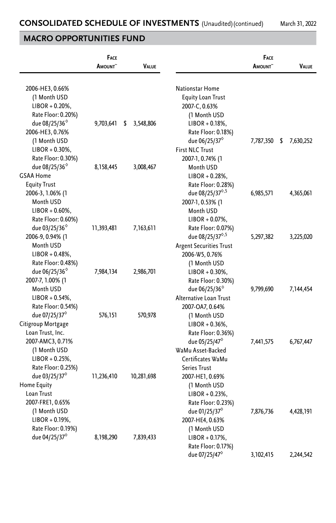|                                                                                                        | FACE<br><b>AMOUNT</b> | VALUE           |                                                                                                                       | FACE<br><b>AMOUNT</b> | VALUE           |
|--------------------------------------------------------------------------------------------------------|-----------------------|-----------------|-----------------------------------------------------------------------------------------------------------------------|-----------------------|-----------------|
| 2006-HE3, 0.66%<br>(1 Month USD<br>$LIBOR + 0.20\%$ ,<br>Rate Floor: 0.20%)<br>due 08/25/36 $^{\circ}$ | 9,703,641             | \$<br>3,548,806 | Nationstar Home<br><b>Equity Loan Trust</b><br>2007-C, 0.63%<br>(1 Month USD<br>$LIBOR + 0.18%$                       |                       |                 |
| 2006-HE3, 0.76%<br>(1 Month USD<br>$LIBOR + 0.30\%,$<br>Rate Floor: 0.30%)                             |                       |                 | Rate Floor: 0.18%)<br>due 06/25/37 <sup>°</sup><br><b>First NLC Trust</b><br>2007-1, 0.74% (1                         | 7,787,350             | \$<br>7,630,252 |
| due 08/25/36 $^{\circ}$<br><b>GSAA Home</b><br><b>Equity Trust</b>                                     | 8,158,445             | 3,008,467       | Month USD<br>$LIBOR + 0.28%$<br>Rate Floor: 0.28%)                                                                    |                       |                 |
| 2006-3, 1.06% (1<br>Month USD<br>$LIBOR + 0.60\%,$<br>Rate Floor: 0.60%)                               |                       |                 | due 08/25/37 <sup>0,5</sup><br>2007-1, 0.53% (1<br>Month USD<br>$LIBOR + 0.07\%$                                      | 6,985,571             | 4,365,061       |
| due 03/25/36 <sup>°</sup><br>2006-9, 0.94% (1<br>Month USD<br>$LIBOR + 0.48%$<br>Rate Floor: 0.48%)    | 11,393,481            | 7,163,611       | Rate Floor: 0.07%)<br>due 08/25/37 <sup>0,5</sup><br><b>Argent Securities Trust</b><br>2006-W5, 0.76%<br>(1 Month USD | 5,297,382             | 3,225,020       |
| due 06/25/36 $^{\circ}$<br>2007-7, 1.00% (1<br>Month USD<br>$LIBOR + 0.54\%,$<br>Rate Floor: 0.54%)    | 7,984,134             | 2,986,701       | $LIBOR + 0.30\%$ ,<br>Rate Floor: 0.30%)<br>due 06/25/36 <sup>6</sup><br>Alternative Loan Trust<br>2007-OA7, 0.64%    | 9,799,690             | 7,144,454       |
| due 07/25/37 <sup>6</sup><br>Citigroup Mortgage<br>Loan Trust, Inc.<br>2007-AMC3, 0.71%                | 576,151               | 570,978         | (1 Month USD<br>$LIBOR + 0.36\%$ ,<br>Rate Floor: 0.36%)<br>due 05/25/47 <sup>°</sup>                                 | 7,441,575             | 6,767,447       |
| (1 Month USD<br>$LIBOR + 0.25\%,$<br>Rate Floor: 0.25%)<br>due 03/25/37 <sup>°</sup><br>Home Equity    | 11,236,410            | 10,281,698      | WaMu Asset-Backed<br>Certificates WaMu<br><b>Series Trust</b><br>2007-HE1, 0.69%<br>(1 Month USD                      |                       |                 |
| Loan Trust<br>2007-FRE1, 0.65%<br>(1 Month USD<br>$LIBOR + 0.19%$<br>Rate Floor: 0.19%)                |                       |                 | $LIBOR + 0.23%$<br>Rate Floor: 0.23%)<br>due 01/25/37°<br>2007-HE4, 0.63%<br>(1 Month USD                             | 7,876,736             | 4,428,191       |
| due 04/25/37 <sup>°</sup>                                                                              | 8,198,290             | 7,839,433       | $LIBOR + 0.17%$<br>Rate Floor: 0.17%)<br>due 07/25/47 <sup>°</sup>                                                    | 3,102,415             | 2,244,542       |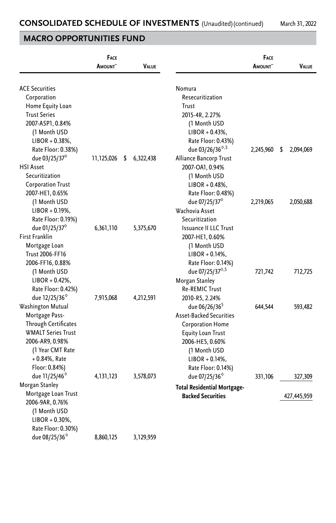|                                    | <b>FACE</b><br><b>A</b> MOUNT | VALUE           |                                | FACE<br>AMOUNT <sup>~</sup> | VALUE           |
|------------------------------------|-------------------------------|-----------------|--------------------------------|-----------------------------|-----------------|
|                                    |                               |                 |                                |                             |                 |
| <b>ACE Securities</b>              |                               |                 | Nomura                         |                             |                 |
| Corporation                        |                               |                 | Resecuritization               |                             |                 |
| Home Equity Loan                   |                               |                 | Trust                          |                             |                 |
| <b>Trust Series</b>                |                               |                 | 2015-4R, 2.27%                 |                             |                 |
| 2007-ASP1, 0.84%                   |                               |                 | (1 Month USD                   |                             |                 |
| (1 Month USD                       |                               |                 | $LIBOR + 0.43\%,$              |                             |                 |
| $LIBOR + 0.38%$                    |                               |                 | Rate Floor: 0.43%)             |                             |                 |
| Rate Floor: 0.38%)                 |                               |                 | due 03/26/36 <sup>6,5</sup>    | 2,245,960                   | \$<br>2,094,069 |
| due 03/25/37 <sup>°</sup>          | 11,125,026                    | 6,322,438<br>\$ | Alliance Bancorp Trust         |                             |                 |
| <b>HSI Asset</b>                   |                               |                 | 2007-OA1, 0.94%                |                             |                 |
| Securitization                     |                               |                 | (1 Month USD                   |                             |                 |
| <b>Corporation Trust</b>           |                               |                 | $LIBOR + 0.48\%,$              |                             |                 |
| 2007-HE1, 0.65%                    |                               |                 | Rate Floor: 0.48%)             |                             |                 |
| (1 Month USD                       |                               |                 | due 07/25/37 <sup>°</sup>      | 2,219,065                   | 2,050,688       |
| $LIBOR + 0.19%$                    |                               |                 | Wachovia Asset                 |                             |                 |
| Rate Floor: 0.19%)                 |                               |                 | Securitization                 |                             |                 |
| due 01/25/37 <sup>°</sup>          | 6,361,110                     | 5,375,670       | <b>Issuance II LLC Trust</b>   |                             |                 |
| <b>First Franklin</b>              |                               |                 | 2007-HE1, 0.60%                |                             |                 |
| Mortgage Loan                      |                               |                 | (1 Month USD                   |                             |                 |
| Trust 2006-FF16                    |                               |                 | $LIBOR + 0.14%$                |                             |                 |
| 2006-FF16, 0.88%                   |                               |                 | Rate Floor: 0.14%)             |                             |                 |
| (1 Month USD                       |                               |                 | due 07/25/37 <sup>0,5</sup>    | 721,742                     | 712,725         |
| $LIBOR + 0.42\%,$                  |                               |                 | Morgan Stanley                 |                             |                 |
| Rate Floor: 0.42%)                 |                               |                 | <b>Re-REMIC Trust</b>          |                             |                 |
| due 12/25/36 <sup>°</sup>          | 7,915,068                     | 4,212,591       | 2010-R5, 2.24%                 |                             |                 |
| Washington Mutual                  |                               |                 | due 06/26/36 <sup>5</sup>      | 644,544                     | 593,482         |
| Mortgage Pass-                     |                               |                 | <b>Asset-Backed Securities</b> |                             |                 |
| Through Certificates               |                               |                 | <b>Corporation Home</b>        |                             |                 |
| <b>WMALT Series Trust</b>          |                               |                 | <b>Equity Loan Trust</b>       |                             |                 |
| 2006-AR9, 0.98%                    |                               |                 | 2006-HE5, 0.60%                |                             |                 |
| (1 Year CMT Rate                   |                               |                 | (1 Month USD                   |                             |                 |
| $+0.84%$ , Rate                    |                               |                 | $LIBOR + 0.14%$                |                             |                 |
| Floor: 0.84%)                      |                               |                 | Rate Floor: 0.14%)             |                             |                 |
| due 11/25/46 <sup>°</sup>          | 4, 131, 123                   | 3,578,073       | due 07/25/36 <sup>°</sup>      | 331,106                     | 327,309         |
| Morgan Stanley                     |                               |                 | Total Residential Mortgage-    |                             |                 |
| Mortgage Loan Trust                |                               |                 | <b>Backed Securities</b>       |                             | 427,445,959     |
| 2006-9AR, 0.76%                    |                               |                 |                                |                             |                 |
| (1 Month USD<br>$LIBOR + 0.30\%$ , |                               |                 |                                |                             |                 |
| Rate Floor: 0.30%)                 |                               |                 |                                |                             |                 |
| due 08/25/36 <sup>6</sup>          | 8,860,125                     | 3,129,959       |                                |                             |                 |
|                                    |                               |                 |                                |                             |                 |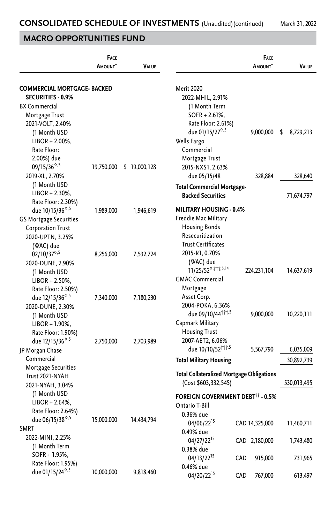|                                    | FACE<br><b>A</b> MOUNT~ | VALUE        |                                                    | FACE<br><b>A</b> MOUNT | Value           |
|------------------------------------|-------------------------|--------------|----------------------------------------------------|------------------------|-----------------|
| <b>COMMERCIAL MORTGAGE- BACKED</b> |                         |              | <b>Merit 2020</b>                                  |                        |                 |
| <b>SECURITIES - 0.9%</b>           |                         |              | 2022-MHIL, 2.91%                                   |                        |                 |
| <b>BX</b> Commercial               |                         |              | (1 Month Term                                      |                        |                 |
| Mortgage Trust                     |                         |              | $SOFR + 2.61%$                                     |                        |                 |
| 2021-VOLT, 2.40%<br>(1 Month USD   |                         |              | Rate Floor: 2.61%)<br>due 01/15/27 <sup>0,5</sup>  | 9,000,000              | \$<br>8,729,213 |
| $LIBOR + 2.00\%$                   |                         |              | Wells Fargo                                        |                        |                 |
| Rate Floor:                        |                         |              | Commercial                                         |                        |                 |
| 2.00%) due                         |                         |              | Mortgage Trust                                     |                        |                 |
| $09/15/36^{\diamond,5}$            | 19,750,000              | \$19,000,128 | 2015-NXS1, 2.63%                                   |                        |                 |
| 2019-XL, 2.70%                     |                         |              | due 05/15/48                                       | 328,884                | 328,640         |
| (1 Month USD                       |                         |              |                                                    |                        |                 |
| $LIBOR + 2.30\%,$                  |                         |              | <b>Total Commercial Mortgage-</b>                  |                        |                 |
| Rate Floor: 2.30%)                 |                         |              | <b>Backed Securities</b>                           |                        | 71,674,797      |
| due 10/15/36 <sup>6,5</sup>        | 1,989,000               | 1,946,619    | <b>MILITARY HOUSING - 0.4%</b>                     |                        |                 |
| <b>GS Mortgage Securities</b>      |                         |              | Freddie Mac Military                               |                        |                 |
| <b>Corporation Trust</b>           |                         |              | Housing Bonds                                      |                        |                 |
| 2020-UPTN, 3.25%                   |                         |              | Resecuritization                                   |                        |                 |
| (WAC) due                          |                         |              | <b>Trust Certificates</b>                          |                        |                 |
| $02/10/37^{\circ,5}$               | 8,256,000               | 7,532,724    | 2015-R1, 0.70%                                     |                        |                 |
| 2020-DUNE, 2.90%                   |                         |              | (WAC) due                                          |                        |                 |
| (1 Month USD                       |                         |              | 11/25/52 <sup>0,111,5,14</sup>                     | 224, 231, 104          | 14,637,619      |
| $LIBOR + 2.50\%,$                  |                         |              | <b>GMAC Commercial</b>                             |                        |                 |
| Rate Floor: 2.50%)                 |                         |              | Mortgage                                           |                        |                 |
| due 12/15/36 <sup>6,5</sup>        | 7,340,000               | 7,180,230    | Asset Corp.                                        |                        |                 |
| 2020-DUNE, 2.30%                   |                         |              | 2004-POKA, 6.36%                                   |                        |                 |
| (1 Month USD                       |                         |              | due 09/10/44 <sup>111,5</sup>                      | 9,000,000              | 10,220,111      |
| $LIBOR + 1.90\%,$                  |                         |              | Capmark Military                                   |                        |                 |
| Rate Floor: 1.90%)                 |                         |              | <b>Housing Trust</b>                               |                        |                 |
| due 12/15/36 <sup>6,5</sup>        | 2,750,000               | 2,703,989    | 2007-AET2, 6.06%                                   |                        |                 |
| JP Morgan Chase                    |                         |              | due 10/10/52 <sup>TTT,5</sup>                      | 5,567,790              | 6,035,009       |
| Commercial                         |                         |              | <b>Total Military Housing</b>                      |                        | 30,892,739      |
| Mortgage Securities                |                         |              |                                                    |                        |                 |
| Trust 2021-NYAH                    |                         |              | <b>Total Collateralized Mortgage Obligations</b>   |                        |                 |
| 2021-NYAH, 3.04%                   |                         |              | (Cost \$603,332,545)                               |                        | 530,013,495     |
| (1 Month USD                       |                         |              | <b>FOREIGN GOVERNMENT DEBT<sup>TT</sup> - 0.5%</b> |                        |                 |
| $LIBOR + 2.64\%,$                  |                         |              | Ontario T-Bill                                     |                        |                 |
| Rate Floor: 2.64%)                 |                         |              | 0.36% due                                          |                        |                 |
| due 06/15/38 <sup>6,5</sup>        | 15,000,000              | 14,434,794   | 04/06/22 <sup>15</sup>                             | CAD 14,325,000         | 11,460,711      |
| <b>SMRT</b>                        |                         |              | 0.49% due                                          |                        |                 |
| 2022-MINI, 2.25%                   |                         |              | 04/27/2215                                         | CAD 2,180,000          | 1,743,480       |
| (1 Month Term                      |                         |              | 0.38% due                                          |                        |                 |
| $SOFR + 1.95%$                     |                         |              | 04/13/22 <sup>15</sup>                             | CAD<br>915,000         | 731,965         |
| Rate Floor: 1.95%)                 |                         |              | 0.46% due                                          |                        |                 |
| due 01/15/24 <sup>6,5</sup>        | 10,000,000              | 9,818,460    | 04/20/22 <sup>15</sup>                             | CAD<br>767,000         | 613,497         |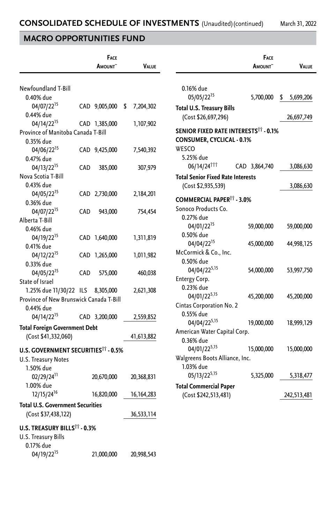|                                                       |     | <b>FACE</b><br>AMOUNT~ | <b>VALUE</b>    |                                                  | <b>FACE</b><br>AMOUNT <sup>~</sup> | <b>VALUE</b>    |
|-------------------------------------------------------|-----|------------------------|-----------------|--------------------------------------------------|------------------------------------|-----------------|
| Newfoundland T-Bill                                   |     |                        |                 | 0.16% due<br>05/05/22 <sup>15</sup>              |                                    |                 |
| 0.40% due<br>04/07/22 <sup>15</sup>                   |     |                        |                 |                                                  | 5,700,000                          | \$<br>5,699,206 |
| 0.44% due                                             |     | CAD 9,005,000          | \$<br>7,204,302 | <b>Total U.S. Treasury Bills</b>                 |                                    |                 |
| 04/14/22 <sup>15</sup>                                |     | CAD 1,385,000          | 1,107,902       | (Cost \$26,697,296)                              |                                    | 26,697,749      |
| Province of Manitoba Canada T-Bill                    |     |                        |                 | SENIOR FIXED RATE INTERESTS <sup>11</sup> - 0.1% |                                    |                 |
| 0.35% due                                             |     |                        |                 | <b>CONSUMER, CYCLICAL - 0.1%</b>                 |                                    |                 |
| 04/06/22 <sup>15</sup>                                |     | CAD 9,425,000          | 7,540,392       | WESCO                                            |                                    |                 |
| 0.47% due                                             |     |                        |                 | 5.25% due                                        |                                    |                 |
| 04/13/22 <sup>15</sup>                                | CAD | 385,000                | 307,979         | 06/14/24 111                                     | CAD 3,864,740                      | 3,086,630       |
| Nova Scotia T-Bill                                    |     |                        |                 | <b>Total Senior Fixed Rate Interests</b>         |                                    |                 |
| 0.43% due                                             |     |                        |                 |                                                  |                                    |                 |
| 04/05/22 <sup>15</sup>                                |     | CAD 2,730,000          | 2,184,201       | (Cost \$2,935,539)                               |                                    | 3,086,630       |
| 0.36% due                                             |     |                        |                 | <b>COMMERCIAL PAPER<sup>TT</sup> - 3.0%</b>      |                                    |                 |
| 04/07/22 <sup>15</sup>                                | CAD | 943,000                | 754,454         | Sonoco Products Co.                              |                                    |                 |
| Alberta T-Bill                                        |     |                        |                 | 0.27% due                                        |                                    |                 |
| 0.46% due                                             |     |                        |                 | 04/01/22 <sup>15</sup>                           | 59,000,000                         | 59,000,000      |
| 04/19/22 <sup>15</sup>                                |     | CAD 1,640,000          | 1,311,819       | 0.50% due                                        |                                    |                 |
| 0.41% due                                             |     |                        |                 | 04/04/22 <sup>15</sup>                           | 45,000,000                         | 44,998,125      |
| 04/12/22 <sup>15</sup>                                |     | CAD 1,265,000          | 1,011,982       | McCormick & Co., Inc.                            |                                    |                 |
| 0.33% due                                             |     |                        |                 | 0.50% due                                        |                                    |                 |
| 04/05/22 <sup>15</sup>                                | CAD | 575,000                | 460,038         | 04/04/225,15                                     | 54,000,000                         | 53,997,750      |
| State of Israel                                       |     |                        |                 | Entergy Corp.                                    |                                    |                 |
| 1.25% due 11/30/22 ILS                                |     | 8,305,000              | 2,621,308       | 0.23% due                                        |                                    |                 |
| Province of New Brunswick Canada T-Bill               |     |                        |                 | 04/01/225,15                                     | 45,200,000                         | 45,200,000      |
| 0.44% due                                             |     |                        |                 | Cintas Corporation No. 2                         |                                    |                 |
| 04/14/22 <sup>15</sup>                                |     | CAD 3,200,000          | 2,559,852       | 0.55% due                                        |                                    |                 |
| <b>Total Foreign Government Debt</b>                  |     |                        |                 | 04/04/225,15                                     | 19,000,000                         | 18,999,129      |
| (Cost \$41,332,060)                                   |     |                        | 41,613,882      | American Water Capital Corp.                     |                                    |                 |
|                                                       |     |                        |                 | 0.36% due                                        |                                    |                 |
| <b>U.S. GOVERNMENT SECURITIES<sup>11</sup> - 0.5%</b> |     |                        |                 | 04/01/225,15                                     | 15,000,000                         | 15,000,000      |
| <b>U.S. Treasury Notes</b>                            |     |                        |                 | Walgreens Boots Alliance, Inc.                   |                                    |                 |
| 1.50% due                                             |     |                        |                 | 1.03% due                                        |                                    |                 |
| $02/29/24$ <sup>11</sup>                              |     | 20,670,000             | 20,368,831      | 05/13/225,15                                     | 5,325,000                          | 5,318,477       |
| 1.00% due                                             |     |                        |                 | <b>Total Commercial Paper</b>                    |                                    |                 |
| $12/15/24^{16}$                                       |     | 16,820,000             | 16, 164, 283    | (Cost \$242,513,481)                             |                                    | 242,513,481     |
| <b>Total U.S. Government Securities</b>               |     |                        |                 |                                                  |                                    |                 |
| (Cost \$37,438,122)                                   |     |                        | 36,533,114      |                                                  |                                    |                 |
| <b>U.S. TREASURY BILLS<sup>TT</sup> - 0.3%</b>        |     |                        |                 |                                                  |                                    |                 |
| <b>U.S. Treasury Bills</b>                            |     |                        |                 |                                                  |                                    |                 |
| 0.17% due                                             |     |                        |                 |                                                  |                                    |                 |
| 04/19/22 <sup>15</sup>                                |     | 21,000,000             | 20,998,543      |                                                  |                                    |                 |
|                                                       |     |                        |                 |                                                  |                                    |                 |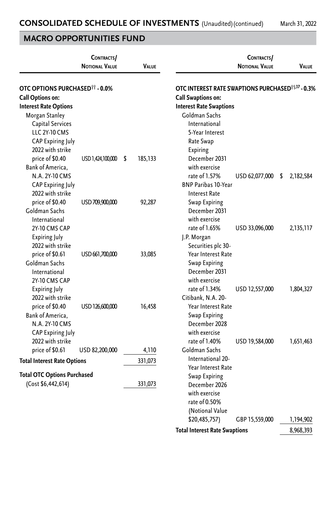|                                            | CONTRACTS/<br><b>NOTIONAL VALUE</b> | <b>VALUE</b>  |                                                               | CONTRACTS/<br><b>NOTIONAL VALUE</b><br><b>VALUE</b> |
|--------------------------------------------|-------------------------------------|---------------|---------------------------------------------------------------|-----------------------------------------------------|
| OTC OPTIONS PURCHASED <sup>11</sup> - 0.0% |                                     |               | OTC INTEREST RATE SWAPTIONS PURCHASED <sup>11,17</sup> - 0.3% |                                                     |
| <b>Call Options on:</b>                    |                                     |               | <b>Call Swaptions on:</b>                                     |                                                     |
| <b>Interest Rate Options</b>               |                                     |               | <b>Interest Rate Swaptions</b>                                |                                                     |
| Morgan Stanley                             |                                     |               | Goldman Sachs                                                 |                                                     |
| <b>Capital Services</b>                    |                                     |               | International                                                 |                                                     |
| LLC 2Y-10 CMS                              |                                     |               | 5-Year Interest                                               |                                                     |
| <b>CAP Expiring July</b>                   |                                     |               | Rate Swap                                                     |                                                     |
| 2022 with strike                           |                                     |               | <b>Expiring</b>                                               |                                                     |
| price of \$0.40                            | USD 1,424,100,000                   | \$<br>185,133 | December 2031                                                 |                                                     |
| Bank of America,                           |                                     |               | with exercise                                                 |                                                     |
| N.A. 2Y-10 CMS                             |                                     |               | rate of 1.57%                                                 | USD 62,077,000<br>2,182,584<br>\$                   |
| <b>CAP Expiring July</b>                   |                                     |               | <b>BNP Paribas 10-Year</b>                                    |                                                     |
| 2022 with strike                           |                                     |               | <b>Interest Rate</b>                                          |                                                     |
| price of \$0.40                            | USD 709,900,000                     | 92,287        | Swap Expiring                                                 |                                                     |
| Goldman Sachs                              |                                     |               | December 2031                                                 |                                                     |
| International                              |                                     |               | with exercise                                                 |                                                     |
| 2Y-10 CMS CAP                              |                                     |               | rate of 1.65%<br>USD 33,096,000                               | 2,135,117                                           |
| <b>Expiring July</b>                       |                                     |               | J.P. Morgan                                                   |                                                     |
| 2022 with strike                           |                                     |               | Securities plc 30-                                            |                                                     |
| price of \$0.61                            | USD 661,700,000                     | 33,085        | Year Interest Rate                                            |                                                     |
| Goldman Sachs                              |                                     |               | Swap Expiring                                                 |                                                     |
| International                              |                                     |               | December 2031                                                 |                                                     |
| 2Y-10 CMS CAP                              |                                     |               | with exercise                                                 |                                                     |
| <b>Expiring July</b>                       |                                     |               | rate of 1.34%<br>USD 12,557,000                               | 1,804,327                                           |
| 2022 with strike                           |                                     |               | Citibank, N.A. 20-                                            |                                                     |
| price of \$0.40                            | USD 126,600,000                     | 16,458        | Year Interest Rate                                            |                                                     |
| Bank of America.                           |                                     |               | Swap Expiring                                                 |                                                     |
| N.A. 2Y-10 CMS                             |                                     |               | December 2028                                                 |                                                     |
| <b>CAP Expiring July</b>                   |                                     |               | with exercise                                                 |                                                     |
| 2022 with strike                           |                                     |               | rate of 1.40%<br>USD 19,584,000                               | 1,651,463                                           |
| price of \$0.61                            | USD 82,200,000                      | 4,110         | Goldman Sachs                                                 |                                                     |
| <b>Total Interest Rate Options</b>         |                                     | 331,073       | International 20-                                             |                                                     |
| <b>Total OTC Options Purchased</b>         |                                     |               | Year Interest Rate                                            |                                                     |
| (Cost \$6,442,614)                         |                                     | 331,073       | Swap Expiring                                                 |                                                     |
|                                            |                                     |               | December 2026                                                 |                                                     |
|                                            |                                     |               | with exercise                                                 |                                                     |
|                                            |                                     |               | rate of 0.50%<br>(Notional Value                              |                                                     |
|                                            |                                     |               | \$20,485,757)                                                 | 1,194,902<br>GBP 15,559,000                         |
|                                            |                                     |               |                                                               |                                                     |
|                                            |                                     |               | <b>Total Interest Rate Swaptions</b>                          | 8,968,393                                           |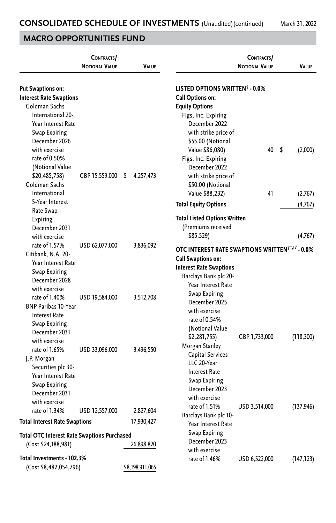|                                                                                                                                                                                                                                | CONTRACTS/<br><b>NOTIONAL VALUE</b> | VALUE                   |                                                                                                                                                                                                                                                                       | CONTRACTS/<br><b>NOTIONAL VALUE</b> | <b>VALUE</b>       |
|--------------------------------------------------------------------------------------------------------------------------------------------------------------------------------------------------------------------------------|-------------------------------------|-------------------------|-----------------------------------------------------------------------------------------------------------------------------------------------------------------------------------------------------------------------------------------------------------------------|-------------------------------------|--------------------|
| <b>Put Swaptions on:</b><br><b>Interest Rate Swaptions</b><br>Goldman Sachs<br>International 20-<br>Year Interest Rate<br>Swap Expiring<br>December 2026<br>with exercise<br>rate of 0.50%<br>(Notional Value<br>\$20,485,758) | GBP 15,559,000 \$                   | 4,257,473               | <b>LISTED OPTIONS WRITTEN<sup>®</sup> - 0.0%</b><br>Call Options on:<br><b>Equity Options</b><br>Figs, Inc. Expiring<br>December 2022<br>with strike price of<br>\$55.00 (Notional<br>Value \$86,080)<br>Figs, Inc. Expiring<br>December 2022<br>with strike price of | 40                                  | -\$<br>(2,000)     |
| Goldman Sachs<br>International<br>5-Year Interest                                                                                                                                                                              |                                     |                         | \$50.00 (Notional<br>Value \$88,232)<br><b>Total Equity Options</b>                                                                                                                                                                                                   | 41                                  | (2,767)<br>(4,767) |
| Rate Swap<br>Expiring<br>December 2031<br>with exercise<br>rate of 1.57%<br>Citibank, N.A. 20-                                                                                                                                 | USD 62,077,000                      | 3,836,092               | <b>Total Listed Options Written</b><br>(Premiums received<br>\$85,529)<br>OTC INTEREST RATE SWAPTIONS WRITTEN <sup>11</sup> 7-0.0%<br><b>Call Swaptions on:</b>                                                                                                       |                                     | (4,767)            |
| Year Interest Rate<br>Swap Expiring<br>December 2028<br>with exercise<br>rate of 1.40%<br><b>BNP Paribas 10-Year</b><br><b>Interest Rate</b>                                                                                   | USD 19,584,000                      | 3,512,708               | <b>Interest Rate Swaptions</b><br>Barclays Bank plc 20-<br>Year Interest Rate<br>Swap Expiring<br>December 2025<br>with exercise                                                                                                                                      |                                     |                    |
| Swap Expiring<br>December 2031<br>with exercise<br>rate of 1.65%<br>J.P. Morgan<br>Securities plc 30-<br>Year Interest Rate                                                                                                    | USD 33,096,000                      | 3,496,550               | rate of 0.54%<br>(Notional Value<br>\$2,281,755)<br>Morgan Stanley<br>Capital Services<br>LLC 20-Year<br><b>Interest Rate</b>                                                                                                                                         | GBP 1,733,000                       | (118,300)          |
| Swap Expiring<br>December 2031<br>with exercise<br>rate of 1.34%<br><b>Total Interest Rate Swaptions</b>                                                                                                                       | USD 12,557,000                      | 2,827,604<br>17,930,427 | Swap Expiring<br>December 2023<br>with exercise<br>rate of 1.51%<br>Barclays Bank plc 10-<br>Year Interest Rate                                                                                                                                                       | USD 3,514,000                       | (137, 946)         |
| <b>Total OTC Interest Rate Swaptions Purchased</b><br>(Cost \$24,188,981)                                                                                                                                                      |                                     | 26,898,820              | Swap Expiring<br>December 2023<br>with exercise                                                                                                                                                                                                                       |                                     |                    |
| Total Investments - 102.3%<br>(Cost \$8,482,054,796)                                                                                                                                                                           |                                     | \$8,198,911,065         | rate of 1.46%                                                                                                                                                                                                                                                         | USD 6,522,000                       | (147, 123)         |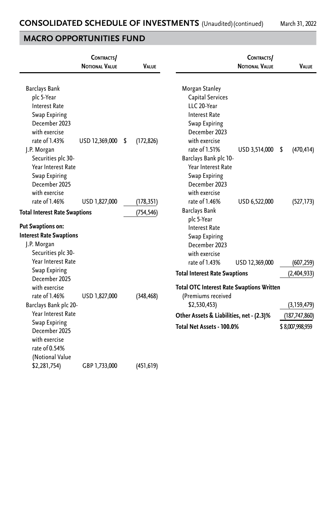|                                      | CONTRACTS/<br><b>NOTIONAL VALUE</b> | <b>VALUE</b>     |                                                  | CONTRACTS/<br><b>NOTIONAL VALUE</b> | <b>VALUE</b>     |
|--------------------------------------|-------------------------------------|------------------|--------------------------------------------------|-------------------------------------|------------------|
| Barclays Bank                        |                                     |                  | Morgan Stanley                                   |                                     |                  |
| plc 5-Year                           |                                     |                  | <b>Capital Services</b>                          |                                     |                  |
| <b>Interest Rate</b>                 |                                     |                  | LLC 20-Year                                      |                                     |                  |
| Swap Expiring                        |                                     |                  | <b>Interest Rate</b>                             |                                     |                  |
| December 2023                        |                                     |                  | Swap Expiring                                    |                                     |                  |
| with exercise                        |                                     |                  | December 2023                                    |                                     |                  |
| rate of 1.43%                        | USD 12,369,000                      | \$<br>(172, 826) | with exercise                                    |                                     |                  |
| J.P. Morgan                          |                                     |                  | rate of 1.51%                                    | USD 3,514,000                       | \$<br>(470, 414) |
| Securities plc 30-                   |                                     |                  | Barclays Bank plc 10-                            |                                     |                  |
| Year Interest Rate                   |                                     |                  | Year Interest Rate                               |                                     |                  |
| Swap Expiring                        |                                     |                  | Swap Expiring                                    |                                     |                  |
| December 2025                        |                                     |                  | December 2023                                    |                                     |                  |
| with exercise                        |                                     |                  | with exercise                                    |                                     |                  |
| rate of 1.46%                        | USD 1,827,000                       | (178, 351)       | rate of 1.46%                                    | USD 6,522,000                       | (527, 173)       |
| <b>Total Interest Rate Swaptions</b> |                                     | (754, 546)       | <b>Barclays Bank</b>                             |                                     |                  |
| <b>Put Swaptions on:</b>             |                                     |                  | plc 5-Year                                       |                                     |                  |
| <b>Interest Rate Swaptions</b>       |                                     |                  | <b>Interest Rate</b>                             |                                     |                  |
| J.P. Morgan                          |                                     |                  | Swap Expiring<br>December 2023                   |                                     |                  |
| Securities plc 30-                   |                                     |                  | with exercise                                    |                                     |                  |
| Year Interest Rate                   |                                     |                  | rate of 1.43%                                    | USD 12,369,000                      | (607, 259)       |
| Swap Expiring                        |                                     |                  |                                                  |                                     |                  |
| December 2025                        |                                     |                  | <b>Total Interest Rate Swaptions</b>             |                                     | (2,404,933)      |
| with exercise                        |                                     |                  | <b>Total OTC Interest Rate Swaptions Written</b> |                                     |                  |
| rate of 1.46%                        | USD 1,827,000                       | (348, 468)       | (Premiums received                               |                                     |                  |
| Barclays Bank plc 20-                |                                     |                  | \$2,530,453                                      |                                     | (3, 159, 479)    |
| Year Interest Rate                   |                                     |                  | Other Assets & Liabilities, net - (2.3)%         |                                     | (187, 747, 860)  |
| Swap Expiring                        |                                     |                  | Total Net Assets - 100.0%                        |                                     | \$8,007,998,959  |
| December 2025                        |                                     |                  |                                                  |                                     |                  |
| with exercise                        |                                     |                  |                                                  |                                     |                  |
| rate of 0.54%                        |                                     |                  |                                                  |                                     |                  |
| (Notional Value                      |                                     |                  |                                                  |                                     |                  |
| \$2,281,754)                         | GBP 1,733,000                       | (451, 619)       |                                                  |                                     |                  |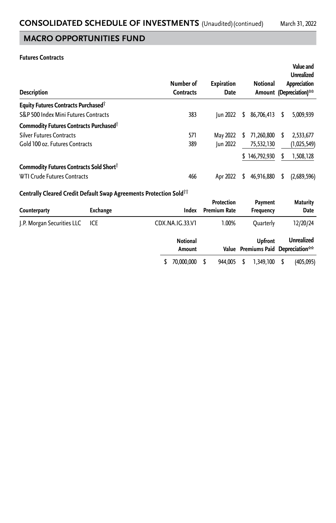#### **Futures Contracts**

| <b>Description</b>                                                             |          | Number of<br><b>Contracts</b> | <b>Expiration</b><br>Date         | <b>Notional</b>      | Value and<br><b>Unrealized</b><br>Appreciation<br>Amount (Depreciation)** |
|--------------------------------------------------------------------------------|----------|-------------------------------|-----------------------------------|----------------------|---------------------------------------------------------------------------|
| Equity Futures Contracts Purchased <sup>®</sup>                                |          |                               |                                   |                      |                                                                           |
| S&P 500 Index Mini Futures Contracts                                           |          | 383                           | Jun 2022                          | 86,706,413<br>S      | 5,009,939<br>S                                                            |
| Commodity Futures Contracts Purchased <sup>T</sup>                             |          |                               |                                   |                      |                                                                           |
| <b>Silver Futures Contracts</b>                                                |          | 571                           | May 2022                          | 71,260,800<br>S      | 2,533,677<br>S                                                            |
| Gold 100 oz. Futures Contracts                                                 |          | 389                           | Jun 2022                          | 75,532,130           | (1,025,549)                                                               |
|                                                                                |          |                               |                                   | 146,792,930<br>S     | 1,508,128<br>S                                                            |
| Commodity Futures Contracts Sold Short                                         |          |                               |                                   |                      |                                                                           |
| WTI Crude Futures Contracts                                                    |          | 466                           | Apr 2022                          | 46,916,880<br>S      | \$<br>(2,689,596)                                                         |
| Centrally Cleared Credit Default Swap Agreements Protection Sold <sup>11</sup> |          |                               |                                   |                      |                                                                           |
| Counterparty                                                                   | Exchange | Index                         | Protection<br><b>Premium Rate</b> | Payment<br>Frequency | <b>Maturity</b><br>Date                                                   |
| J.P. Morgan Securities LLC                                                     | ICE      | CDX.NA.IG.33.V1               | 1.00%                             | Quarterly            | 12/20/24                                                                  |
|                                                                                |          | <b>Notional</b><br>Amount     |                                   | <b>Upfront</b>       | Unrealized<br>Value Premiums Paid Depreciation**                          |
|                                                                                |          | 70,000,000<br>\$              | 944,005<br>S                      | 1,349,100<br>S       | (405, 095)<br>S                                                           |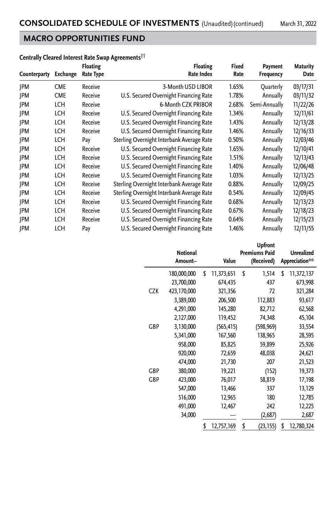#### **Centrally Cleared Interest Rate Swap Agreements††**

| Counterparty | Exchange   | Floating<br><b>Rate Type</b> | <b>Floating</b><br>Rate Index             | <b>Fixed</b><br>Rate | Payment<br>Frequency | <b>Maturity</b><br>Date |
|--------------|------------|------------------------------|-------------------------------------------|----------------------|----------------------|-------------------------|
| <b>JPM</b>   | <b>CME</b> | Receive                      | 3-Month USD LIBOR                         | 1.65%                | Quarterly            | 03/17/31                |
| <b>JPM</b>   | <b>CME</b> | Receive                      | U.S. Secured Overnight Financing Rate     | 1.78%                | Annually             | 03/11/32                |
| <b>IPM</b>   | LCH        | Receive                      | 6-Month CZK PRIBOR                        | 2.68%                | Semi-Annually        | 11/22/26                |
| <b>JPM</b>   | LCH        | Receive                      | U.S. Secured Overnight Financing Rate     | 1.34%                | Annually             | 12/11/61                |
| <b>JPM</b>   | LCH        | Receive                      | U.S. Secured Overnight Financing Rate     | 1.43%                | Annually             | 12/13/28                |
| <b>JPM</b>   | LCH        | Receive                      | U.S. Secured Overnight Financing Rate     | 1.46%                | Annually             | 12/16/33                |
| <b>JPM</b>   | LCH        | Pay                          | Sterling Overnight Interbank Average Rate | 0.50%                | Annually             | 12/03/46                |
| JPM          | LCH        | Receive                      | U.S. Secured Overnight Financing Rate     | 1.65%                | Annually             | 12/10/41                |
| JPM          | LCH        | Receive                      | U.S. Secured Overnight Financing Rate     | 1.51%                | Annually             | 12/13/43                |
| <b>JPM</b>   | LCH        | Receive                      | U.S. Secured Overnight Financing Rate     | 1.40%                | Annually             | 12/06/48                |
| JPM          | LCH        | Receive                      | U.S. Secured Overnight Financing Rate     | 1.03%                | Annually             | 12/13/25                |
| <b>JPM</b>   | LCH        | Receive                      | Sterling Overnight Interbank Average Rate | 0.88%                | Annually             | 12/09/25                |
| <b>JPM</b>   | LCH        | Receive                      | Sterling Overnight Interbank Average Rate | 0.54%                | Annually             | 12/09/45                |
| <b>IPM</b>   | LCH        | Receive                      | U.S. Secured Overnight Financing Rate     | 0.68%                | Annually             | 12/13/23                |
| <b>IPM</b>   | LCH        | Receive                      | U.S. Secured Overnight Financing Rate     | 0.67%                | Annually             | 12/18/23                |
| JPM          | LCH        | Receive                      | U.S. Secured Overnight Financing Rate     | 0.64%                | Annually             | 12/15/23                |
| <b>JPM</b>   | LCH        | Pay                          | U.S. Secured Overnight Financing Rate     | 1.46%                | Annually             | 12/11/55                |

|     | <b>Notional</b><br>Amount~ | Value            | <b>Upfront</b><br><b>Premiums Paid</b><br>(Received) | <b>Unrealized</b><br>Appreciation** |
|-----|----------------------------|------------------|------------------------------------------------------|-------------------------------------|
|     | 180,000,000                | \$<br>11,373,651 | \$<br>1,514                                          | \$<br>11,372,137                    |
|     | 23,700,000                 | 674,435          | 437                                                  | 673,998                             |
| CZK | 423,170,000                | 321,356          | 72                                                   | 321,284                             |
|     | 3,389,000                  | 206,500          | 112,883                                              | 93,617                              |
|     | 4,291,000                  | 145,280          | 82,712                                               | 62,568                              |
|     | 2,127,000                  | 119,452          | 74,348                                               | 45,104                              |
| GBP | 3,130,000                  | (565, 415)       | (598, 969)                                           | 33,554                              |
|     | 5,341,000                  | 167,560          | 138,965                                              | 28,595                              |
|     | 958,000                    | 85,825           | 59,899                                               | 25,926                              |
|     | 920,000                    | 72,659           | 48,038                                               | 24,621                              |
|     | 474,000                    | 21,730           | 207                                                  | 21,523                              |
| GBP | 380,000                    | 19,221           | (152)                                                | 19,373                              |
| GBP | 423,000                    | 76,017           | 58,819                                               | 17,198                              |
|     | 547,000                    | 13,466           | 337                                                  | 13,129                              |
|     | 516,000                    | 12,965           | 180                                                  | 12,785                              |
|     | 491,000                    | 12,467           | 242                                                  | 12,225                              |
|     | 34,000                     |                  | (2,687)                                              | 2,687                               |
|     |                            | \$<br>12,757,169 | \$<br>(23,155)                                       | \$<br>12,780,324                    |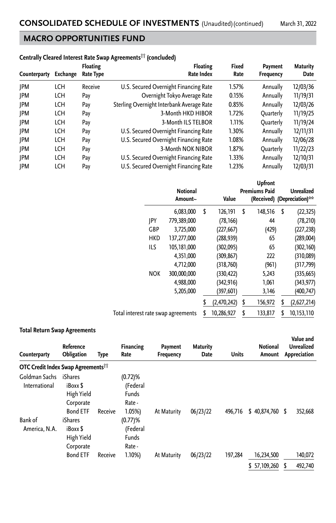#### **Centrally Cleared Interest Rate Swap Agreements†† (concluded)**

| Counterparty | Exchange | Floating<br><b>Rate Type</b> | Floating<br>Rate Index                    | <b>Fixed</b><br>Rate | Payment<br><b>Frequency</b> | <b>Maturity</b><br>Date |
|--------------|----------|------------------------------|-------------------------------------------|----------------------|-----------------------------|-------------------------|
| <b>JPM</b>   | LCH      | Receive                      | U.S. Secured Overnight Financing Rate     | 1.57%                | Annually                    | 12/03/36                |
| <b>IPM</b>   | LCH      | Pay                          | Overnight Tokyo Average Rate              | 0.15%                | Annually                    | 11/19/31                |
| JPM          | LCH      | Pay                          | Sterling Overnight Interbank Average Rate | 0.85%                | Annually                    | 12/03/26                |
| <b>JPM</b>   | LCH      | Pay                          | 3-Month HKD HIBOR                         | 1.72%                | Quarterly                   | 11/19/25                |
| JPM          | LCH      | Pay                          | 3-Month ILS TELBOR                        | 1.11%                | Quarterly                   | 11/19/24                |
| <b>JPM</b>   | LCH      | Pay                          | U.S. Secured Overnight Financing Rate     | 1.30%                | Annually                    | 12/11/31                |
| <b>JPM</b>   | LCH      | Pay                          | U.S. Secured Overnight Financing Rate     | 1.08%                | Annually                    | 12/06/28                |
| <b>JPM</b>   | LCH      | Pay                          | 3-Month NOK NIBOR                         | 1.87%                | Quarterly                   | 11/22/23                |
| <b>IPM</b>   | LCH      | Pay                          | U.S. Secured Overnight Financing Rate     | 1.33%                | Annually                    | 12/10/31                |
| <b>IPM</b>   | LCH      | Pay                          | U.S. Secured Overnight Financing Rate     | 1.23%                | Annually                    | 12/03/31                |

|            | Notional<br>Amount~                 | Value            | Upfront<br><b>Premiums Paid</b> | Unrealized<br>(Received) (Depreciation)** |
|------------|-------------------------------------|------------------|---------------------------------|-------------------------------------------|
|            | 6,083,000                           | \$<br>126,191    | \$<br>148,516                   | \$<br>(22, 325)                           |
| <b>JPY</b> | 779,389,000                         | (78, 166)        | 44                              | (78, 210)                                 |
| GBP        | 3,725,000                           | (227, 667)       | (429)                           | (227, 238)                                |
| <b>HKD</b> | 137,277,000                         | (288, 939)       | 65                              | (289,004)                                 |
| ILS        | 105,181,000                         | (302,095)        | 65                              | (302, 160)                                |
|            | 4,351,000                           | (309, 867)       | 222                             | (310,089)                                 |
|            | 4,712,000                           | (318,760)        | (961)                           | (317,799)                                 |
| <b>NOK</b> | 300,000,000                         | (330, 422)       | 5,243                           | (335, 665)                                |
|            | 4,988,000                           | (342, 916)       | 1,061                           | (343, 977)                                |
|            | 5,205,000                           | (397,601)        | 3,146                           | (400,747)                                 |
|            |                                     | (2,470,242)      | \$<br>156,972                   | \$<br>(2,627,214)                         |
|            | Total interest rate swap agreements | \$<br>10,286,927 | \$<br>133,817                   | \$<br>10,153,110                          |

#### **Total Return Swap Agreements**

|                                                      |                                                                          |         |                                                        |                      |                         |              |                    | Value and                         |  |
|------------------------------------------------------|--------------------------------------------------------------------------|---------|--------------------------------------------------------|----------------------|-------------------------|--------------|--------------------|-----------------------------------|--|
| Counterparty                                         | Reference<br>Obligation                                                  | Type    | <b>Financing</b><br>Rate                               | Payment<br>Frequency | <b>Maturity</b><br>Date | <b>Units</b> | Notional<br>Amount | <b>Unrealized</b><br>Appreciation |  |
| <b>OTC Credit Index Swap Agreements<sup>11</sup></b> |                                                                          |         |                                                        |                      |                         |              |                    |                                   |  |
| Goldman Sachs<br>International                       | <b>iShares</b><br>iBoxx \$<br>High Yield<br>Corporate<br><b>Bond ETF</b> | Receive | (0.72)%<br>(Federal<br><b>Funds</b><br>Rate -<br>1.05% | At Maturity          | 06/23/22                | 496.716      | $$40,874,760$ \$   | 352,668                           |  |
| Bank of<br>America, N.A.                             | <b>iShares</b><br>iBoxx \$<br>High Yield<br>Corporate                    |         | (0.77)%<br>(Federal<br>Funds<br>Rate -                 |                      |                         |              |                    |                                   |  |
|                                                      | <b>Bond ETF</b>                                                          | Receive | 1.10%)                                                 | At Maturity          | 06/23/22                | 197,284      | 16,234,500         | 140,072                           |  |
|                                                      |                                                                          |         |                                                        |                      |                         |              | \$57,109,260       | 492,740                           |  |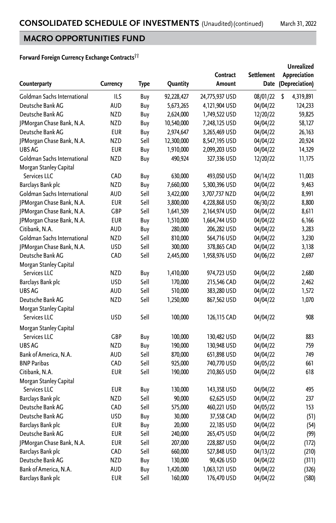#### **Forward Foreign Currency Exchange Contracts††**

| <b>Settlement</b><br>Appreciation<br>Contract<br>(Depreciation)<br>Counterparty<br>Currency<br><b>Type</b><br>Quantity<br>Amount<br>Date<br>Goldman Sachs International<br>ILS<br>4,319,891<br>Buy<br>92,228,427<br>24,775,937 USD<br>08/01/22<br>\$<br>Deutsche Bank AG<br>04/04/22<br>AUD<br>Buy<br>5,673,265<br>4,121,904 USD<br>124,233<br>Deutsche Bank AG<br>NZD<br>12/20/22<br>59,825<br>Buy<br>2,624,000<br>1,749,522 USD<br>JPMorgan Chase Bank, N.A.<br>NZD<br>04/04/22<br>58,127<br>Buy<br>10,540,000<br>7,248,125 USD<br>Deutsche Bank AG<br>04/04/22<br>26,163<br>EUR<br>Buy<br>2,974,647<br>3,265,469 USD<br>JPMorgan Chase Bank, N.A.<br>NZD<br>Sell<br>20,924<br>12,300,000<br>8,547,195 USD<br>04/04/22<br>UBS AG<br><b>EUR</b><br>1,910,000<br>Buy<br>2,099,203 USD<br>04/04/22<br>14,329<br>Goldman Sachs International<br>NZD<br>490,924<br>11,175<br>Buy<br>327,336 USD<br>12/20/22<br>Morgan Stanley Capital<br>Services LLC<br>CAD<br>11,003<br>Buy<br>630,000<br>493,050 USD<br>04/14/22<br>Barclays Bank plc<br>NZD<br>7,660,000<br>04/04/22<br>Buy<br>5,300,396 USD<br>9,463<br>Goldman Sachs International<br>AUD<br>Sell<br>3,422,000<br>04/04/22<br>8,991<br>3,707,737 NZD<br>JPMorgan Chase Bank, N.A.<br>Sell<br>3,800,000<br>8,800<br>EUR<br>4,228,868 USD<br>06/30/22<br>JPMorgan Chase Bank, N.A.<br><b>GBP</b><br>Sell<br>1,641,509<br>04/04/22<br>8,611<br>2,164,974 USD<br>JPMorgan Chase Bank, N.A.<br>EUR<br>Buy<br>1,510,000<br>1,664,744 USD<br>04/04/22<br>6,166<br>Citibank, N.A.<br>AUD<br>Buy<br>280,000<br>206,282 USD<br>04/04/22<br>3,283<br>Goldman Sachs International<br>NZD<br>Sell<br>810,000<br>3,230<br>564,716 USD<br>04/04/22<br><b>USD</b><br>Sell<br>04/04/22<br>JPMorgan Chase Bank, N.A.<br>300,000<br>378,865 CAD<br>3,138<br>Deutsche Bank AG<br>CAD<br>Sell<br>2,445,000<br>1,958,976 USD<br>04/06/22<br>2,697<br>Morgan Stanley Capital<br>NZD<br>Services LLC<br>Buy<br>1,410,000<br>974,723 USD<br>04/04/22<br>2,680<br>Sell<br>Barclays Bank plc<br><b>USD</b><br>170,000<br>215,546 CAD<br>04/04/22<br>2,462<br>UBS AG<br>Sell<br>510,000<br>AUD<br>383,280 USD<br>04/04/22<br>1,572<br>Deutsche Bank AG<br>NZD<br>Sell<br>1,250,000<br>867,562 USD<br>04/04/22<br>1,070<br>Morgan Stanley Capital<br>Sell<br>908<br>Services LLC<br><b>USD</b><br>100,000<br>126,115 CAD<br>04/04/22<br>Morgan Stanley Capital<br>Services LLC<br>GBP<br>Buy<br>100,000<br>130,482 USD<br>04/04/22<br>883<br><b>UBS AG</b><br><b>NZD</b><br>190,000<br>130,948 USD<br>04/04/22<br>759<br>Buy<br>749<br>Bank of America, N.A.<br><b>AUD</b><br>Sell<br>870,000<br>651,898 USD<br>04/04/22<br><b>BNP Paribas</b><br>CAD<br>Sell<br>661<br>925,000<br>740,770 USD<br>04/05/22<br>Citibank, N.A.<br><b>EUR</b><br>Sell<br>190,000<br>618<br>210,865 USD<br>04/04/22<br>Morgan Stanley Capital<br>Services LLC<br><b>EUR</b><br>04/04/22<br>495<br>Buy<br>130,000<br>143,358 USD<br>Barclays Bank plc<br>NZD<br>Sell<br>04/04/22<br>237<br>90,000<br>62,625 USD<br>Deutsche Bank AG<br>CAD<br>Sell<br>575,000<br>04/05/22<br>153<br>460,221 USD<br>Deutsche Bank AG<br><b>USD</b><br>Buy<br>30,000<br>37,558 CAD<br>04/04/22<br>Barclays Bank plc<br>20,000<br>EUR<br>Buy<br>22,185 USD<br>04/04/22<br>Deutsche Bank AG<br>Sell<br>240,000<br>EUR<br>265,475 USD<br>04/04/22<br>(99)<br>JPMorgan Chase Bank, N.A.<br>Sell<br>207,000<br>04/04/22<br>EUR<br>228,887 USD<br>Barclays Bank plc<br>CAD<br>Sell<br>04/13/22<br>660,000<br>527,848 USD<br>Deutsche Bank AG<br>NZD<br>Buy<br>130,000<br>90,426 USD<br>04/04/22<br>Bank of America, N.A.<br><b>AUD</b><br>1,420,000<br>1,063,121 USD<br>Buy<br>04/04/22 |                   |            |      |         |             |          | <b>Unrealized</b> |
|------------------------------------------------------------------------------------------------------------------------------------------------------------------------------------------------------------------------------------------------------------------------------------------------------------------------------------------------------------------------------------------------------------------------------------------------------------------------------------------------------------------------------------------------------------------------------------------------------------------------------------------------------------------------------------------------------------------------------------------------------------------------------------------------------------------------------------------------------------------------------------------------------------------------------------------------------------------------------------------------------------------------------------------------------------------------------------------------------------------------------------------------------------------------------------------------------------------------------------------------------------------------------------------------------------------------------------------------------------------------------------------------------------------------------------------------------------------------------------------------------------------------------------------------------------------------------------------------------------------------------------------------------------------------------------------------------------------------------------------------------------------------------------------------------------------------------------------------------------------------------------------------------------------------------------------------------------------------------------------------------------------------------------------------------------------------------------------------------------------------------------------------------------------------------------------------------------------------------------------------------------------------------------------------------------------------------------------------------------------------------------------------------------------------------------------------------------------------------------------------------------------------------------------------------------------------------------------------------------------------------------------------------------------------------------------------------------------------------------------------------------------------------------------------------------------------------------------------------------------------------------------------------------------------------------------------------------------------------------------------------------------------------------------------------------------------------------------------------------------------------------------------------------------------------------------------------------------------------------------------------------------------------------------------------------------------------------------------------------------------------------------------------------------------------------------------------------------------------------------------------------------------------------------------------------------------------------------------------------------------------------------------------------------|-------------------|------------|------|---------|-------------|----------|-------------------|
| (51)<br>(54)<br>(172)<br>(210)<br>(311)<br>(326)                                                                                                                                                                                                                                                                                                                                                                                                                                                                                                                                                                                                                                                                                                                                                                                                                                                                                                                                                                                                                                                                                                                                                                                                                                                                                                                                                                                                                                                                                                                                                                                                                                                                                                                                                                                                                                                                                                                                                                                                                                                                                                                                                                                                                                                                                                                                                                                                                                                                                                                                                                                                                                                                                                                                                                                                                                                                                                                                                                                                                                                                                                                                                                                                                                                                                                                                                                                                                                                                                                                                                                                                                 |                   |            |      |         |             |          |                   |
|                                                                                                                                                                                                                                                                                                                                                                                                                                                                                                                                                                                                                                                                                                                                                                                                                                                                                                                                                                                                                                                                                                                                                                                                                                                                                                                                                                                                                                                                                                                                                                                                                                                                                                                                                                                                                                                                                                                                                                                                                                                                                                                                                                                                                                                                                                                                                                                                                                                                                                                                                                                                                                                                                                                                                                                                                                                                                                                                                                                                                                                                                                                                                                                                                                                                                                                                                                                                                                                                                                                                                                                                                                                                  |                   |            |      |         |             |          |                   |
|                                                                                                                                                                                                                                                                                                                                                                                                                                                                                                                                                                                                                                                                                                                                                                                                                                                                                                                                                                                                                                                                                                                                                                                                                                                                                                                                                                                                                                                                                                                                                                                                                                                                                                                                                                                                                                                                                                                                                                                                                                                                                                                                                                                                                                                                                                                                                                                                                                                                                                                                                                                                                                                                                                                                                                                                                                                                                                                                                                                                                                                                                                                                                                                                                                                                                                                                                                                                                                                                                                                                                                                                                                                                  |                   |            |      |         |             |          |                   |
|                                                                                                                                                                                                                                                                                                                                                                                                                                                                                                                                                                                                                                                                                                                                                                                                                                                                                                                                                                                                                                                                                                                                                                                                                                                                                                                                                                                                                                                                                                                                                                                                                                                                                                                                                                                                                                                                                                                                                                                                                                                                                                                                                                                                                                                                                                                                                                                                                                                                                                                                                                                                                                                                                                                                                                                                                                                                                                                                                                                                                                                                                                                                                                                                                                                                                                                                                                                                                                                                                                                                                                                                                                                                  |                   |            |      |         |             |          |                   |
|                                                                                                                                                                                                                                                                                                                                                                                                                                                                                                                                                                                                                                                                                                                                                                                                                                                                                                                                                                                                                                                                                                                                                                                                                                                                                                                                                                                                                                                                                                                                                                                                                                                                                                                                                                                                                                                                                                                                                                                                                                                                                                                                                                                                                                                                                                                                                                                                                                                                                                                                                                                                                                                                                                                                                                                                                                                                                                                                                                                                                                                                                                                                                                                                                                                                                                                                                                                                                                                                                                                                                                                                                                                                  |                   |            |      |         |             |          |                   |
|                                                                                                                                                                                                                                                                                                                                                                                                                                                                                                                                                                                                                                                                                                                                                                                                                                                                                                                                                                                                                                                                                                                                                                                                                                                                                                                                                                                                                                                                                                                                                                                                                                                                                                                                                                                                                                                                                                                                                                                                                                                                                                                                                                                                                                                                                                                                                                                                                                                                                                                                                                                                                                                                                                                                                                                                                                                                                                                                                                                                                                                                                                                                                                                                                                                                                                                                                                                                                                                                                                                                                                                                                                                                  |                   |            |      |         |             |          |                   |
|                                                                                                                                                                                                                                                                                                                                                                                                                                                                                                                                                                                                                                                                                                                                                                                                                                                                                                                                                                                                                                                                                                                                                                                                                                                                                                                                                                                                                                                                                                                                                                                                                                                                                                                                                                                                                                                                                                                                                                                                                                                                                                                                                                                                                                                                                                                                                                                                                                                                                                                                                                                                                                                                                                                                                                                                                                                                                                                                                                                                                                                                                                                                                                                                                                                                                                                                                                                                                                                                                                                                                                                                                                                                  |                   |            |      |         |             |          |                   |
|                                                                                                                                                                                                                                                                                                                                                                                                                                                                                                                                                                                                                                                                                                                                                                                                                                                                                                                                                                                                                                                                                                                                                                                                                                                                                                                                                                                                                                                                                                                                                                                                                                                                                                                                                                                                                                                                                                                                                                                                                                                                                                                                                                                                                                                                                                                                                                                                                                                                                                                                                                                                                                                                                                                                                                                                                                                                                                                                                                                                                                                                                                                                                                                                                                                                                                                                                                                                                                                                                                                                                                                                                                                                  |                   |            |      |         |             |          |                   |
|                                                                                                                                                                                                                                                                                                                                                                                                                                                                                                                                                                                                                                                                                                                                                                                                                                                                                                                                                                                                                                                                                                                                                                                                                                                                                                                                                                                                                                                                                                                                                                                                                                                                                                                                                                                                                                                                                                                                                                                                                                                                                                                                                                                                                                                                                                                                                                                                                                                                                                                                                                                                                                                                                                                                                                                                                                                                                                                                                                                                                                                                                                                                                                                                                                                                                                                                                                                                                                                                                                                                                                                                                                                                  |                   |            |      |         |             |          |                   |
|                                                                                                                                                                                                                                                                                                                                                                                                                                                                                                                                                                                                                                                                                                                                                                                                                                                                                                                                                                                                                                                                                                                                                                                                                                                                                                                                                                                                                                                                                                                                                                                                                                                                                                                                                                                                                                                                                                                                                                                                                                                                                                                                                                                                                                                                                                                                                                                                                                                                                                                                                                                                                                                                                                                                                                                                                                                                                                                                                                                                                                                                                                                                                                                                                                                                                                                                                                                                                                                                                                                                                                                                                                                                  |                   |            |      |         |             |          |                   |
|                                                                                                                                                                                                                                                                                                                                                                                                                                                                                                                                                                                                                                                                                                                                                                                                                                                                                                                                                                                                                                                                                                                                                                                                                                                                                                                                                                                                                                                                                                                                                                                                                                                                                                                                                                                                                                                                                                                                                                                                                                                                                                                                                                                                                                                                                                                                                                                                                                                                                                                                                                                                                                                                                                                                                                                                                                                                                                                                                                                                                                                                                                                                                                                                                                                                                                                                                                                                                                                                                                                                                                                                                                                                  |                   |            |      |         |             |          |                   |
|                                                                                                                                                                                                                                                                                                                                                                                                                                                                                                                                                                                                                                                                                                                                                                                                                                                                                                                                                                                                                                                                                                                                                                                                                                                                                                                                                                                                                                                                                                                                                                                                                                                                                                                                                                                                                                                                                                                                                                                                                                                                                                                                                                                                                                                                                                                                                                                                                                                                                                                                                                                                                                                                                                                                                                                                                                                                                                                                                                                                                                                                                                                                                                                                                                                                                                                                                                                                                                                                                                                                                                                                                                                                  |                   |            |      |         |             |          |                   |
|                                                                                                                                                                                                                                                                                                                                                                                                                                                                                                                                                                                                                                                                                                                                                                                                                                                                                                                                                                                                                                                                                                                                                                                                                                                                                                                                                                                                                                                                                                                                                                                                                                                                                                                                                                                                                                                                                                                                                                                                                                                                                                                                                                                                                                                                                                                                                                                                                                                                                                                                                                                                                                                                                                                                                                                                                                                                                                                                                                                                                                                                                                                                                                                                                                                                                                                                                                                                                                                                                                                                                                                                                                                                  |                   |            |      |         |             |          |                   |
|                                                                                                                                                                                                                                                                                                                                                                                                                                                                                                                                                                                                                                                                                                                                                                                                                                                                                                                                                                                                                                                                                                                                                                                                                                                                                                                                                                                                                                                                                                                                                                                                                                                                                                                                                                                                                                                                                                                                                                                                                                                                                                                                                                                                                                                                                                                                                                                                                                                                                                                                                                                                                                                                                                                                                                                                                                                                                                                                                                                                                                                                                                                                                                                                                                                                                                                                                                                                                                                                                                                                                                                                                                                                  |                   |            |      |         |             |          |                   |
|                                                                                                                                                                                                                                                                                                                                                                                                                                                                                                                                                                                                                                                                                                                                                                                                                                                                                                                                                                                                                                                                                                                                                                                                                                                                                                                                                                                                                                                                                                                                                                                                                                                                                                                                                                                                                                                                                                                                                                                                                                                                                                                                                                                                                                                                                                                                                                                                                                                                                                                                                                                                                                                                                                                                                                                                                                                                                                                                                                                                                                                                                                                                                                                                                                                                                                                                                                                                                                                                                                                                                                                                                                                                  |                   |            |      |         |             |          |                   |
|                                                                                                                                                                                                                                                                                                                                                                                                                                                                                                                                                                                                                                                                                                                                                                                                                                                                                                                                                                                                                                                                                                                                                                                                                                                                                                                                                                                                                                                                                                                                                                                                                                                                                                                                                                                                                                                                                                                                                                                                                                                                                                                                                                                                                                                                                                                                                                                                                                                                                                                                                                                                                                                                                                                                                                                                                                                                                                                                                                                                                                                                                                                                                                                                                                                                                                                                                                                                                                                                                                                                                                                                                                                                  |                   |            |      |         |             |          |                   |
|                                                                                                                                                                                                                                                                                                                                                                                                                                                                                                                                                                                                                                                                                                                                                                                                                                                                                                                                                                                                                                                                                                                                                                                                                                                                                                                                                                                                                                                                                                                                                                                                                                                                                                                                                                                                                                                                                                                                                                                                                                                                                                                                                                                                                                                                                                                                                                                                                                                                                                                                                                                                                                                                                                                                                                                                                                                                                                                                                                                                                                                                                                                                                                                                                                                                                                                                                                                                                                                                                                                                                                                                                                                                  |                   |            |      |         |             |          |                   |
|                                                                                                                                                                                                                                                                                                                                                                                                                                                                                                                                                                                                                                                                                                                                                                                                                                                                                                                                                                                                                                                                                                                                                                                                                                                                                                                                                                                                                                                                                                                                                                                                                                                                                                                                                                                                                                                                                                                                                                                                                                                                                                                                                                                                                                                                                                                                                                                                                                                                                                                                                                                                                                                                                                                                                                                                                                                                                                                                                                                                                                                                                                                                                                                                                                                                                                                                                                                                                                                                                                                                                                                                                                                                  |                   |            |      |         |             |          |                   |
|                                                                                                                                                                                                                                                                                                                                                                                                                                                                                                                                                                                                                                                                                                                                                                                                                                                                                                                                                                                                                                                                                                                                                                                                                                                                                                                                                                                                                                                                                                                                                                                                                                                                                                                                                                                                                                                                                                                                                                                                                                                                                                                                                                                                                                                                                                                                                                                                                                                                                                                                                                                                                                                                                                                                                                                                                                                                                                                                                                                                                                                                                                                                                                                                                                                                                                                                                                                                                                                                                                                                                                                                                                                                  |                   |            |      |         |             |          |                   |
|                                                                                                                                                                                                                                                                                                                                                                                                                                                                                                                                                                                                                                                                                                                                                                                                                                                                                                                                                                                                                                                                                                                                                                                                                                                                                                                                                                                                                                                                                                                                                                                                                                                                                                                                                                                                                                                                                                                                                                                                                                                                                                                                                                                                                                                                                                                                                                                                                                                                                                                                                                                                                                                                                                                                                                                                                                                                                                                                                                                                                                                                                                                                                                                                                                                                                                                                                                                                                                                                                                                                                                                                                                                                  |                   |            |      |         |             |          |                   |
|                                                                                                                                                                                                                                                                                                                                                                                                                                                                                                                                                                                                                                                                                                                                                                                                                                                                                                                                                                                                                                                                                                                                                                                                                                                                                                                                                                                                                                                                                                                                                                                                                                                                                                                                                                                                                                                                                                                                                                                                                                                                                                                                                                                                                                                                                                                                                                                                                                                                                                                                                                                                                                                                                                                                                                                                                                                                                                                                                                                                                                                                                                                                                                                                                                                                                                                                                                                                                                                                                                                                                                                                                                                                  |                   |            |      |         |             |          |                   |
|                                                                                                                                                                                                                                                                                                                                                                                                                                                                                                                                                                                                                                                                                                                                                                                                                                                                                                                                                                                                                                                                                                                                                                                                                                                                                                                                                                                                                                                                                                                                                                                                                                                                                                                                                                                                                                                                                                                                                                                                                                                                                                                                                                                                                                                                                                                                                                                                                                                                                                                                                                                                                                                                                                                                                                                                                                                                                                                                                                                                                                                                                                                                                                                                                                                                                                                                                                                                                                                                                                                                                                                                                                                                  |                   |            |      |         |             |          |                   |
|                                                                                                                                                                                                                                                                                                                                                                                                                                                                                                                                                                                                                                                                                                                                                                                                                                                                                                                                                                                                                                                                                                                                                                                                                                                                                                                                                                                                                                                                                                                                                                                                                                                                                                                                                                                                                                                                                                                                                                                                                                                                                                                                                                                                                                                                                                                                                                                                                                                                                                                                                                                                                                                                                                                                                                                                                                                                                                                                                                                                                                                                                                                                                                                                                                                                                                                                                                                                                                                                                                                                                                                                                                                                  |                   |            |      |         |             |          |                   |
|                                                                                                                                                                                                                                                                                                                                                                                                                                                                                                                                                                                                                                                                                                                                                                                                                                                                                                                                                                                                                                                                                                                                                                                                                                                                                                                                                                                                                                                                                                                                                                                                                                                                                                                                                                                                                                                                                                                                                                                                                                                                                                                                                                                                                                                                                                                                                                                                                                                                                                                                                                                                                                                                                                                                                                                                                                                                                                                                                                                                                                                                                                                                                                                                                                                                                                                                                                                                                                                                                                                                                                                                                                                                  |                   |            |      |         |             |          |                   |
|                                                                                                                                                                                                                                                                                                                                                                                                                                                                                                                                                                                                                                                                                                                                                                                                                                                                                                                                                                                                                                                                                                                                                                                                                                                                                                                                                                                                                                                                                                                                                                                                                                                                                                                                                                                                                                                                                                                                                                                                                                                                                                                                                                                                                                                                                                                                                                                                                                                                                                                                                                                                                                                                                                                                                                                                                                                                                                                                                                                                                                                                                                                                                                                                                                                                                                                                                                                                                                                                                                                                                                                                                                                                  |                   |            |      |         |             |          |                   |
|                                                                                                                                                                                                                                                                                                                                                                                                                                                                                                                                                                                                                                                                                                                                                                                                                                                                                                                                                                                                                                                                                                                                                                                                                                                                                                                                                                                                                                                                                                                                                                                                                                                                                                                                                                                                                                                                                                                                                                                                                                                                                                                                                                                                                                                                                                                                                                                                                                                                                                                                                                                                                                                                                                                                                                                                                                                                                                                                                                                                                                                                                                                                                                                                                                                                                                                                                                                                                                                                                                                                                                                                                                                                  |                   |            |      |         |             |          |                   |
|                                                                                                                                                                                                                                                                                                                                                                                                                                                                                                                                                                                                                                                                                                                                                                                                                                                                                                                                                                                                                                                                                                                                                                                                                                                                                                                                                                                                                                                                                                                                                                                                                                                                                                                                                                                                                                                                                                                                                                                                                                                                                                                                                                                                                                                                                                                                                                                                                                                                                                                                                                                                                                                                                                                                                                                                                                                                                                                                                                                                                                                                                                                                                                                                                                                                                                                                                                                                                                                                                                                                                                                                                                                                  |                   |            |      |         |             |          |                   |
|                                                                                                                                                                                                                                                                                                                                                                                                                                                                                                                                                                                                                                                                                                                                                                                                                                                                                                                                                                                                                                                                                                                                                                                                                                                                                                                                                                                                                                                                                                                                                                                                                                                                                                                                                                                                                                                                                                                                                                                                                                                                                                                                                                                                                                                                                                                                                                                                                                                                                                                                                                                                                                                                                                                                                                                                                                                                                                                                                                                                                                                                                                                                                                                                                                                                                                                                                                                                                                                                                                                                                                                                                                                                  |                   |            |      |         |             |          |                   |
|                                                                                                                                                                                                                                                                                                                                                                                                                                                                                                                                                                                                                                                                                                                                                                                                                                                                                                                                                                                                                                                                                                                                                                                                                                                                                                                                                                                                                                                                                                                                                                                                                                                                                                                                                                                                                                                                                                                                                                                                                                                                                                                                                                                                                                                                                                                                                                                                                                                                                                                                                                                                                                                                                                                                                                                                                                                                                                                                                                                                                                                                                                                                                                                                                                                                                                                                                                                                                                                                                                                                                                                                                                                                  |                   |            |      |         |             |          |                   |
|                                                                                                                                                                                                                                                                                                                                                                                                                                                                                                                                                                                                                                                                                                                                                                                                                                                                                                                                                                                                                                                                                                                                                                                                                                                                                                                                                                                                                                                                                                                                                                                                                                                                                                                                                                                                                                                                                                                                                                                                                                                                                                                                                                                                                                                                                                                                                                                                                                                                                                                                                                                                                                                                                                                                                                                                                                                                                                                                                                                                                                                                                                                                                                                                                                                                                                                                                                                                                                                                                                                                                                                                                                                                  |                   |            |      |         |             |          |                   |
|                                                                                                                                                                                                                                                                                                                                                                                                                                                                                                                                                                                                                                                                                                                                                                                                                                                                                                                                                                                                                                                                                                                                                                                                                                                                                                                                                                                                                                                                                                                                                                                                                                                                                                                                                                                                                                                                                                                                                                                                                                                                                                                                                                                                                                                                                                                                                                                                                                                                                                                                                                                                                                                                                                                                                                                                                                                                                                                                                                                                                                                                                                                                                                                                                                                                                                                                                                                                                                                                                                                                                                                                                                                                  |                   |            |      |         |             |          |                   |
|                                                                                                                                                                                                                                                                                                                                                                                                                                                                                                                                                                                                                                                                                                                                                                                                                                                                                                                                                                                                                                                                                                                                                                                                                                                                                                                                                                                                                                                                                                                                                                                                                                                                                                                                                                                                                                                                                                                                                                                                                                                                                                                                                                                                                                                                                                                                                                                                                                                                                                                                                                                                                                                                                                                                                                                                                                                                                                                                                                                                                                                                                                                                                                                                                                                                                                                                                                                                                                                                                                                                                                                                                                                                  |                   |            |      |         |             |          |                   |
|                                                                                                                                                                                                                                                                                                                                                                                                                                                                                                                                                                                                                                                                                                                                                                                                                                                                                                                                                                                                                                                                                                                                                                                                                                                                                                                                                                                                                                                                                                                                                                                                                                                                                                                                                                                                                                                                                                                                                                                                                                                                                                                                                                                                                                                                                                                                                                                                                                                                                                                                                                                                                                                                                                                                                                                                                                                                                                                                                                                                                                                                                                                                                                                                                                                                                                                                                                                                                                                                                                                                                                                                                                                                  |                   |            |      |         |             |          |                   |
|                                                                                                                                                                                                                                                                                                                                                                                                                                                                                                                                                                                                                                                                                                                                                                                                                                                                                                                                                                                                                                                                                                                                                                                                                                                                                                                                                                                                                                                                                                                                                                                                                                                                                                                                                                                                                                                                                                                                                                                                                                                                                                                                                                                                                                                                                                                                                                                                                                                                                                                                                                                                                                                                                                                                                                                                                                                                                                                                                                                                                                                                                                                                                                                                                                                                                                                                                                                                                                                                                                                                                                                                                                                                  |                   |            |      |         |             |          |                   |
|                                                                                                                                                                                                                                                                                                                                                                                                                                                                                                                                                                                                                                                                                                                                                                                                                                                                                                                                                                                                                                                                                                                                                                                                                                                                                                                                                                                                                                                                                                                                                                                                                                                                                                                                                                                                                                                                                                                                                                                                                                                                                                                                                                                                                                                                                                                                                                                                                                                                                                                                                                                                                                                                                                                                                                                                                                                                                                                                                                                                                                                                                                                                                                                                                                                                                                                                                                                                                                                                                                                                                                                                                                                                  |                   |            |      |         |             |          |                   |
|                                                                                                                                                                                                                                                                                                                                                                                                                                                                                                                                                                                                                                                                                                                                                                                                                                                                                                                                                                                                                                                                                                                                                                                                                                                                                                                                                                                                                                                                                                                                                                                                                                                                                                                                                                                                                                                                                                                                                                                                                                                                                                                                                                                                                                                                                                                                                                                                                                                                                                                                                                                                                                                                                                                                                                                                                                                                                                                                                                                                                                                                                                                                                                                                                                                                                                                                                                                                                                                                                                                                                                                                                                                                  |                   |            |      |         |             |          |                   |
|                                                                                                                                                                                                                                                                                                                                                                                                                                                                                                                                                                                                                                                                                                                                                                                                                                                                                                                                                                                                                                                                                                                                                                                                                                                                                                                                                                                                                                                                                                                                                                                                                                                                                                                                                                                                                                                                                                                                                                                                                                                                                                                                                                                                                                                                                                                                                                                                                                                                                                                                                                                                                                                                                                                                                                                                                                                                                                                                                                                                                                                                                                                                                                                                                                                                                                                                                                                                                                                                                                                                                                                                                                                                  |                   |            |      |         |             |          |                   |
|                                                                                                                                                                                                                                                                                                                                                                                                                                                                                                                                                                                                                                                                                                                                                                                                                                                                                                                                                                                                                                                                                                                                                                                                                                                                                                                                                                                                                                                                                                                                                                                                                                                                                                                                                                                                                                                                                                                                                                                                                                                                                                                                                                                                                                                                                                                                                                                                                                                                                                                                                                                                                                                                                                                                                                                                                                                                                                                                                                                                                                                                                                                                                                                                                                                                                                                                                                                                                                                                                                                                                                                                                                                                  |                   |            |      |         |             |          |                   |
|                                                                                                                                                                                                                                                                                                                                                                                                                                                                                                                                                                                                                                                                                                                                                                                                                                                                                                                                                                                                                                                                                                                                                                                                                                                                                                                                                                                                                                                                                                                                                                                                                                                                                                                                                                                                                                                                                                                                                                                                                                                                                                                                                                                                                                                                                                                                                                                                                                                                                                                                                                                                                                                                                                                                                                                                                                                                                                                                                                                                                                                                                                                                                                                                                                                                                                                                                                                                                                                                                                                                                                                                                                                                  |                   |            |      |         |             |          |                   |
|                                                                                                                                                                                                                                                                                                                                                                                                                                                                                                                                                                                                                                                                                                                                                                                                                                                                                                                                                                                                                                                                                                                                                                                                                                                                                                                                                                                                                                                                                                                                                                                                                                                                                                                                                                                                                                                                                                                                                                                                                                                                                                                                                                                                                                                                                                                                                                                                                                                                                                                                                                                                                                                                                                                                                                                                                                                                                                                                                                                                                                                                                                                                                                                                                                                                                                                                                                                                                                                                                                                                                                                                                                                                  |                   |            |      |         |             |          |                   |
|                                                                                                                                                                                                                                                                                                                                                                                                                                                                                                                                                                                                                                                                                                                                                                                                                                                                                                                                                                                                                                                                                                                                                                                                                                                                                                                                                                                                                                                                                                                                                                                                                                                                                                                                                                                                                                                                                                                                                                                                                                                                                                                                                                                                                                                                                                                                                                                                                                                                                                                                                                                                                                                                                                                                                                                                                                                                                                                                                                                                                                                                                                                                                                                                                                                                                                                                                                                                                                                                                                                                                                                                                                                                  |                   |            |      |         |             |          |                   |
|                                                                                                                                                                                                                                                                                                                                                                                                                                                                                                                                                                                                                                                                                                                                                                                                                                                                                                                                                                                                                                                                                                                                                                                                                                                                                                                                                                                                                                                                                                                                                                                                                                                                                                                                                                                                                                                                                                                                                                                                                                                                                                                                                                                                                                                                                                                                                                                                                                                                                                                                                                                                                                                                                                                                                                                                                                                                                                                                                                                                                                                                                                                                                                                                                                                                                                                                                                                                                                                                                                                                                                                                                                                                  |                   |            |      |         |             |          |                   |
|                                                                                                                                                                                                                                                                                                                                                                                                                                                                                                                                                                                                                                                                                                                                                                                                                                                                                                                                                                                                                                                                                                                                                                                                                                                                                                                                                                                                                                                                                                                                                                                                                                                                                                                                                                                                                                                                                                                                                                                                                                                                                                                                                                                                                                                                                                                                                                                                                                                                                                                                                                                                                                                                                                                                                                                                                                                                                                                                                                                                                                                                                                                                                                                                                                                                                                                                                                                                                                                                                                                                                                                                                                                                  |                   |            |      |         |             |          |                   |
|                                                                                                                                                                                                                                                                                                                                                                                                                                                                                                                                                                                                                                                                                                                                                                                                                                                                                                                                                                                                                                                                                                                                                                                                                                                                                                                                                                                                                                                                                                                                                                                                                                                                                                                                                                                                                                                                                                                                                                                                                                                                                                                                                                                                                                                                                                                                                                                                                                                                                                                                                                                                                                                                                                                                                                                                                                                                                                                                                                                                                                                                                                                                                                                                                                                                                                                                                                                                                                                                                                                                                                                                                                                                  |                   |            |      |         |             |          |                   |
|                                                                                                                                                                                                                                                                                                                                                                                                                                                                                                                                                                                                                                                                                                                                                                                                                                                                                                                                                                                                                                                                                                                                                                                                                                                                                                                                                                                                                                                                                                                                                                                                                                                                                                                                                                                                                                                                                                                                                                                                                                                                                                                                                                                                                                                                                                                                                                                                                                                                                                                                                                                                                                                                                                                                                                                                                                                                                                                                                                                                                                                                                                                                                                                                                                                                                                                                                                                                                                                                                                                                                                                                                                                                  |                   |            |      |         |             |          |                   |
|                                                                                                                                                                                                                                                                                                                                                                                                                                                                                                                                                                                                                                                                                                                                                                                                                                                                                                                                                                                                                                                                                                                                                                                                                                                                                                                                                                                                                                                                                                                                                                                                                                                                                                                                                                                                                                                                                                                                                                                                                                                                                                                                                                                                                                                                                                                                                                                                                                                                                                                                                                                                                                                                                                                                                                                                                                                                                                                                                                                                                                                                                                                                                                                                                                                                                                                                                                                                                                                                                                                                                                                                                                                                  | Barclays Bank plc | <b>EUR</b> | Sell | 160,000 | 176,470 USD | 04/04/22 | (580)             |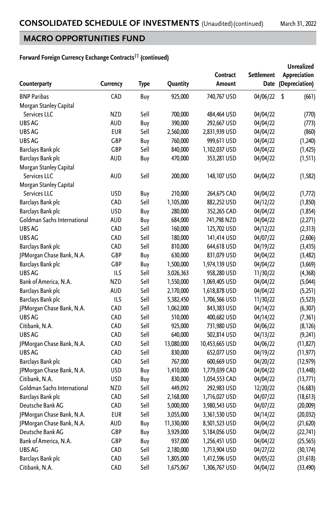#### **Forward Foreign Currency Exchange Contracts†† (continued)**

|                             |                   |      |            |                |                   | <b>Unrealized</b> |
|-----------------------------|-------------------|------|------------|----------------|-------------------|-------------------|
|                             |                   |      |            | Contract       | <b>Settlement</b> | Appreciation      |
| Counterparty                | Currency          | Type | Quantity   | Amount         | Date              | (Depreciation)    |
| <b>BNP Paribas</b>          | CAD               | Buy  | 925,000    | 740,767 USD    | 04/06/22          | \$<br>(661)       |
| Morgan Stanley Capital      |                   |      |            |                |                   |                   |
| Services LLC                | NZD               | Sell | 700,000    | 484,464 USD    | 04/04/22          | (770)             |
| UBS AG                      | <b>AUD</b>        | Buy  | 390,000    | 292,667 USD    | 04/04/22          | (773)             |
| <b>UBS AG</b>               | <b>EUR</b>        | Sell | 2,560,000  | 2,831,939 USD  | 04/04/22          | (860)             |
| <b>UBS AG</b>               | GBP               | Buy  | 760,000    | 999,611 USD    | 04/04/22          | (1, 240)          |
| Barclays Bank plc           | GBP               | Sell | 840,000    | 1,102,037 USD  | 04/04/22          | (1, 425)          |
| Barclays Bank plc           | AUD               | Buy  | 470,000    | 353,281 USD    | 04/04/22          | (1, 511)          |
| Morgan Stanley Capital      |                   |      |            |                |                   |                   |
| Services LLC                | <b>AUD</b>        | Sell | 200,000    | 148,107 USD    | 04/04/22          | (1, 582)          |
| Morgan Stanley Capital      |                   |      |            |                |                   |                   |
| Services LLC                | <b>USD</b>        | Buy  | 210,000    | 264,675 CAD    | 04/04/22          | (1, 772)          |
| Barclays Bank plc           | CAD               | Sell | 1,105,000  | 882,252 USD    | 04/12/22          | (1, 850)          |
| Barclays Bank plc           | <b>USD</b>        | Buy  | 280,000    | 352,265 CAD    | 04/04/22          | (1, 854)          |
| Goldman Sachs International | AUD               | Buy  | 684,000    | 741,798 NZD    | 04/04/22          | (2, 271)          |
| UBS AG                      | CAD               | Sell | 160,000    | 125,702 USD    | 04/12/22          | (2, 313)          |
| UBS AG                      | CAD               | Sell | 180,000    | 141,414 USD    | 04/07/22          | (2,606)           |
| Barclays Bank plc           | CAD               | Sell | 810,000    | 644,618 USD    | 04/19/22          | (3, 435)          |
| JPMorgan Chase Bank, N.A.   | <b>GBP</b>        | Buy  | 630,000    | 831,079 USD    | 04/04/22          | (3, 482)          |
| Barclays Bank plc           | GBP               | Buy  | 1,500,000  | 1,974,139 USD  | 04/04/22          | (3,669)           |
| <b>UBS AG</b>               | ILS               | Sell | 3,026,363  | 958,280 USD    | 11/30/22          | (4, 368)          |
| Bank of America, N.A.       | NZD               | Sell | 1,550,000  | 1,069,405 USD  | 04/04/22          | (5,044)           |
| Barclays Bank plc           | <b>AUD</b>        | Sell | 2,170,000  | 1,618,878 USD  | 04/04/22          | (5,251)           |
| Barclays Bank plc           | ILS               | Sell | 5,382,450  | 1,706,566 USD  | 11/30/22          | (5, 523)          |
| JPMorgan Chase Bank, N.A.   | CAD               | Sell | 1,062,000  | 843,383 USD    | 04/14/22          | (6, 307)          |
| UBS AG                      | CAD               | Sell | 510,000    | 400,682 USD    | 04/14/22          | (7, 361)          |
| Citibank, N.A.              | CAD               | Sell | 925,000    | 731,980 USD    | 04/06/22          | (8, 126)          |
| UBS AG                      | CAD               | Sell | 640,000    | 502,814 USD    |                   |                   |
| JPMorgan Chase Bank, N.A.   | CAD               | Sell | 13,080,000 |                | 04/13/22          | (9, 241)          |
| UBS AG                      | CAD               | Sell | 830,000    | 10,453,665 USD | 04/06/22          | (11, 827)         |
|                             |                   | Sell |            | 652,077 USD    | 04/19/22          | (11, 977)         |
| Barclays Bank plc           | CAD<br><b>USD</b> |      | 767,000    | 600,669 USD    | 04/20/22          | (12, 979)         |
| JPMorgan Chase Bank, N.A.   | <b>USD</b>        | Buy  | 1,410,000  | 1,779,039 CAD  | 04/04/22          | (13, 448)         |
| Citibank, N.A.              |                   | Buy  | 830,000    | 1,054,553 CAD  | 04/04/22          | (13,771)          |
| Goldman Sachs International | NZD               | Sell | 449,092    | 292,983 USD    | 12/20/22          | (16, 683)         |
| Barclays Bank plc           | CAD               | Sell | 2,168,000  | 1,716,027 USD  | 04/07/22          | (18, 613)         |
| Deutsche Bank AG            | CAD               | Sell | 5,000,000  | 3,980,543 USD  | 04/07/22          | (20,009)          |
| JPMorgan Chase Bank, N.A.   | EUR               | Sell | 3,055,000  | 3,361,530 USD  | 04/14/22          | (20, 032)         |
| JPMorgan Chase Bank, N.A.   | AUD               | Buy  | 11,330,000 | 8,501,523 USD  | 04/04/22          | (21, 620)         |
| Deutsche Bank AG            | GBP               | Buy  | 3,929,000  | 5,184,056 USD  | 04/04/22          | (22, 741)         |
| Bank of America, N.A.       | GBP               | Buy  | 937,000    | 1,256,451 USD  | 04/04/22          | (25, 565)         |
| UBS AG                      | CAD               | Sell | 2,180,000  | 1,713,904 USD  | 04/27/22          | (30, 174)         |
| Barclays Bank plc           | CAD               | Sell | 1,805,000  | 1,412,596 USD  | 04/05/22          | (31, 618)         |
| Citibank, N.A.              | CAD               | Sell | 1,675,067  | 1,306,767 USD  | 04/04/22          | (33, 490)         |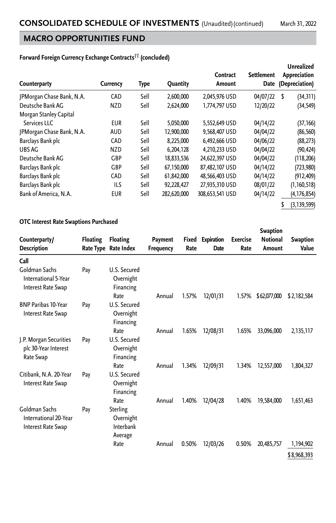#### **Forward Foreign Currency Exchange Contracts†† (concluded)**

|                           |            |      |             | Contract        | <b>Settlement</b> | <b>Unrealized</b><br>Appreciation |
|---------------------------|------------|------|-------------|-----------------|-------------------|-----------------------------------|
| Counterparty              | Currency   | Type | Quantity    | Amount          | Date              | (Depreciation)                    |
| JPMorgan Chase Bank, N.A. | CAD        | Sell | 2,600,000   | 2,045,976 USD   | 04/07/22          | (34, 311)<br>\$                   |
| Deutsche Bank AG          | <b>NZD</b> | Sell | 2,624,000   | 1,774,797 USD   | 12/20/22          | (34, 549)                         |
| Morgan Stanley Capital    |            |      |             |                 |                   |                                   |
| Services LLC              | <b>EUR</b> | Sell | 5,050,000   | 5,552,649 USD   | 04/14/22          | (37, 166)                         |
| JPMorgan Chase Bank, N.A. | <b>AUD</b> | Sell | 12,900,000  | 9,568,407 USD   | 04/04/22          | (86, 560)                         |
| Barclays Bank plc         | CAD        | Sell | 8,225,000   | 6,492,666 USD   | 04/06/22          | (88, 273)                         |
| UBS AG                    | <b>NZD</b> | Sell | 6,204,128   | 4,210,233 USD   | 04/04/22          | (90, 424)                         |
| Deutsche Bank AG          | GBP        | Sell | 18,833,536  | 24,622,397 USD  | 04/04/22          | (118, 206)                        |
| Barclays Bank plc         | <b>GBP</b> | Sell | 67,150,000  | 87,482,107 USD  | 04/14/22          | (723, 980)                        |
| Barclays Bank plc         | CAD        | Sell | 61,842,000  | 48,566,403 USD  | 04/14/22          | (912, 409)                        |
| Barclays Bank plc         | ILS        | Sell | 92,228,427  | 27,935,310 USD  | 08/01/22          | (1,160,518)                       |
| Bank of America, N.A.     | EUR        | Sell | 282,620,000 | 308,653,541 USD | 04/14/22          | (4, 176, 854)                     |
|                           |            |      |             |                 |                   | (3, 139, 599)<br>\$               |

#### **OTC Interest Rate Swaptions Purchased**

| Counterparty/<br><b>Description</b>                                 | <b>Floating</b><br>Rate Type | <b>Floating</b><br>Rate Index                         | Payment<br>Frequency | Fixed<br>Rate | Expiration<br>Date | <b>Exercise</b><br>Rate | <b>Swaption</b><br><b>Notional</b><br>Amount | <b>Swaption</b><br>Value |
|---------------------------------------------------------------------|------------------------------|-------------------------------------------------------|----------------------|---------------|--------------------|-------------------------|----------------------------------------------|--------------------------|
| Call                                                                |                              |                                                       |                      |               |                    |                         |                                              |                          |
| Goldman Sachs<br>International 5-Year<br><b>Interest Rate Swap</b>  | Pay                          | U.S. Secured<br>Overnight<br>Financing<br>Rate        | Annual               | 1.57%         | 12/01/31           | 1.57%                   | \$62,077,000                                 | \$2,182,584              |
| <b>BNP Paribas 10-Year</b><br><b>Interest Rate Swap</b>             | Pay                          | U.S. Secured<br>Overnight<br>Financing                |                      |               |                    |                         |                                              |                          |
| J.P. Morgan Securities<br>plc 30-Year Interest<br>Rate Swap         | Pay                          | Rate<br>U.S. Secured<br>Overnight<br>Financing        | Annual               | 1.65%         | 12/08/31           | 1.65%                   | 33,096,000                                   | 2,135,117                |
| Citibank, N.A. 20-Year<br><b>Interest Rate Swap</b>                 | Pay                          | Rate<br>U.S. Secured<br>Overnight<br>Financing        | Annual               | 1.34%         | 12/09/31           | 1.34%                   | 12,557,000                                   | 1,804,327                |
| Goldman Sachs<br>International 20-Year<br><b>Interest Rate Swap</b> | Pay                          | Rate<br>Sterling<br>Overnight<br>Interbank<br>Average | Annual               | 1.40%         | 12/04/28           | 1.40%                   | 19,584,000                                   | 1,651,463                |
|                                                                     |                              | Rate                                                  | Annual               | 0.50%         | 12/03/26           | 0.50%                   | 20,485,757                                   | 1,194,902<br>\$8,968,393 |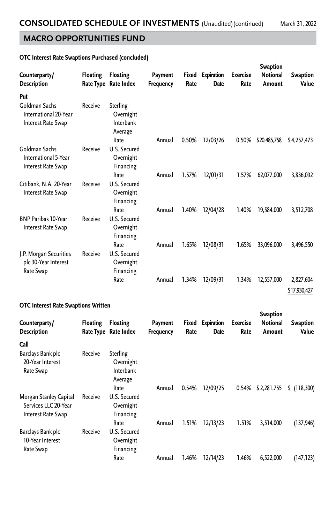#### **OTC Interest Rate Swaptions Purchased (concluded)**

|                                                                     |                  |                                               |                  |       |                         |                 | <b>Swaption</b> |                           |
|---------------------------------------------------------------------|------------------|-----------------------------------------------|------------------|-------|-------------------------|-----------------|-----------------|---------------------------|
| Counterparty/                                                       | <b>Floating</b>  | <b>Floating</b>                               | Payment          |       | <b>Fixed Expiration</b> | <b>Exercise</b> | <b>Notional</b> | Swaption                  |
| <b>Description</b>                                                  | <b>Rate Type</b> | Rate Index                                    | <b>Frequency</b> | Rate  | Date                    | Rate            | Amount          | Value                     |
| Put                                                                 |                  |                                               |                  |       |                         |                 |                 |                           |
| Goldman Sachs<br>International 20-Year<br><b>Interest Rate Swap</b> | Receive          | Sterling<br>Overnight<br>Interbank<br>Average |                  |       |                         |                 |                 |                           |
|                                                                     |                  | Rate                                          | Annual           | 0.50% | 12/03/26                | 0.50%           | \$20,485,758    | \$4,257,473               |
| Goldman Sachs<br>International 5-Year<br><b>Interest Rate Swap</b>  | Receive          | U.S. Secured<br>Overnight<br>Financing        |                  |       |                         |                 |                 |                           |
|                                                                     |                  | Rate                                          | Annual           | 1.57% | 12/01/31                | 1.57%           | 62,077,000      | 3,836,092                 |
| Citibank, N.A. 20-Year<br><b>Interest Rate Swap</b>                 | Receive          | U.S. Secured<br>Overnight<br>Financing        |                  |       |                         |                 |                 |                           |
|                                                                     |                  | Rate                                          | Annual           | 1.40% | 12/04/28                | 1.40%           | 19,584,000      | 3,512,708                 |
| <b>BNP Paribas 10-Year</b><br><b>Interest Rate Swap</b>             | Receive          | U.S. Secured<br>Overnight<br>Financing        |                  |       |                         |                 |                 |                           |
|                                                                     |                  | Rate                                          | Annual           | 1.65% | 12/08/31                | 1.65%           | 33,096,000      | 3,496,550                 |
| J.P. Morgan Securities<br>plc 30-Year Interest<br>Rate Swap         | Receive          | U.S. Secured<br>Overnight<br>Financing        |                  |       |                         |                 |                 |                           |
|                                                                     |                  | Rate                                          | Annual           | 1.34% | 12/09/31                | 1.34%           | 12,557,000      | 2,827,604<br>\$17,930,427 |

#### **OTC Interest Rate Swaptions Written**

|                                                                             |                 |                                                       |                  |       |                         |          | <b>Swaption</b> |             |
|-----------------------------------------------------------------------------|-----------------|-------------------------------------------------------|------------------|-------|-------------------------|----------|-----------------|-------------|
| Counterparty/                                                               | <b>Floating</b> | <b>Floating</b>                                       | Payment          |       | <b>Fixed Expiration</b> | Exercise | <b>Notional</b> | Swaption    |
| <b>Description</b>                                                          |                 | Rate Type Rate Index                                  | <b>Frequency</b> | Rate  | Date                    | Rate     | Amount          | Value       |
| Call                                                                        |                 |                                                       |                  |       |                         |          |                 |             |
| Barclays Bank plc<br>20-Year Interest<br>Rate Swap                          | Receive         | Sterling<br>Overnight<br>Interbank<br>Average<br>Rate | Annual           | 0.54% | 12/09/25                | 0.54%    | \$2,281,755     | \$(118,300) |
| Morgan Stanley Capital<br>Services LLC 20-Year<br><b>Interest Rate Swap</b> | Receive         | U.S. Secured<br>Overnight<br>Financing<br>Rate        | Annual           | 1.51% | 12/13/23                | 1.51%    | 3,514,000       | (137, 946)  |
| Barclays Bank plc<br>10-Year Interest<br>Rate Swap                          | Receive         | U.S. Secured<br>Overnight<br>Financing                |                  |       |                         |          |                 |             |
|                                                                             |                 | Rate                                                  | Annual           | 1.46% | 12/14/23                | 1.46%    | 6,522,000       | (147, 123)  |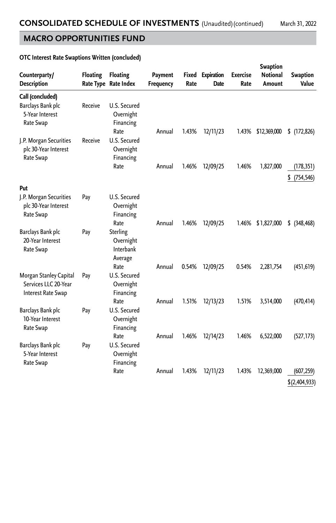#### **OTC Interest Rate Swaptions Written (concluded)**

|                                                                             |                 |                                                |                      |               |                    |                         | <b>Swaption</b>    |                             |
|-----------------------------------------------------------------------------|-----------------|------------------------------------------------|----------------------|---------------|--------------------|-------------------------|--------------------|-----------------------------|
| Counterparty/<br><b>Description</b>                                         | <b>Floating</b> | <b>Floating</b><br>Rate Type Rate Index        | Payment<br>Frequency | Fixed<br>Rate | Expiration<br>Date | <b>Exercise</b><br>Rate | Notional<br>Amount | <b>Swaption</b><br>Value    |
| Call (concluded)<br>Barclays Bank plc<br>5-Year Interest<br>Rate Swap       | Receive         | U.S. Secured<br>Overnight<br>Financing<br>Rate | Annual               | 1.43%         | 12/11/23           |                         | 1.43% \$12,369,000 | \$(172, 826)                |
| J.P. Morgan Securities<br>plc 30-Year Interest<br>Rate Swap                 | Receive         | U.S. Secured<br>Overnight<br>Financing         |                      |               |                    |                         |                    |                             |
|                                                                             |                 | Rate                                           | Annual               | 1.46%         | 12/09/25           | 1.46%                   | 1,827,000          | (178, 351)<br>$$$ (754,546) |
| Put                                                                         |                 |                                                |                      |               |                    |                         |                    |                             |
| J.P. Morgan Securities<br>plc 30-Year Interest<br>Rate Swap                 | Pay             | U.S. Secured<br>Overnight<br>Financing<br>Rate | Annual               | 1.46%         | 12/09/25           |                         | 1.46% \$1,827,000  | $$$ (348,468)               |
| Barclays Bank plc<br>20-Year Interest<br>Rate Swap                          | Pay             | Sterling<br>Overnight<br>Interbank<br>Average  |                      |               |                    |                         |                    |                             |
| Morgan Stanley Capital<br>Services LLC 20-Year<br><b>Interest Rate Swap</b> | Pay             | Rate<br>U.S. Secured<br>Overnight<br>Financing | Annual               | 0.54%         | 12/09/25           | 0.54%                   | 2,281,754          | (451, 619)                  |
| Barclays Bank plc<br>10-Year Interest<br>Rate Swap                          | Pay             | Rate<br>U.S. Secured<br>Overnight<br>Financing | Annual               | 1.51%         | 12/13/23           | 1.51%                   | 3,514,000          | (470, 414)                  |
| Barclays Bank plc                                                           | Pay             | Rate<br>U.S. Secured                           | Annual               | 1.46%         | 12/14/23           | 1.46%                   | 6,522,000          | (527, 173)                  |
| 5-Year Interest<br>Rate Swap                                                |                 | Overnight<br>Financing                         |                      |               |                    |                         |                    |                             |
|                                                                             |                 | Rate                                           | Annual               | 1.43%         | 12/11/23           | 1.43%                   | 12,369,000         | (607, 259)<br>\$(2,404,933) |
|                                                                             |                 |                                                |                      |               |                    |                         |                    |                             |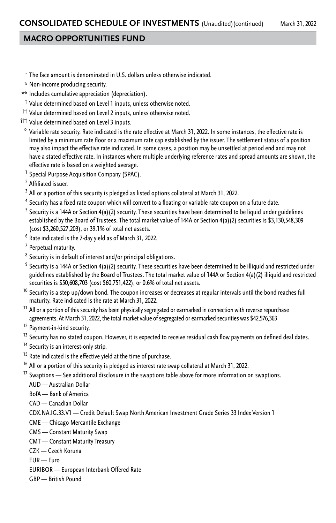- <sup>~</sup> The face amount is denominated in U.S. dollars unless otherwise indicated.
- \* Non-income producing security.
- \*\* Includes cumulative appreciation (depreciation).
- † Value determined based on Level 1 inputs, unless otherwise noted.
- †† Value determined based on Level 2 inputs, unless otherwise noted.
- ††† Value determined based on Level 3 inputs.
- $\diamond$  Variable rate security. Rate indicated is the rate effective at March 31, 2022. In some instances, the effective rate is limited by a minimum rate floor or a maximum rate cap established by the issuer. The settlement status of a position may also impact the effective rate indicated. In some cases, a position may be unsettled at period end and may not have a stated effective rate. In instances where multiple underlying reference rates and spread amounts are shown, the effective rate is based on a weighted average.
- <sup>1</sup> Special Purpose Acquisition Company (SPAC).
- <sup>2</sup> Affiliated issuer.
- <sup>3</sup> All or a portion of this security is pledged as listed options collateral at March 31, 2022.
- <sup>4</sup> Security has a fixed rate coupon which will convert to a floating or variable rate coupon on a future date.
- $5$  Security is a 144A or Section 4(a)(2) security. These securities have been determined to be liquid under guidelines established by the Board of Trustees. The total market value of 144A or Section 4(a)(2) securities is \$3,130,548,309 (cost \$3,260,527,203), or 39.1% of total net assets.
- $6$  Rate indicated is the 7-day yield as of March 31, 2022.
- <sup>7</sup> Perpetual maturity.
- <sup>8</sup> Security is in default of interest and/or principal obligations.
- <sup>9</sup> Security is a 144A or Section 4(a)(2) security. These securities have been determined to be illiquid and restricted under guidelines established by the Board of Trustees. The total market value of 144A or Section 4(a)(2) illiquid and restricted securities is \$50,608,703 (cost \$60,751,422), or 0.6% of total net assets.
- $10$  Security is a step up/down bond. The coupon increases or decreases at regular intervals until the bond reaches full maturity. Rate indicated is the rate at March 31, 2022.
- <sup>11</sup> All or a portion of this security has been physically segregated or earmarked in connection with reverse repurchase agreements. At March 31, 2022, the total market value of segregated or earmarked securities was \$42,576,363
- <sup>12</sup> Payment-in-kind security.
- <sup>13</sup> Security has no stated coupon. However, it is expected to receive residual cash flow payments on defined deal dates.
- <sup>14</sup> Security is an interest-only strip.
- <sup>15</sup> Rate indicated is the effective yield at the time of purchase.
- <sup>16</sup> All or a portion of this security is pledged as interest rate swap collateral at March 31, 2022.
- $17$  Swaptions See additional disclosure in the swaptions table above for more information on swaptions.
	- AUD Australian Dollar
	- BofA Bank of America
	- CAD Canadian Dollar
	- CDX.NA.IG.33.V1 Credit Default Swap North American Investment Grade Series 33 Index Version 1
	- CME Chicago Mercantile Exchange
	- CMS Constant Maturity Swap
	- CMT Constant Maturity Treasury
	- CZK Czech Koruna
	- EUR Euro
	- EURIBOR European Interbank Offered Rate
	- GBP British Pound